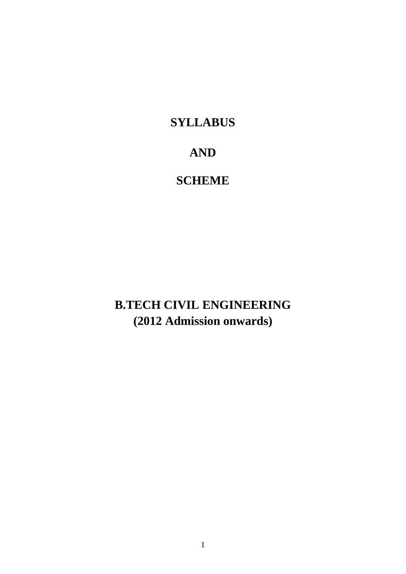# **SYLLABUS**

# **AND**

# **SCHEME**

**B.TECH CIVIL ENGINEERING (2012 Admission onwards)**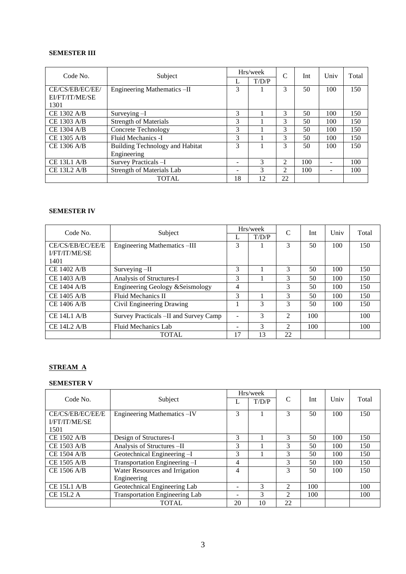# **SEMESTER III**

| Code No.           | Subject                          |    | Hrs/week | $\mathcal{C}$  | Int | Univ | Total |
|--------------------|----------------------------------|----|----------|----------------|-----|------|-------|
|                    |                                  | L  | T/D/P    |                |     |      |       |
| CE/CS/EB/EC/EE/    | Engineering Mathematics -II      | 3  |          | 3              | 50  | 100  | 150   |
| EI/FT/IT/ME/SE     |                                  |    |          |                |     |      |       |
| 1301               |                                  |    |          |                |     |      |       |
| CE 1302 A/B        | Surveying -I                     | 3  |          | 3              | 50  | 100  | 150   |
| CE 1303 A/B        | <b>Strength of Materials</b>     | 3  |          | 3              | 50  | 100  | 150   |
| CE 1304 A/B        | <b>Concrete Technology</b>       | 3  |          | 3              | 50  | 100  | 150   |
| CE 1305 A/B        | Fluid Mechanics -I               | 3  |          | 3              | 50  | 100  | 150   |
| CE 1306 A/B        | Building Technology and Habitat  | 3  |          | 3              | 50  | 100  | 150   |
|                    | Engineering                      |    |          |                |     |      |       |
| CE 13L1 A/B        | Survey Practicals -I             | -  | 3        | $\mathfrak{D}$ | 100 |      | 100   |
| <b>CE 13L2 A/B</b> | <b>Strength of Materials Lab</b> | -  | 3        | $\mathfrak{D}$ | 100 |      | 100   |
|                    | <b>TOTAL</b>                     | 18 | 12       | 22             |     |      |       |

#### **SEMESTER IV**

| Code No.             | Subject                                |    | Hrs/week | C                           | Int | Univ | Total |
|----------------------|----------------------------------------|----|----------|-----------------------------|-----|------|-------|
|                      |                                        |    | T/D/P    |                             |     |      |       |
| CE/CS/EB/EC/EE/E     | Engineering Mathematics -III           | 3  |          | 3                           | 50  | 100  | 150   |
| <b>I/FT/IT/ME/SE</b> |                                        |    |          |                             |     |      |       |
| 1401                 |                                        |    |          |                             |     |      |       |
| CE 1402 A/B          | Surveying -II                          | 3  |          | 3                           | 50  | 100  | 150   |
| CE 1403 A/B          | Analysis of Structures-I               | 3  |          | 3                           | 50  | 100  | 150   |
| CE 1404 A/B          | Engineering Geology & Seismology       | 4  |          | 3                           | 50  | 100  | 150   |
| CE 1405 A/B          | Fluid Mechanics II                     | 3  |          | 3                           | 50  | 100  | 150   |
| CE 1406 A/B          | Civil Engineering Drawing              |    | 3        | 3                           | 50  | 100  | 150   |
| $CE$ 14L1 A/B        | Survey Practicals - II and Survey Camp |    | 3        | $\mathfrak{D}$              | 100 |      | 100   |
| <b>CE 14L2 A/B</b>   | Fluid Mechanics Lab                    |    | 3        | $\mathcal{D}_{\mathcal{L}}$ | 100 |      | 100   |
|                      | <b>TOTAL</b>                           | 17 | 13       | 22                          |     |      |       |

# **STREAM A**

# **SEMESTER V**

|                      |                                       |    | Hrs/week |                             |     |      |       |
|----------------------|---------------------------------------|----|----------|-----------------------------|-----|------|-------|
| Code No.             | Subject                               |    | T/D/P    | C                           | Int | Univ | Total |
| CE/CS/EB/EC/EE/E     | Engineering Mathematics - IV          | 3  |          | 3                           | 50  | 100  | 150   |
| <b>I/FT/IT/ME/SE</b> |                                       |    |          |                             |     |      |       |
| 1501                 |                                       |    |          |                             |     |      |       |
| CE 1502 A/B          | Design of Structures-I                | 3  |          | 3                           | 50  | 100  | 150   |
| CE 1503 A/B          | Analysis of Structures - II           | 3  |          | 3                           | 50  | 100  | 150   |
| CE 1504 A/B          | Geotechnical Engineering -I           | 3  |          | 3                           | 50  | 100  | 150   |
| CE 1505 A/B          | Transportation Engineering -I         | 4  |          | 3                           | 50  | 100  | 150   |
| CE 1506 A/B          | Water Resources and Irrigation        | 4  |          | 3                           | 50  | 100  | 150   |
|                      | Engineering                           |    |          |                             |     |      |       |
| <b>CE 15L1 A/B</b>   | Geotechnical Engineering Lab          |    | 3        | 2                           | 100 |      | 100   |
| <b>CE 15L2 A</b>     | <b>Transportation Engineering Lab</b> |    | 3        | $\mathcal{D}_{\mathcal{L}}$ | 100 |      | 100   |
|                      | <b>TOTAL</b>                          | 20 | 10       | 22                          |     |      |       |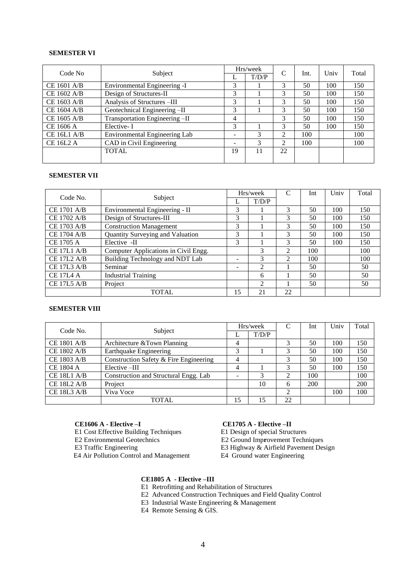# **SEMESTER VI**

| Code No          | Subject                        |    | Hrs/week | C              | Int. | Univ | Total |
|------------------|--------------------------------|----|----------|----------------|------|------|-------|
|                  |                                |    | T/D/P    |                |      |      |       |
| CE 1601 A/B      | Environmental Engineering -I   | 3  |          | 3              | 50   | 100  | 150   |
| CE 1602 A/B      | Design of Structures-II        | 3  |          | 3              | 50   | 100  | 150   |
| CE 1603 A/B      | Analysis of Structures -III    | 3  |          | 3              | 50   | 100  | 150   |
| CE 1604 A/B      | Geotechnical Engineering -II   | 3  |          | 3              | 50   | 100  | 150   |
| CE 1605 A/B      | Transportation Engineering -II | 4  |          | 3              | 50   | 100  | 150   |
| CE 1606 A        | Elective-I                     | 3  |          | 3              | 50   | 100  | 150   |
| CE 16L1 A/B      | Environmental Engineering Lab  | ۰  | 3        | $\mathfrak{D}$ | 100  |      | 100   |
| <b>CE 16L2 A</b> | CAD in Civil Engineering       | ۰  | 3        | $\mathfrak{D}$ | 100  |      | 100   |
|                  | <b>TOTAL</b>                   | 19 | 11       | 22             |      |      |       |
|                  |                                |    |          |                |      |      |       |

# **SEMESTER VII**

| Code No.           | Subject                              |    | Hrs/week       | C              | Int | Univ | Total |
|--------------------|--------------------------------------|----|----------------|----------------|-----|------|-------|
|                    |                                      |    | T/D/P          |                |     |      |       |
| <b>CE 1701 A/B</b> | Environmental Engineering - II       | 3  |                | 3              | 50  | 100  | 150   |
| CE 1702 A/B        | Design of Structures-III             | 3  |                | 3              | 50  | 100  | 150   |
| CE 1703 A/B        | <b>Construction Management</b>       | 3  |                | 3              | 50  | 100  | 150   |
| CE 1704 A/B        | Quantity Surveying and Valuation     | 3  |                | 3              | 50  | 100  | 150   |
| <b>CE 1705 A</b>   | Elective -II                         | 3  |                | 3              | 50  | 100  | 150   |
| CE 17L1 A/B        | Computer Applications in Civil Engg. |    | 3              | $\mathcal{L}$  | 100 |      | 100   |
| <b>CE 17L2 A/B</b> | Building Technology and NDT Lab      |    | 3              | $\mathfrak{D}$ | 100 |      | 100   |
| CE 17L3 A/B        | Seminar                              |    | 2              |                | 50  |      | 50    |
| <b>CE 17L4 A</b>   | <b>Industrial Training</b>           |    | 6              |                | 50  |      | 50    |
| <b>CE 17L5 A/B</b> | Project                              |    | $\mathfrak{D}$ |                | 50  |      | 50    |
|                    | <b>TOTAL</b>                         | 15 | 21             | 22             |     |      |       |

#### **SEMESTER VIII**

| Code No.           | Subject                                |    | Hrs/week | C  | Int | Univ | Total |
|--------------------|----------------------------------------|----|----------|----|-----|------|-------|
|                    |                                        | ∸  | T/D/P    |    |     |      |       |
| <b>CE 1801 A/B</b> | Architecture & Town Planning           | 4  |          |    | 50  | 100  | 150   |
| CE 1802 A/B        | Earthquake Engineering                 | 3  |          |    | 50  | 100  | 150   |
| CE 1803 A/B        | Construction Safety & Fire Engineering | 4  |          |    | 50  | 100  | 150   |
| <b>CE 1804 A</b>   | Elective -III                          | 4  |          | 3  | 50  | 100  | 150   |
| <b>CE 18L1 A/B</b> | Construction and Structural Engg. Lab  |    | 3        | 2  | 100 |      | 100   |
| <b>CE 18L2 A/B</b> | Project                                |    | 10       | 6  | 200 |      | 200   |
| <b>CE 18L3 A/B</b> | Viva Voce                              |    |          | ◠  |     | 100  | 100   |
|                    | <b>TOTAL</b>                           | 15 | 15       | 22 |     |      |       |

- **CE1606 A Elective –I**<br> **E1** Cost Effective Building Techniques<br> **E1** Design of special Structures E1 Cost Effective Building Techniques
- 

E3 Traffic Engineering E3 Highway & Airfield Pavement Design<br>E4 Air Pollution Control and Management E4 Ground water Engineering E4 Air Pollution Control and Management

E2 Environmental Geotechnics E2 Ground Imp**r**ovement Techniques

# **CE1805 A - Elective –III**

E1 Retrofitting and Rehabilitation of Structures

- E2 Advanced Construction Techniques and Field Quality Control
- E3 Industrial Waste Engineering & Management

E4 Remote Sensing & GIS.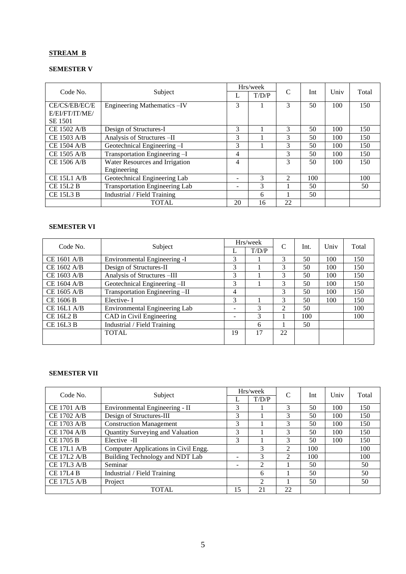# **STREAM B**

# **SEMESTER V**

|                    |                                       |                          | Hrs/week |                |     |      |       |
|--------------------|---------------------------------------|--------------------------|----------|----------------|-----|------|-------|
| Code No.           | Subject                               |                          | T/D/P    | $\mathsf{C}$   | Int | Univ | Total |
| CE/CS/EB/EC/E      | Engineering Mathematics - IV          | 3                        |          | 3              | 50  | 100  | 150   |
| E/EI/FT/IT/ME/     |                                       |                          |          |                |     |      |       |
| <b>SE 1501</b>     |                                       |                          |          |                |     |      |       |
| CE 1502 A/B        | Design of Structures-I                | 3                        |          | 3              | 50  | 100  | 150   |
| CE 1503 A/B        | Analysis of Structures-II             | 3                        |          | 3              | 50  | 100  | 150   |
| <b>CE 1504 A/B</b> | Geotechnical Engineering-I            | 3                        |          | 3              | 50  | 100  | 150   |
| CE 1505 A/B        | Transportation Engineering -I         | 4                        |          | 3              | 50  | 100  | 150   |
| CE 1506 A/B        | Water Resources and Irrigation        | $\overline{\mathcal{A}}$ |          | 3              | 50  | 100  | 150   |
|                    | Engineering                           |                          |          |                |     |      |       |
| CE 15L1 A/B        | Geotechnical Engineering Lab          |                          | 3        | $\mathfrak{D}$ | 100 |      | 100   |
| <b>CE 15L2 B</b>   | <b>Transportation Engineering Lab</b> |                          | 3        |                | 50  |      | 50    |
| <b>CE 15L3 B</b>   | Industrial / Field Training           |                          | 6        |                | 50  |      |       |
|                    | <b>TOTAL</b>                          | 20                       | 16       | 22             |     |      |       |

# **SEMESTER VI**

| Code No.           | Subject                        |                              | Hrs/week | $\mathcal{C}$ | Int. | Univ | Total |
|--------------------|--------------------------------|------------------------------|----------|---------------|------|------|-------|
|                    |                                |                              | T/D/P    |               |      |      |       |
| CE 1601 A/B        | Environmental Engineering -I   | 3                            |          | 3             | 50   | 100  | 150   |
| CE 1602 A/B        | Design of Structures-II        | 3                            |          | 3             | 50   | 100  | 150   |
| CE 1603 A/B        | Analysis of Structures -III    | 3                            |          | 3             | 50   | 100  | 150   |
| CE 1604 A/B        | Geotechnical Engineering -II   | 3                            |          | 3             | 50   | 100  | 150   |
| CE 1605 A/B        | Transportation Engineering -II | 4                            |          | 3             | 50   | 100  | 150   |
| CE 1606 B          | Elective-I                     | 3                            |          | 3             | 50   | 100  | 150   |
| <b>CE 16L1 A/B</b> | Environmental Engineering Lab  | $\qquad \qquad \blacksquare$ | 3        | 2             | 50   |      | 100   |
| <b>CE 16L2 B</b>   | CAD in Civil Engineering       | $\qquad \qquad \blacksquare$ | 3        |               | 100  |      | 100   |
| <b>CE 16L3 B</b>   | Industrial / Field Training    |                              | 6        |               | 50   |      |       |
|                    | <b>TOTAL</b>                   | 19                           | 17       | 22            |      |      |       |
|                    |                                |                              |          |               |      |      |       |

# **SEMESTER VII**

| Code No.           |                                      |    | Hrs/week       | C              |     | Univ<br>Total |     |
|--------------------|--------------------------------------|----|----------------|----------------|-----|---------------|-----|
|                    | Subject                              |    | T/D/P          |                | Int |               |     |
| <b>CE 1701 A/B</b> | Environmental Engineering - II       | 3  |                | 3              | 50  | 100           | 150 |
| CE 1702 A/B        | Design of Structures-III             | 3  |                | 3              | 50  | 100           | 150 |
| CE 1703 A/B        | <b>Construction Management</b>       | 3  |                | 3              | 50  | 100           | 150 |
| CE 1704 A/B        | Quantity Surveying and Valuation     | 3  |                | 3              | 50  | 100           | 150 |
| <b>CE 1705 B</b>   | Elective -II                         | 3  |                | 3              | 50  | 100           | 150 |
| <b>CE 17L1 A/B</b> | Computer Applications in Civil Engg. |    | 3              | $\mathfrak{D}$ | 100 |               | 100 |
| <b>CE 17L2 A/B</b> | Building Technology and NDT Lab      | -  | 3              | 2              | 100 |               | 100 |
| <b>CE 17L3 A/B</b> | Seminar                              |    | $\overline{2}$ |                | 50  |               | 50  |
| <b>CE 17L4 B</b>   | Industrial / Field Training          |    | 6              |                | 50  |               | 50  |
| <b>CE 17L5 A/B</b> | Project                              |    | $\mathfrak{D}$ |                | 50  |               | 50  |
|                    | TOTAL                                | 15 | 21             | 22             |     |               |     |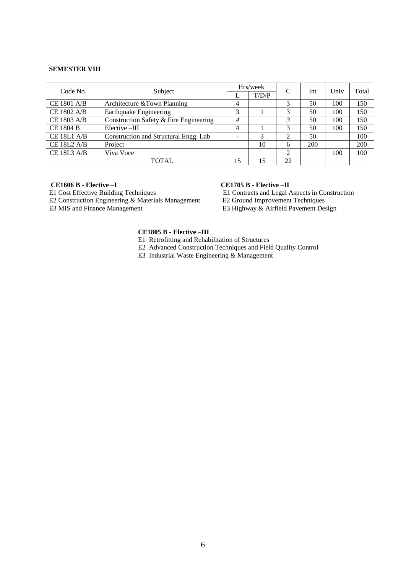#### **SEMESTER VIII**

| Code No.           | Subject                                |    | Hrs/week | C             | Int | Univ | Total |
|--------------------|----------------------------------------|----|----------|---------------|-----|------|-------|
|                    |                                        |    | T/D/P    |               |     |      |       |
| <b>CE 1801 A/B</b> | Architecture & Town Planning           | 4  |          |               | 50  | 100  | 150   |
| CE 1802 A/B        | <b>Earthquake Engineering</b>          | 3  |          |               | 50  | 100  | 150   |
| CE 1803 A/B        | Construction Safety & Fire Engineering | 4  |          |               | 50  | 100  | 150   |
| <b>CE 1804 B</b>   | Elective -III                          | 4  |          | 3             | 50  | 100  | 150   |
| $CE$ 18L1 A/B      | Construction and Structural Engg. Lab  |    | 3        | $\mathcal{D}$ | 50  |      | 100   |
| $CE$ 18L2 A/B      | Project                                |    | 10       | 6             | 200 |      | 200   |
| <b>CE 18L3 A/B</b> | Viva Voce                              |    |          | ↑             |     | 100  | 100   |
|                    | <b>TOTAL</b>                           | 15 | 15       | 22            |     |      |       |

**CE1606 B - Elective –I**<br> **E1** Cost Effective Building Techniques<br> **E1** Contracts and Legal A

E2 Construction Engineering & Materials Management E3 MIS and Finance Management

E1 Contracts and Legal Aspects in Construction<br>E2 Ground Improvement Techniques E3 Highway & Airfield Pavement Design

#### **CE1805 B - Elective –III**

E1 Retrofitting and Rehabilitation of Structures

E2 Advanced Construction Techniques and Field Quality Control

E3 Industrial Waste Engineering & Management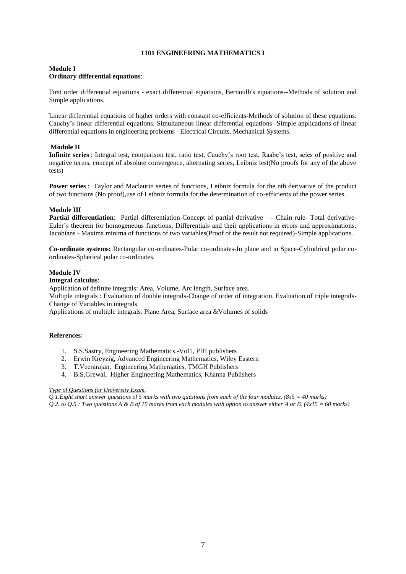# **1101 ENGINEERING MATHEMATICS I**

### **Module I Ordinary differential equations**:

First order differential equations - exact differential equations, Bernoulli's equations--Methods of solution and Simple applications.

Linear differential equations of higher orders with constant co-efficients-Methods of solution of these equations. Cauchy's linear differential equations. Simultaneous linear differential equations- Simple applications of linear differential equations in engineering problems –Electrical Circuits, Mechanical Systems.

# **Module II**

**Infinite series** : Integral test, comparison test, ratio test, Cauchy's root test, Raabe's test, seies of positive and negative terms, concept of absolute convergence, alternating series, Leibniz test(No proofs for any of the above tests)

**Power series** : Taylor and Maclaurin series of functions, Leibniz formula for the nth derivative of the product of two functions (No proof),use of Leibniz formula for the determination of co-efficients of the power series.

# **Module III**

**Partial differentiation**: Partial differentiation-Concept of partial derivative - Chain rule- Total derivative-Euler's theorem for homogeneous functions, Differentials and their applications in errors and approximations, Jacobians - Maxima minima of functions of two variables(Proof of the result not required)-Simple applications.

**Co-ordinate systems:** Rectangular co-ordinates-Polar co-ordinates-In plane and in Space-Cylindrical polar coordinates-Spherical polar co-ordinates.

# **Module IV**

# **Integral calculus**:

Application of definite integrals: Area, Volume, Arc length, Surface area.

Multiple integrals : Evaluation of double integrals-Change of order of integration. Evaluation of triple integrals-Change of Variables in integrals.

Applications of multiple integrals. Plane Area, Surface area &Volumes of solids

# **References**:

- 1. S.S.Sastry, Engineering Mathematics -Vol1, PHI publishers
- 2. Erwin Kreyzig, Advanced Engineering Mathematics, Wiley Eastern
- 3. T.Veerarajan, Engineering Mathematics, TMGH Publishers
- 4. B.S.Grewal, Higher Engineering Mathematics, Khanna Publishers

#### *Type of Questions for University Exam.*

*Q 1.Eight short answer questions of 5 marks with two questions from each of the four modules. (8x5 = 40 marks) Q 2. to Q.5 : Two questions A & B of 15 marks from each modules with option to answer either A or B. (4x15 = 60 marks)*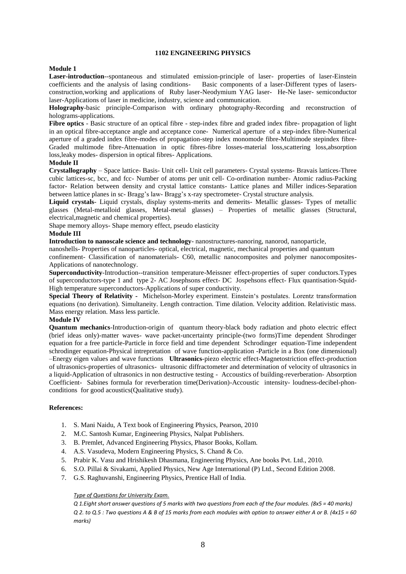#### **1102 ENGINEERING PHYSICS**

#### **Module 1**

**Laser-introduction**--spontaneous and stimulated emission-principle of laser- properties of laser-Einstein coefficients and the analysis of lasing conditions- Basic components of a laser-Different types of lasersconstruction,working and applications of Ruby laser-Neodymium YAG laser- He-Ne laser- semiconductor laser-Applications of laser in medicine, industry, science and communication.

**Holography**-basic principle-Comparison with ordinary photography-Recording and reconstruction of holograms-applications.

**Fibre optics** - Basic structure of an optical fibre - step-index fibre and graded index fibre- propagation of light in an optical fibre-acceptance angle and acceptance cone- Numerical aperture of a step-index fibre-Numerical aperture of a graded index fibre-modes of propagation-step index monomode fibre-Multimode stepindex fibre-Graded multimode fibre-Attenuation in optic fibres-fibre losses-material loss,scattering loss,absorption loss,leaky modes- dispersion in optical fibres- Applications.

#### **Module II**

**Crystallography** – Space lattice- Basis- Unit cell- Unit cell parameters- Crystal systems- Bravais lattices-Three cubic lattices-sc, bcc, and fcc- Number of atoms per unit cell- Co-ordination number- Atomic radius-Packing factor- Relation between density and crystal lattice constants- Lattice planes and Miller indices-Separation between lattice planes in sc- Bragg's law- Bragg's x-ray spectrometer- Crystal structure analysis.

**Liquid crystals**- Liquid crystals, display systems-merits and demerits- Metallic glasses- Types of metallic glasses (Metal-metalloid glasses, Metal-metal glasses) – Properties of metallic glasses (Structural, electrical,magnetic and chemical properties).

Shape memory alloys- Shape memory effect, pseudo elasticity

#### **Module III**

**Introduction to nanoscale science and technology**- nanostructures-nanoring, nanorod, nanoparticle,

nanoshells- Properties of nanoparticles- optical, electrical, magnetic, mechanical properties and quantum

confinement- Classification of nanomaterials- C60, metallic nanocomposites and polymer nanocomposites-Applications of nanotechnology.

**Superconductivity**-Introduction--transition temperature-Meissner effect-properties of super conductors.Types of superconductors-type 1 and type 2- AC Josephsons effect- DC Jospehsons effect- Flux quantisation-Squid-High temperature superconductors-Applications of super conductivity.

**Special Theory of Relativity -** Michelson-Morley experiment. Einstein's postulates. Lorentz transformation equations (no derivation). Simultaneity. Length contraction. Time dilation. Velocity addition. Relativistic mass. Mass energy relation. Mass less particle.

#### **Module IV**

**Quantum mechanics**-Introduction-origin of quantum theory-black body radiation and photo electric effect (brief ideas only)-matter waves- wave packet-uncertainty principle-(two forms)Time dependent Shrodinger equation for a free particle-Particle in force field and time dependent Schrodinger equation-Time independent schrodinger equation-Physical intrepretation of wave function-application -Particle in a Box (one dimensional) –Energy eigen values and wave functions **Ultrasonics**-piezo electric effect-Magnetostriction effect-production of ultrasonics-properties of ultrasonics- ultrasonic diffractometer and determination of velocity of ultrasonics in a liquid-Application of ultrasonics in non destructive testing - Accoustics of building-reverberation- Absorption Coefficient- Sabines formula for reverberation time(Derivation)-Accoustic intensity- loudness-decibel-phonconditions for good acoustics(Qualitative study).

# **References:**

- 1. S. Mani Naidu, A Text book of Engineering Physics, Pearson, 2010
- 2. M.C. Santosh Kumar, Engineering Physics, Nalpat Publishers.
- 3. B. Premlet, Advanced Engineering Physics, Phasor Books, Kollam.
- 4. A.S. Vasudeva, Modern Engineering Physics, S. Chand & Co.
- 5. Prabir K. Vasu and Hrishikesh Dhasmana, Engineering Physics, Ane books Pvt. Ltd., 2010.
- 6. S.O. Pillai & Sivakami, Applied Physics, New Age International (P) Ltd., Second Edition 2008.
- 7. G.S. Raghuvanshi, Engineering Physics, Prentice Hall of India.

#### *Type of Questions for University Exam.*

*Q 1.Eight short answer questions of 5 marks with two questions from each of the four modules. (8x5 = 40 marks) Q 2. to Q.5 : Two questions A & B of 15 marks from each modules with option to answer either A or B. (4x15 = 60 marks)*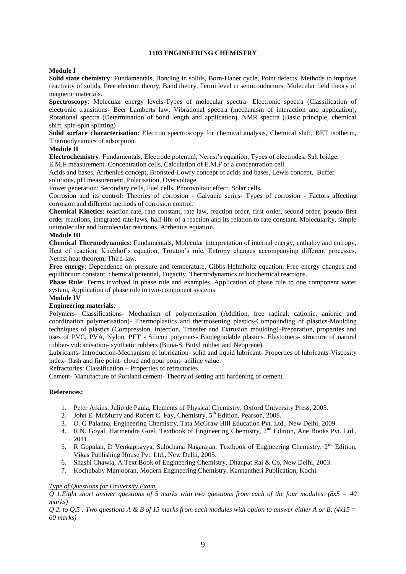# **1103 ENGINEERING CHEMISTRY**

# **Module I**

**Solid state chemistry**: Fundamentals, Bonding in solids, Born-Haber cycle, Point defects, Methods to improve reactivity of solids, Free electron theory, Band theory, Fermi level in semiconductors, Molecular field theory of magnetic materials.

**Spectroscopy**: Molecular energy levels-Types of molecular spectra- Electronic spectra (Classification of electronic transitions- Beer Lamberts law, Vibrational spectra (mechanism of interaction and application), Rotational spectra (Determination of bond length and application). NMR spectra (Basic principle, chemical shift, spin-spin splitting)

**Solid surface characterisation**: Electron spectroscopy for chemical analysis, Chemical shift, BET isotherm, Thermodynamics of adsorption.

# **Module II**

**Electrochemistry**: Fundamentals, Electrode potential, Nernst's equation, Types of electrodes, Salt bridge, E.M.F measurement. Concentration cells, Calculation of E.M.F of a concentration cell.

Acids and bases, Arrhenius concept, Bronsted-Lowry concept of acids and bases, Lewis concept, Buffer solutions, pH measurement, Polarisation, Overvoltage.

Power generation: Secondary cells, Fuel cells, Photovoltaic effect, Solar cells.

Corrosion and its control: Theories of corrosion - Galvanic series- Types of corrosion - Factors affecting corrosion and different methods of corrosion control.

**Chemical Kinetics**: reaction rate, rate constant, rate law, reaction order, first order, second order, pseudo-first order reactions, integrated rate laws, half-life of a reaction and its relation to rate constant. Molecularity, simple unimolecular and bimolecular reactions. Arrhenius equation.

# **Module III**

**Chemical Thermodynamics**: Fundamentals, Molecular interpretation of internal energy, enthalpy and entropy, Heat of reaction, Kirchhof's equation, Trouton's rule, Entropy changes accompanying different processes, Nernst heat theorem, Third-law.

**Free energy**: Dependence on pressure and temperature, Gibbs-Helmholtz equation, Free energy changes and equilibrium constant, chemical potential, Fugacity, Thermodynamics of biochemical reactions.

**Phase Rule**: Terms involved in phase rule and examples, Application of phase rule to one component water system, Application of phase rule to two-component systems.

#### **Module IV**

# **Engineering materials**:

Polymers- Classifications- Mechanism of polymerisation (Addition, free radical, cationic, anionic and coordination polymerisation)- Thermoplastics and thermosetting plastics-Compounding of plastics-Moulding techniques of plastics (Compression, Injection, Transfer and Extrusion moulding)-Preparation, properties and uses of PVC, PVA, Nylon, PET - Silicon polymers- Biodegradable plastics. Elastomers- structure of natural rubber- vulcanisation- synthetic rubbers (Buna-S, Butyl rubber and Neoprene).

Lubricants- Introduction-Mechanism of lubrication- solid and liquid lubricant- Properties of lubricants-Viscosity index- flash and fire point- cloud and pour point- aniline value.

Refractories: Classification – Properties of refractories.

Cement- Manufacture of Portland cement- Theory of setting and hardening of cement.

#### **References:**

- 1. Peter Atkins, Julio de Paula, Elements of Physical Chemistry, Oxford University Press, 2005.
- 2. John E. McMurry and Robert C. Fay, Chemistry, 5<sup>th</sup> Edition, Pearson, 2008.
- 3. O. G Palanna, Engineering Chemistry, Tata McGraw Hill Education Pvt. Ltd., New Delhi, 2009.
- 4. R.N. Goyal, Harmendra Goel, Textbook of Engineering Chemistry, 2<sup>nd</sup> Edition, Ane Books Pvt. Ltd., 2011.
- 5. R Gopalan, D Venkappayya, Sulochana Nagarajan, Textbook of Engineering Chemistry, 2<sup>nd</sup> Edition, Vikas Publishing House Pvt. Ltd., New Delhi, 2005.
- 6. Shashi Chawla, A Text Book of Engineering Chemistry, Dhanpat Rai & Co, New Delhi, 2003.
- 7. Kochubaby Manjooran, Modern Engineering Chemistry, Kannantheri Publication, Kochi.

# *Type of Questions for University Exam.*

*Q 1.Eight short answer questions of 5 marks with two questions from each of the four modules. (8x5 = 40 marks)*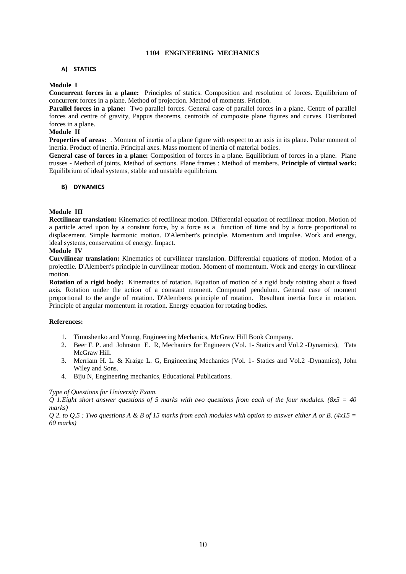# **1104 ENGINEERING MECHANICS**

### **A) STATICS**

#### **Module I**

**Concurrent forces in a plane:** Principles of statics. Composition and resolution of forces. Equilibrium of concurrent forces in a plane. Method of projection. Method of moments. Friction.

**Parallel forces in a plane:** Two parallel forces. General case of parallel forces in a plane. Centre of parallel forces and centre of gravity, Pappus theorems, centroids of composite plane figures and curves. Distributed forces in a plane.

#### **Module II**

**Properties of areas:** . Moment of inertia of a plane figure with respect to an axis in its plane. Polar moment of inertia. Product of inertia. Principal axes. Mass moment of inertia of material bodies.

**General case of forces in a plane:** Composition of forces in a plane. Equilibrium of forces in a plane. Plane trusses **-** Method of joints. Method of sections. Plane frames : Method of members. **Principle of virtual work:**  Equilibrium of ideal systems, stable and unstable equilibrium.

#### **B) DYNAMICS**

#### **Module III**

**Rectilinear translation:** Kinematics of rectilinear motion. Differential equation of rectilinear motion. Motion of a particle acted upon by a constant force, by a force as a function of time and by a force proportional to displacement. Simple harmonic motion. D'Alembert's principle. Momentum and impulse. Work and energy, ideal systems, conservation of energy. Impact.

#### **Module IV**

**Curvilinear translation:** Kinematics of curvilinear translation. Differential equations of motion. Motion of a projectile. D'Alembert's principle in curvilinear motion. Moment of momentum. Work and energy in curvilinear motion.

**Rotation of a rigid body:** Kinematics of rotation. Equation of motion of a rigid body rotating about a fixed axis. Rotation under the action of a constant moment. Compound pendulum. General case of moment proportional to the angle of rotation. D'Alemberts principle of rotation. Resultant inertia force in rotation. Principle of angular momentum in rotation. Energy equation for rotating bodies.

#### **References:**

- 1. Timoshenko and Young, Engineering Mechanics, McGraw Hill Book Company.
- 2. Beer F. P. and Johnston E. R, Mechanics for Engineers (Vol. 1- Statics and Vol.2 -Dynamics), Tata McGraw Hill.
- 3. Merriam H. L. & Kraige L. G, Engineering Mechanics (Vol. 1- Statics and Vol.2 -Dynamics), John Wiley and Sons.
- 4. Biju N, Engineering mechanics, Educational Publications.

#### *Type of Questions for University Exam.*

*Q 1.Eight short answer questions of 5 marks with two questions from each of the four modules. (8x5 = 40 marks)*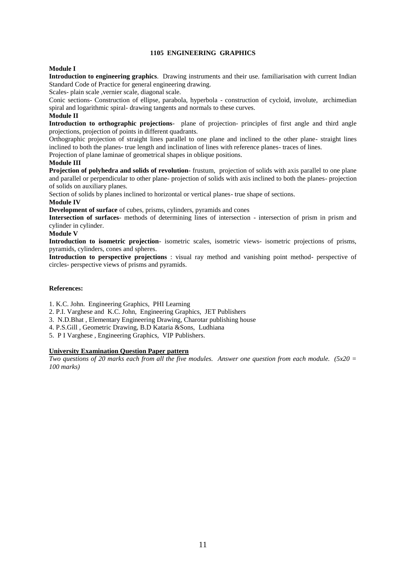# **1105 ENGINEERING GRAPHICS**

# **Module I**

**Introduction to engineering graphics**. Drawing instruments and their use. familiarisation with current Indian Standard Code of Practice for general engineering drawing.

Scales- plain scale ,vernier scale, diagonal scale.

Conic sections- Construction of ellipse, parabola, hyperbola - construction of cycloid, involute, archimedian spiral and logarithmic spiral- drawing tangents and normals to these curves.

# **Module II**

**Introduction to orthographic projections**- plane of projection- principles of first angle and third angle projections, projection of points in different quadrants.

Orthographic projection of straight lines parallel to one plane and inclined to the other plane- straight lines inclined to both the planes- true length and inclination of lines with reference planes- traces of lines.

Projection of plane laminae of geometrical shapes in oblique positions.

# **Module III**

**Projection of polyhedra and solids of revolution**- frustum, projection of solids with axis parallel to one plane and parallel or perpendicular to other plane- projection of solids with axis inclined to both the planes- projection of solids on auxiliary planes.

Section of solids by planes inclined to horizontal or vertical planes- true shape of sections.

# **Module IV**

**Development of surface** of cubes, prisms, cylinders, pyramids and cones

**Intersection of surfaces**- methods of determining lines of intersection - intersection of prism in prism and cylinder in cylinder.

# **Module V**

**Introduction to isometric projection**- isometric scales, isometric views- isometric projections of prisms, pyramids, cylinders, cones and spheres.

**Introduction to perspective projections** : visual ray method and vanishing point method- perspective of circles- perspective views of prisms and pyramids.

# **References:**

1. K.C. John. Engineering Graphics, PHI Learning

- 2. P.I. Varghese and K.C. John, Engineering Graphics, JET Publishers
- 3. N.D.Bhat , Elementary Engineering Drawing, Charotar publishing house
- 4. P.S.Gill , Geometric Drawing, B.D Kataria &Sons, Ludhiana
- 5. P I Varghese , Engineering Graphics, VIP Publishers.

# **University Examination Question Paper pattern**

*Two questions of 20 marks each from all the five modules. Answer one question from each module. (5x20 = 100 marks)*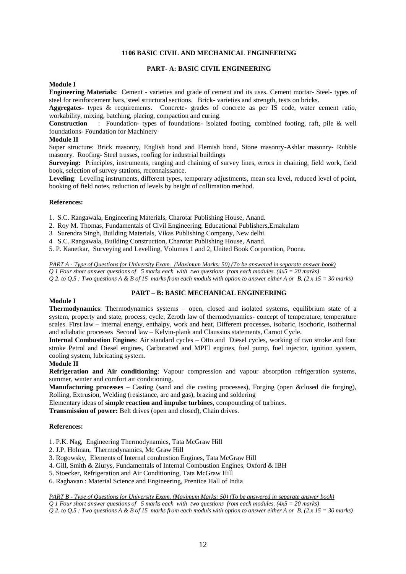# **1106 BASIC CIVIL AND MECHANICAL ENGINEERING**

#### **PART- A: BASIC CIVIL ENGINEERING**

#### **Module I**

**Engineering Materials:** Cement - varieties and grade of cement and its uses. Cement mortar- Steel- types of steel for reinforcement bars, steel structural sections. Brick- varieties and strength, tests on bricks.

**Aggregates**- types & requirements. Concrete- grades of concrete as per IS code, water cement ratio, workability, mixing, batching, placing, compaction and curing.

**Construction** : Foundation- types of foundations- isolated footing, combined footing, raft, pile & well foundations- Foundation for Machinery

#### **Module II**

Super structure: Brick masonry, English bond and Flemish bond, Stone masonry-Ashlar masonry- Rubble masonry. Roofing- Steel trusses, roofing for industrial buildings

**Surveying:** Principles, instruments, ranging and chaining of survey lines, errors in chaining, field work, field book, selection of survey stations, reconnaissance.

**Leveling**: Leveling instruments, different types, temporary adjustments, mean sea level, reduced level of point, booking of field notes, reduction of levels by height of collimation method.

#### **References:**

1. S.C. Rangawala, Engineering Materials, Charotar Publishing House, Anand.

- 2. Roy M. Thomas, Fundamentals of Civil Engineering, Educational Publishers,Ernakulam
- 3 Surendra Singh, Building Materials, Vikas Publishing Company, New delhi.
- 4 S.C. Rangawala, Building Construction, Charotar Publishing House, Anand.

5. P. Kanetkar, Surveying and Levelling, Volumes 1 and 2, United Book Corporation, Poona.

*PART A - Type of Questions for University Exam. (Maximum Marks: 50) (To be answered in separate answer book) Q 1 Four short answer questions of 5 marks each with two questions from each modules. (4x5 = 20 marks) Q 2. to Q.5 : Two questions A & B of 15 marks from each moduls with option to answer either A or B. (2 x 15 = 30 marks)*

# **PART – B: BASIC MECHANICAL ENGINEERING**

#### **Module I**

**Thermodynamics**: Thermodynamics systems – open, closed and isolated systems, equilibrium state of a system, property and state, process, cycle, Zeroth law of thermodynamics- concept of temperature, temperature scales. First law – internal energy, enthalpy, work and heat, Different processes, isobaric, isochoric, isothermal and adiabatic processes Second law – Kelvin-plank and Claussius statements, Carnot Cycle.

**Internal Combustion Engines**: Air standard cycles – Otto and Diesel cycles, working of two stroke and four stroke Petrol and Diesel engines, Carburatted and MPFI engines, fuel pump, fuel injector, ignition system, cooling system, lubricating system.

#### **Module II**

**Refrigeration and Air conditioning**: Vapour compression and vapour absorption refrigeration systems, summer, winter and comfort air conditioning.

**Manufacturing processes** – Casting (sand and die casting processes), Forging (open &closed die forging), Rolling, Extrusion, Welding (resistance, arc and gas), brazing and soldering

Elementary ideas of **simple reaction and impulse turbines**, compounding of turbines.

**Transmission of power:** Belt drives (open and closed), Chain drives.

#### **References:**

- 1. P.K. Nag, Engineering Thermodynamics, Tata McGraw Hill
- 2. J.P. Holman, Thermodynamics, Mc Graw Hill
- 3. Rogowsky, Elements of Internal combustion Engines, Tata McGraw Hill
- 4. Gill, Smith & Ziurys, Fundamentals of Internal Combustion Engines, Oxford & IBH
- 5. Stoecker, Refrigeration and Air Conditioning, Tata McGraw Hill
- 6. Raghavan : Material Science and Engineering, Prentice Hall of India

*PART B - Type of Questions for University Exam. (Maximum Marks: 50) (To be answered in separate answer book) Q 1 Four short answer questions of 5 marks each with two questions from each modules. (4x5 = 20 marks)*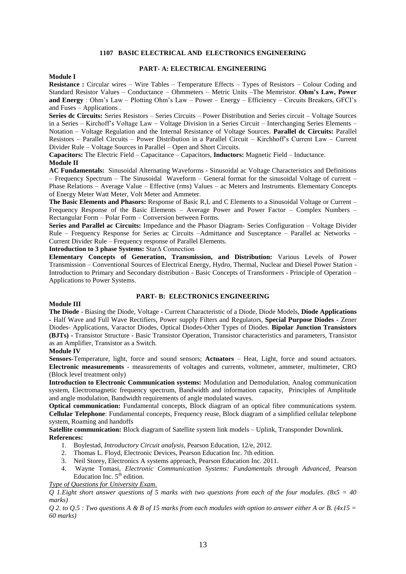#### **1107 BASIC ELECTRICAL AND ELECTRONICS ENGINEERING**

# **Module I**

# **PART- A: ELECTRICAL ENGINEERING**

**Resistance :** Circular wires – Wire Tables – Temperature Effects – Types of Resistors – Colour Coding and Standard Resistor Values – Conductance – Ohmmeters – Metric Units –The Memristor. **Ohm's Law, Power and Energy** : Ohm's Law – Plotting Ohm's Law – Power – Energy – Efficiency – Circuits Breakers, GFCI's and Fuses – Applications .

**Series dc Circuits:** Series Resistors – Series Circuits – Power Distribution and Series circuit – Voltage Sources in a Series – Kirchoff's Voltage Law – Voltage Division in a Series Circuit – Interchanging Series Elements – Notation – Voltage Regulation and the Internal Resistance of Voltage Sources. **Parallel dc Circuits:** Parallel Resistors – Parallel Circuits – Power Distribution in a Parallel Circuit – Kirchhoff's Current Law – Current Divider Rule – Voltage Sources in Parallel – Open and Short Circuits.

**Capacitors:** The Electric Field – Capacitance – Capacitors, **Inductors:** Magnetic Field – Inductance. **Module II**

**AC Fundamentals:** Sinusoidal Alternating Waveforms - Sinusoidal ac Voltage Characteristics and Definitions – Frequency Spectrum – The Sinusoidal Waveform – General format for the sinusoidal Voltage of current – Phase Relations – Average Value – Effective (rms) Values – ac Meters and Instruments. Elementary Concepts of Energy Meter Watt Meter, Volt Meter and Ammeter.

**The Basic Elements and Phasors:** Response of Basic R,L and C Elements to a Sinusoidal Voltage or Current – Frequency Response of the Basic Elements – Average Power and Power Factor – Complex Numbers – Rectangular Form – Polar Form – Conversion between Forms.

**Series and Parallel ac Circuits:** Impedance and the Phasor Diagram- Series Configuration – Voltage Divider Rule – Frequency Response for Series ac Circuits –Admittance and Susceptance – Parallel ac Networks – Current Divider Rule – Frequency response of Parallel Elements.

**Introduction to 3 phase Systems:** StarΔ Connection

**Elementary Concepts of Generation, Transmission, and Distribution:** Various Levels of Power Transmission – Conventional Sources of Electrical Energy, Hydro, Thermal, Nuclear and Diesel Power Station - Introduction to Primary and Secondary distribution - Basic Concepts of Transformers - Principle of Operation – Applications to Power Systems.

# **PART- B: ELECTRONICS ENGINEERING**

#### **Module III**

**The Diode** - Biasing the Diode, Voltage - Current Characteristic of a Diode, Diode Models, **Diode Applications -** Half Wave and Full Wave Rectifiers, Power supply Filters and Regulators, **Special Purpose Diodes -** Zener Diodes- Applications, Varactor Diodes, Optical Diodes-Other Types of Diodes. **Bipolar Junction Transistors (BJTs) -** Transistor Structure - Basic Transistor Operation, Transistor characteristics and parameters, Transistor as an Amplifier, Transistor as a Switch.

# **Module IV**

**Sensors-**Temperature, light, force and sound sensors; **Actuators** – Heat, Light, force and sound actuators. **Electronic measurements** - measurements of voltages and currents, voltmeter, ammeter, multimeter, CRO (Block level treatment only)

**Introduction to Electronic Communication systems:** Modulation and Demodulation, Analog communication system, Electromagnetic frequency spectrum, Bandwidth and information capacity, Principles of Amplitude and angle modulation, Bandwidth requirements of angle modulated waves.

**Optical communication:** Fundamental concepts, Block diagram of an optical fibre communications system. **Cellular Telephone**: Fundamental concepts, Frequency reuse, Block diagram of a simplified cellular telephone system, Roaming and handoffs

**Satellite communication:** Block diagram of Satellite system link models – Uplink, Transponder Downlink. **References:**

- 1. Boylestad, *Introductory Circuit analysis*, Pearson Education, 12/e, 2012.
- 2. Thomas L. Floyd, Electronic Devices, Pearson Education Inc. 7th edition.
- 3. Neil Storey, Electronics A systems approach, Pearson Education Inc. 2011.
- 4. Wayne Tomasi, *Electronic Communication Systems: Fundamentals through Advanced,* Pearson Education Inc.  $5<sup>th</sup>$  edition.
- *Type of Questions for University Exam.*

*Q 1.Eight short answer questions of 5 marks with two questions from each of the four modules. (8x5 = 40 marks)*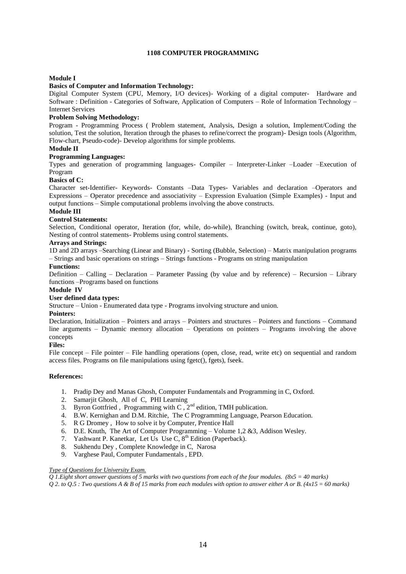### **1108 COMPUTER PROGRAMMING**

# **Module I**

# **Basics of Computer and Information Technology:**

Digital Computer System (CPU, Memory, I/O devices)- Working of a digital computer- Hardware and Software : Definition - Categories of Software, Application of Computers – Role of Information Technology – Internet Services

### **Problem Solving Methodology:**

Program - Programming Process ( Problem statement, Analysis, Design a solution, Implement/Coding the solution, Test the solution, Iteration through the phases to refine/correct the program)- Design tools (Algorithm, Flow-chart, Pseudo-code)- Develop algorithms for simple problems.

#### **Module II**

#### **Programming Languages:**

Types and generation of programming languages- Compiler – Interpreter-Linker –Loader –Execution of Program

# **Basics of C:**

Character set-Identifier- Keywords- Constants –Data Types- Variables and declaration –Operators and Expressions – Operator precedence and associativity – Expression Evaluation (Simple Examples) - Input and output functions – Simple computational problems involving the above constructs.

#### **Module III**

#### **Control Statements:**

Selection, Conditional operator, Iteration (for, while, do-while), Branching (switch, break, continue, goto), Nesting of control statements- Problems using control statements.

### **Arrays and Strings:**

1D and 2D arrays –Searching (Linear and Binary) - Sorting (Bubble, Selection) – Matrix manipulation programs – Strings and basic operations on strings – Strings functions - Programs on string manipulation

# **Functions:**

Definition – Calling – Declaration – Parameter Passing (by value and by reference) – Recursion – Library functions –Programs based on functions

# **Module IV**

**User defined data types:**

Structure – Union - Enumerated data type - Programs involving structure and union.

#### **Pointers:**

Declaration, Initialization – Pointers and arrays – Pointers and structures – Pointers and functions – Command line arguments – Dynamic memory allocation – Operations on pointers – Programs involving the above concepts

#### **Files:**

File concept – File pointer – File handling operations (open, close, read, write etc) on sequential and random access files. Programs on file manipulations using fgetc(), fgets), fseek.

#### **References:**

- 1. Pradip Dey and Manas Ghosh, Computer Fundamentals and Programming in C, Oxford.
- 2. Samarjit Ghosh, All of C, PHI Learning
- 3. Byron Gottfried, Programming with  $C$ ,  $2^{nd}$  edition, TMH publication.
- 4. B.W. Kernighan and D.M. Ritchie, The C Programming Language, Pearson Education.
- 5. R G Dromey , How to solve it by Computer, Prentice Hall
- 6. D.E. Knuth, The Art of Computer Programming Volume  $1,2,8,3$ , Addison Wesley.
- 7. Yashwant P. Kanetkar, Let Us Use C,  $8<sup>th</sup>$  Edition (Paperback).
- 8. Sukhendu Dey , Complete Knowledge in C, Narosa
- 9. Varghese Paul, Computer Fundamentals , EPD.

### *Type of Questions for University Exam.*

*Q 1.Eight short answer questions of 5 marks with two questions from each of the four modules. (8x5 = 40 marks)*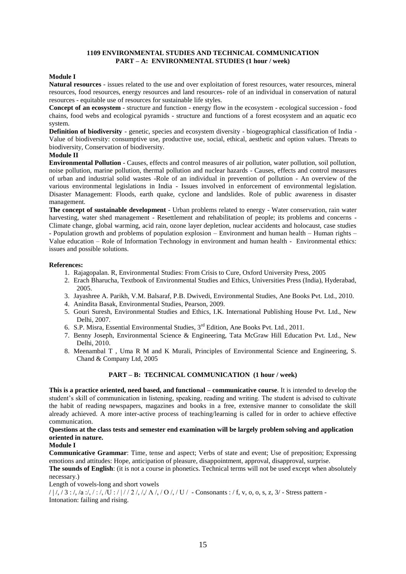# **1109 ENVIRONMENTAL STUDIES AND TECHNICAL COMMUNICATION PART – A: ENVIRONMENTAL STUDIES (1 hour / week)**

# **Module I**

**Natural resources** - issues related to the use and over exploitation of forest resources, water resources, mineral resources, food resources, energy resources and land resources- role of an individual in conservation of natural resources - equitable use of resources for sustainable life styles.

**Concept of an ecosystem** - structure and function - energy flow in the ecosystem - ecological succession - food chains, food webs and ecological pyramids - structure and functions of a forest ecosystem and an aquatic eco system.

**Definition of biodiversity** - genetic, species and ecosystem diversity - biogeographical classification of India - Value of biodiversity: consumptive use, productive use, social, ethical, aesthetic and option values. Threats to biodiversity, Conservation of biodiversity.

# **Module II**

**Environmental Pollution** - Causes, effects and control measures of air pollution, water pollution, soil pollution, noise pollution, marine pollution, thermal pollution and nuclear hazards - Causes, effects and control measures of urban and industrial solid wastes -Role of an individual in prevention of pollution - An overview of the various environmental legislations in India - Issues involved in enforcement of environmental legislation. Disaster Management: Floods, earth quake, cyclone and landslides. Role of public awareness in disaster management.

**The concept of sustainable development** - Urban problems related to energy - Water conservation, rain water harvesting, water shed management - Resettlement and rehabilitation of people; its problems and concerns - Climate change, global warming, acid rain, ozone layer depletion, nuclear accidents and holocaust, case studies - Population growth and problems of population explosion – Environment and human health – Human rights – Value education – Role of Information Technology in environment and human health - Environmental ethics: issues and possible solutions.

#### **References:**

- 1. Rajagopalan. R, Environmental Studies: From Crisis to Cure, Oxford University Press, 2005
- 2. Erach Bharucha, Textbook of Environmental Studies and Ethics, Universities Press (India), Hyderabad, 2005.
- 3. Jayashree A. Parikh, V.M. Balsaraf, P.B. Dwivedi, Environmental Studies, Ane Books Pvt. Ltd., 2010.
- 4. Anindita Basak, Environmental Studies, Pearson, 2009.
- 5. Gouri Suresh, Environmental Studies and Ethics, I.K. International Publishing House Pvt. Ltd., New Delhi, 2007.
- 6. S.P. Misra, Essential Environmental Studies, 3rd Edition, Ane Books Pvt. Ltd., 2011.
- 7. Benny Joseph, Environmental Science & Engineering, Tata McGraw Hill Education Pvt. Ltd., New Delhi, 2010.
- 8. Meenambal T , Uma R M and K Murali, Principles of Environmental Science and Engineering, S. Chand & Company Ltd, 2005

# **PART – B: TECHNICAL COMMUNICATION (1 hour / week)**

**This is a practice oriented, need based, and functional – communicative course**. It is intended to develop the student's skill of communication in listening, speaking, reading and writing. The student is advised to cultivate the habit of reading newspapers, magazines and books in a free, extensive manner to consolidate the skill already achieved. A more inter-active process of teaching/learning is called for in order to achieve effective communication.

# **Questions at the class tests and semester end examination will be largely problem solving and application oriented in nature.**

#### **Module I**

**Communicative Grammar**: Time, tense and aspect; Verbs of state and event; Use of preposition; Expressing emotions and attitudes: Hope, anticipation of pleasure, disappointment, approval, disapproval, surprise.

**The sounds of English**: (it is not a course in phonetics. Technical terms will not be used except when absolutely necessary.)

Length of vowels-long and short vowels

 $/ / / / / 3$ :/,/a:/,/:/,/U :////2/,// $\Lambda$ /,/O/,/U / - Consonants :/f, v, o, o, s, z, 3/ - Stress pattern -Intonation: failing and rising.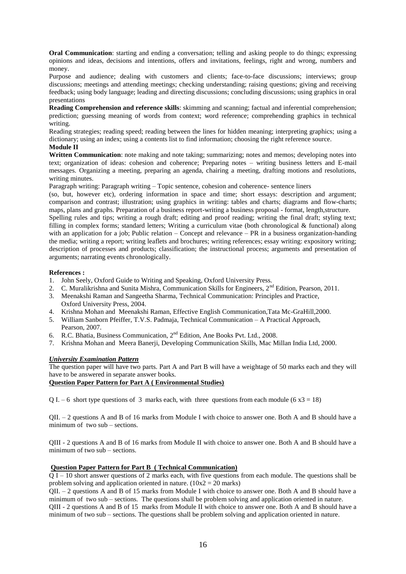**Oral Communication**: starting and ending a conversation; telling and asking people to do things; expressing opinions and ideas, decisions and intentions, offers and invitations, feelings, right and wrong, numbers and money.

Purpose and audience; dealing with customers and clients; face-to-face discussions; interviews; group discussions; meetings and attending meetings; checking understanding; raising questions; giving and receiving feedback; using body language; leading and directing discussions; concluding discussions; using graphics in oral presentations

**Reading Comprehension and reference skills**: skimming and scanning; factual and inferential comprehension; prediction; guessing meaning of words from context; word reference; comprehending graphics in technical writing.

Reading strategies; reading speed; reading between the lines for hidden meaning; interpreting graphics; using a dictionary; using an index; using a contents list to find information; choosing the right reference source.

# **Module II**

**Written Communication**: note making and note taking; summarizing; notes and memos; developing notes into text; organization of ideas: cohesion and coherence; Preparing notes – writing business letters and E-mail messages. Organizing a meeting, preparing an agenda, chairing a meeting, drafting motions and resolutions, writing minutes.

Paragraph writing: Paragraph writing – Topic sentence, cohesion and coherence- sentence liners

(so, but, however etc), ordering information in space and time; short essays: description and argument; comparison and contrast; illustration; using graphics in writing: tables and charts; diagrams and flow-charts; maps, plans and graphs. Preparation of a business report-writing a business proposal - format, length,structure.

Spelling rules and tips; writing a rough draft; editing and proof reading; writing the final draft; styling text; filling in complex forms; standard letters; Writing a curriculum vitae (both chronological & functional) along with an application for a job; Public relation – Concept and relevance – PR in a business organization-handing the media; writing a report; writing leaflets and brochures; writing references; essay writing: expository writing; description of processes and products; classification; the instructional process; arguments and presentation of arguments; narrating events chronologically.

# **References :**

- 1. John Seely, Oxford Guide to Writing and Speaking, Oxford University Press.
- 2. C. Muralikrishna and Sunita Mishra, Communication Skills for Engineers, 2<sup>nd</sup> Edition, Pearson, 2011.
- 3. Meenakshi Raman and Sangeetha Sharma, Technical Communication: Principles and Practice, Oxford University Press, 2004.
- 4. Krishna Mohan and Meenakshi Raman, Effective English Communication,Tata Mc-GraHill,2000.
- 5. William Sanborn Pfeiffer, T.V.S. Padmaja, Technical Communication A Practical Approach, Pearson, 2007.
- 6. R.C. Bhatia, Business Communication, 2nd Edition, Ane Books Pvt. Ltd., 2008.
- 7. Krishna Mohan and Meera Banerji, Developing Communication Skills, Mac Millan India Ltd, 2000.

# *University Examination Pattern*

The question paper will have two parts. Part A and Part B will have a weightage of 50 marks each and they will have to be answered in separate answer books.

# **Question Paper Pattern for Part A ( Environmental Studies)**

Q I. – 6 short type questions of 3 marks each, with three questions from each module (6  $x3 = 18$ )

QII. – 2 questions A and B of 16 marks from Module I with choice to answer one. Both A and B should have a minimum of two sub – sections.

QIII - 2 questions A and B of 16 marks from Module II with choice to answer one. Both A and B should have a minimum of two sub – sections.

# **Question Paper Pattern for Part B ( Technical Communication)**

Q I – 10 short answer questions of 2 marks each, with five questions from each module. The questions shall be problem solving and application oriented in nature.  $(10x2 = 20 \text{ marks})$ 

QII. – 2 questions A and B of 15 marks from Module I with choice to answer one. Both A and B should have a minimum of two sub – sections. The questions shall be problem solving and application oriented in nature.

QIII - 2 questions A and B of 15 marks from Module II with choice to answer one. Both A and B should have a minimum of two sub – sections. The questions shall be problem solving and application oriented in nature.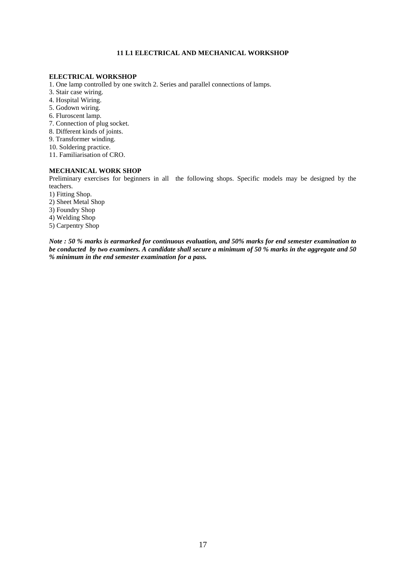# **11 L1 ELECTRICAL AND MECHANICAL WORKSHOP**

#### **ELECTRICAL WORKSHOP**

- 1. One lamp controlled by one switch 2. Series and parallel connections of lamps.
- 3. Stair case wiring.
- 4. Hospital Wiring.
- 5. Godown wiring.
- 6. Fluroscent lamp.
- 7. Connection of plug socket.
- 8. Different kinds of joints.
- 9. Transformer winding.
- 10. Soldering practice.
- 11. Familiarisation of CRO.

# **MECHANICAL WORK SHOP**

Preliminary exercises for beginners in all the following shops. Specific models may be designed by the teachers.

- 1) Fitting Shop.
- 2) Sheet Metal Shop
- 3) Foundry Shop
- 4) Welding Shop
- 5) Carpentry Shop

*Note : 50 % marks is earmarked for continuous evaluation, and 50% marks for end semester examination to be conducted by two examiners. A candidate shall secure a minimum of 50 % marks in the aggregate and 50 % minimum in the end semester examination for a pass.*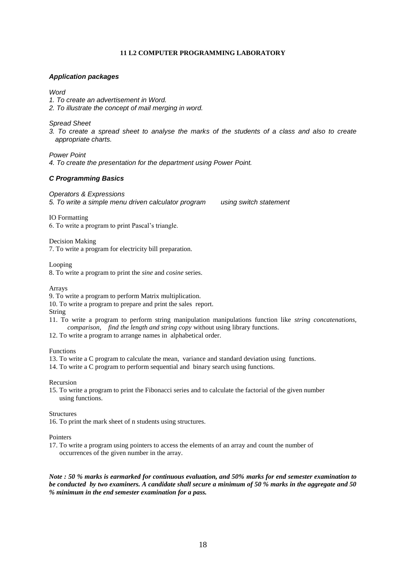# **11 L2 COMPUTER PROGRAMMING LABORATORY**

# *Application packages*

# *Word*

*1. To create an advertisement in Word.*

*2. To illustrate the concept of mail merging in word.* 

*Spread Sheet* 

*3. To create a spread sheet to analyse the marks of the students of a class and also to create appropriate charts.*

*Power Point* 

*4. To create the presentation for the department using Power Point.*

# *C Programming Basics*

*Operators & Expressions 5. To write a simple menu driven calculator program using switch statement* 

IO Formatting

6. To write a program to print Pascal's triangle.

Decision Making 7. To write a program for electricity bill preparation.

Looping

8. To write a program to print the *sine* and *cosine* series.

Arrays

9. To write a program to perform Matrix multiplication.

10. To write a program to prepare and print the sales report.

String

- 11. To write a program to perform string manipulation manipulations function like *string concatenations, comparison, find the length and string copy* without using library functions.
- 12. To write a program to arrange names in alphabetical order.

Functions

- 13. To write a C program to calculate the mean, variance and standard deviation using functions.
- 14. To write a C program to perform sequential and binary search using functions.

Recursion

15. To write a program to print the Fibonacci series and to calculate the factorial of the given number using functions.

**Structures** 

16. To print the mark sheet of n students using structures.

#### Pointers

17. To write a program using pointers to access the elements of an array and count the number of occurrences of the given number in the array.

*Note : 50 % marks is earmarked for continuous evaluation, and 50% marks for end semester examination to be conducted by two examiners. A candidate shall secure a minimum of 50 % marks in the aggregate and 50 % minimum in the end semester examination for a pass.*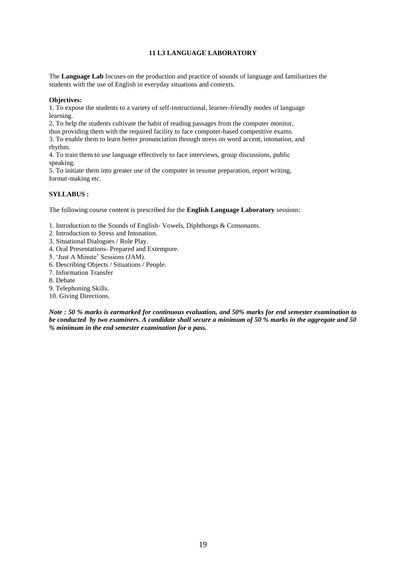# **11 L3 LANGUAGE LABORATORY**

The **Language Lab** focuses on the production and practice of sounds of language and familiarizes the students with the use of English in everyday situations and contexts.

### **Objectives:**

1. To expose the students to a variety of self-instructional, learner-friendly modes of language learning.

2. To help the students cultivate the habit of reading passages from the computer monitor,

thus providing them with the required facility to face computer-based competitive exams.

3. To enable them to learn better pronunciation through stress on word accent, intonation, and rhythm.

4. To train them to use language effectively to face interviews, group discussions, public speaking.

5. To initiate them into greater use of the computer in resume preparation, report writing, format-making etc.

# **SYLLABUS :**

The following course content is prescribed for the **English Language Laboratory** sessions:

1. Introduction to the Sounds of English- Vowels, Diphthongs & Consonants.

- 2. Introduction to Stress and Intonation.
- 3. Situational Dialogues / Role Play.
- 4. Oral Presentations- Prepared and Extempore.
- 5. 'Just A Minute' Sessions (JAM).
- 6. Describing Objects / Situations / People.
- 7. Information Transfer
- 8. Debate
- 9. Telephoning Skills.
- 10. Giving Directions.

*Note : 50 % marks is earmarked for continuous evaluation, and 50% marks for end semester examination to be conducted by two examiners. A candidate shall secure a minimum of 50 % marks in the aggregate and 50 % minimum in the end semester examination for a pass.*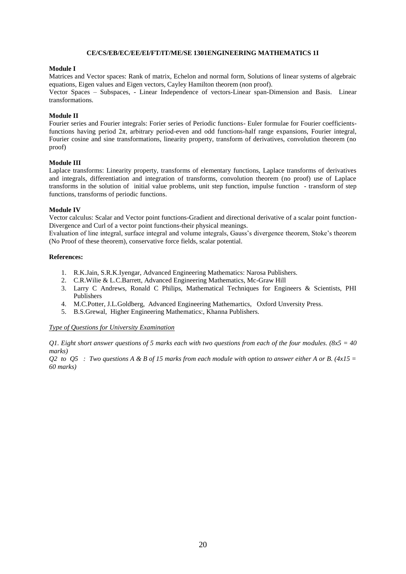#### **CE/CS/EB/EC/EE/EI/FT/IT/ME/SE 1301ENGINEERING MATHEMATICS 1I**

#### **Module I**

Matrices and Vector spaces: Rank of matrix, Echelon and normal form, Solutions of linear systems of algebraic equations, Eigen values and Eigen vectors, Cayley Hamilton theorem (non proof).

Vector Spaces – Subspaces, - Linear Independence of vectors-Linear span-Dimension and Basis. Linear transformations.

# **Module II**

Fourier series and Fourier integrals: Forier series of Periodic functions- Euler formulae for Fourier coefficientsfunctions having period  $2\pi$ , arbitrary period-even and odd functions-half range expansions, Fourier integral, Fourier cosine and sine transformations, linearity property, transform of derivatives, convolution theorem (no proof)

#### **Module III**

Laplace transforms: Linearity property, transforms of elementary functions, Laplace transforms of derivatives and integrals, differentiation and integration of transforms, convolution theorem (no proof) use of Laplace transforms in the solution of initial value problems, unit step function, impulse function - transform of step functions, transforms of periodic functions.

#### **Module IV**

Vector calculus: Scalar and Vector point functions-Gradient and directional derivative of a scalar point function-Divergence and Curl of a vector point functions-their physical meanings.

Evaluation of line integral, surface integral and volume integrals, Gauss's divergence theorem, Stoke's theorem (No Proof of these theorem), conservative force fields, scalar potential.

#### **References:**

- 1. R.K.Jain, S.R.K.Iyengar, Advanced Engineering Mathematics: Narosa Publishers.
- 2. C.R.Wilie & L.C.Barrett, Advanced Engineering Mathematics, Mc-Graw Hill
- 3. Larry C Andrews, Ronald C Philips, Mathematical Techniques for Engineers & Scientists, PHI Publishers
- 4. M.C.Potter, J.L.Goldberg, Advanced Engineering Mathemartics, Oxford Unversity Press.
- 5. B.S.Grewal, Higher Engineering Mathematics:, Khanna Publishers.

#### *Type of Questions for University Examination*

*Q1. Eight short answer questions of 5 marks each with two questions from each of the four modules. (8x5 = 40 marks)*

*Q2 to Q5 : Two questions A & B of 15 marks from each module with option to answer either A or B. (4x15 = 60 marks)*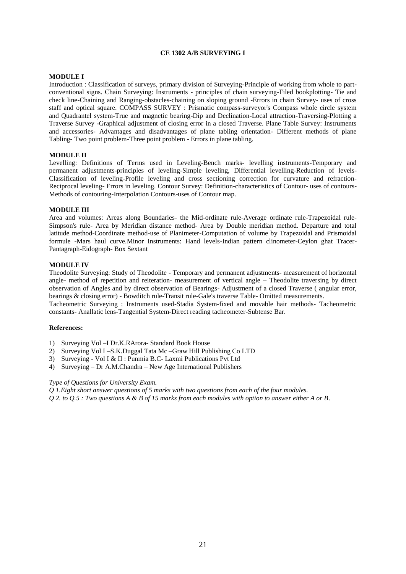# **CE 1302 A/B SURVEYING I**

### **MODULE I**

Introduction : Classification of surveys, primary division of Surveying-Principle of working from whole to partconventional signs. Chain Surveying: Instruments - principles of chain surveying-Filed bookplotting- Tie and check line-Chaining and Ranging-obstacles-chaining on sloping ground -Errors in chain Survey- uses of cross staff and optical square. COMPASS SURVEY : Prismatic compass-surveyor's Compass whole circle system and Quadrantel system-True and magnetic bearing-Dip and Declination-Local attraction-Traversing-Plotting a Traverse Survey -Graphical adjustment of closing error in a closed Traverse. Plane Table Survey: Instruments and accessories- Advantages and disadvantages of plane tabling orientation- Different methods of plane Tabling- Two point problem-Three point problem - Errors in plane tabling.

#### **MODULE II**

Levelling: Definitions of Terms used in Leveling-Bench marks- levelling instruments-Temporary and permanent adjustments-principles of leveling-Simple leveling, Differential levelling-Reduction of levels-Classification of leveling-Profile leveling and cross sectioning correction for curvature and refraction-Reciprocal leveling- Errors in leveling. Contour Survey: Definition-characteristics of Contour- uses of contours-Methods of contouring-Interpolation Contours-uses of Contour map.

#### **MODULE III**

Area and volumes: Areas along Boundaries- the Mid-ordinate rule-Average ordinate rule-Trapezoidal rule-Simpson's rule- Area by Meridian distance method- Area by Double meridian method. Departure and total latitude method-Coordinate method-use of Planimeter-Computation of volume by Trapezoidal and Prismoidal formule -Mars haul curve.Minor Instruments: Hand levels-Indian pattern clinometer-Ceylon ghat Tracer-Pantagraph-Eidograph- Box Sextant

# **MODULE IV**

Theodolite Surveying: Study of Theodolite - Temporary and permanent adjustments- measurement of horizontal angle- method of repetition and reiteration- measurement of vertical angle – Theodolite traversing by direct observation of Angles and by direct observation of Bearings- Adjustment of a closed Traverse ( angular error, bearings & closing error) - Bowditch rule-Transit rule-Gale's traverse Table- Omitted measurements.

Tacheometric Surveying : Instruments used-Stadia System-fixed and movable hair methods- Tacheometric constants- Anallatic lens-Tangential System-Direct reading tacheometer-Subtense Bar.

### **References:**

- 1) Surveying Vol –I Dr.K.RArora- Standard Book House
- 2) Surveying Vol I –S.K.Duggal Tata Mc –Graw Hill Publishing Co LTD
- 3) Surveying Vol I & II : Punmia B.C- Laxmi Publications Pvt Ltd
- 4) Surveying Dr A.M.Chandra New Age International Publishers

#### *Type of Questions for University Exam.*

*Q 1.Eight short answer questions of 5 marks with two questions from each of the four modules.*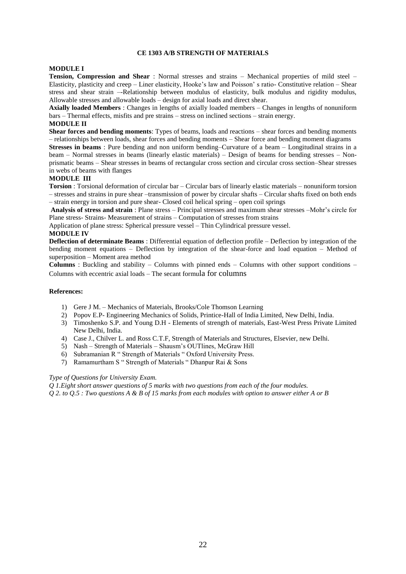# **CE 1303 A/B STRENGTH OF MATERIALS**

#### **MODULE I**

**Tension, Compression and Shear** : Normal stresses and strains – Mechanical properties of mild steel – Elasticity, plasticity and creep – Liner elasticity, Hooke's law and Poisson' s ratio- Constitutive relation – Shear stress and shear strain –-Relationship between modulus of elasticity, bulk modulus and rigidity modulus, Allowable stresses and allowable loads – design for axial loads and direct shear.

**Axially loaded Members** : Changes in lengths of axially loaded members – Changes in lengths of nonuniform bars – Thermal effects, misfits and pre strains – stress on inclined sections – strain energy.

#### **MODULE II**

**Shear forces and bending moments**: Types of beams, loads and reactions – shear forces and bending moments – relationships between loads, shear forces and bending moments – Shear force and bending moment diagrams

**Stresses in beams** : Pure bending and non uniform bending–Curvature of a beam – Longitudinal strains in a beam – Normal stresses in beams (linearly elastic materials) – Design of beams for bending stresses – Nonprismatic beams – Shear stresses in beams of rectangular cross section and circular cross section–Shear stresses in webs of beams with flanges

#### **MODULE III**

**Torsion** : Torsional deformation of circular bar – Circular bars of linearly elastic materials – nonuniform torsion – stresses and strains in pure shear –transmission of power by circular shafts – Circular shafts fixed on both ends – strain energy in torsion and pure shear- Closed coil helical spring – open coil springs

**Analysis of stress and strain** : Plane stress – Principal stresses and maximum shear stresses –Mohr's circle for Plane stress- Strains- Measurement of strains – Computation of stresses from strains

Application of plane stress: Spherical pressure vessel – Thin Cylindrical pressure vessel.

## **MODULE IV**

**Deflection of determinate Beams** : Differential equation of deflection profile – Deflection by integration of the bending moment equations – Deflection by integration of the shear-force and load equation – Method of superposition – Moment area method

**Columns** : Buckling and stability – Columns with pinned ends – Columns with other support conditions – Columns with eccentric axial loads – The secant formula for columns

#### **References:**

- 1) Gere J M. Mechanics of Materials, Brooks/Cole Thomson Learning
- 2) Popov E.P- Engineering Mechanics of Solids, Printice-Hall of India Limited, New Delhi, India.
- 3) Timoshenko S.P. and Young D.H Elements of strength of materials, East-West Press Private Limited New Delhi, India.
- 4) Case J., Chilver L. and Ross C.T.F, Strength of Materials and Structures, Elsevier, new Delhi.
- 5) Nash Strength of Materials Shausm's OUTlines, McGraw Hill
- 6) Subramanian R " Strength of Materials " Oxford University Press.
- 7) Ramamurtham S " Strength of Materials " Dhanpur Rai & Sons

#### *Type of Questions for University Exam.*

*Q 1.Eight short answer questions of 5 marks with two questions from each of the four modules. Q 2. to Q.5 : Two questions A & B of 15 marks from each modules with option to answer either A or B*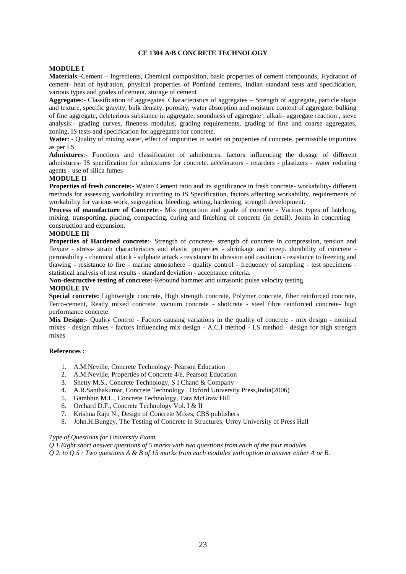### **CE 1304 A/B CONCRETE TECHNOLOGY**

#### **MODULE I**

**Materials**:-Cement – Ingredients, Chemical composition, basic properties of cement compounds, Hydration of cement- heat of hydration, physical properties of Portland cements, Indian standard tests and specification, various types and grades of cement, storage of cement

**Aggregates**:- Classification of aggregates. Characteristics of aggregates – Strength of aggregate, particle shape and texture, specific gravity, bulk density, porosity, water absorption and moisture content of aggregate, bulking of fine aggregate, deleterious substance in aggregate, soundness of aggregate , alkali- aggregate reaction , sieve analysis:- grading curves, fineness modulus, grading requirements, grading of fine and coarse aggregates, zoning, IS tests and specification for aggregates for concrete.

**Water**: - Quality of mixing water, effect of impurities in water on properties of concrete. permissible impurities as per I.S

**Admixtures**:- Functions and classification of admixtures, factors influencing the dosage of different admixtures- IS specification for admixtures for concrete. accelerators - retarders - plastizers - water reducing agents - use of silica fumes

#### **MODULE II**

**Properties of fresh concrete:-** Water/ Cement ratio and its significance in fresh concrete- workability- different methods for assessing workability according to IS Specification, factors affecting workability, requirements of workability for various work, segregation, bleeding, setting, hardening, strength development.

**Process of manufacture of Concrete:**- Mix proportion and grade of concrete - Various types of batching, mixing, transporting, placing, compacting, curing and finishing of concrete (in detail). Joints in concreting – construction and expansion.

#### **MODULE III**

**Properties of Hardened concrete:**- Strength of concrete- strength of concrete in compression, tension and flexure - stress- strain characteristics and elastic properties - shrinkage and creep. durability of concrete permeability - chemical attack - sulphate attack - resistance to abrasion and cavitaion - resistance to freezing and thawing - resistance to fire - marine atmosphere - quality control - frequency of sampling - test specimens statistical analysis of test results - standard deviation - acceptance criteria.

**Non-destructive testing of concrete:**-Rebound hammer and ultrasonic pulse velocity testing

#### **MODULE 1V**

**Special concrete:** Lightweight concrete, High strength concrete, Polymer concrete, fiber reinforced concrete, Ferro-cement, Ready mixed concrete. vacuum concrete - shotcrete - steel fibre reinforced concrete- high performance concrete.

**Mix Design:-** Quality Control - Factors causing variations in the quality of concrete - mix design - nominal mixes - design mixes - factors influencing mix design - A.C.I method - I.S method - design for high strength mixes

## **References :**

- 1. A.M.Neville, Concrete Technology- Pearson Education
- 2. A.M.Neville, Properties of Concrete 4/e, Pearson Education
- 3. Shetty M.S., Concrete Technology, S I Chand & Company
- 4. A.R.Santhakumar, Concrete Technology , Oxford University Press,India(2006)
- 5. Gambhin M.L., Concrete Technology, Tata McGraw Hill
- 6. Orchard D.F., Concrete Technology Vol. I & II
- 7. Krishna Raju N., Design of Concrete Mixes, CBS publishers
- 8. John.H.Bungey, The Testing of Concrete in Structures, Urrey University of Press Hall

### *Type of Questions for University Exam.*

*Q 1.Eight short answer questions of 5 marks with two questions from each of the four modules.*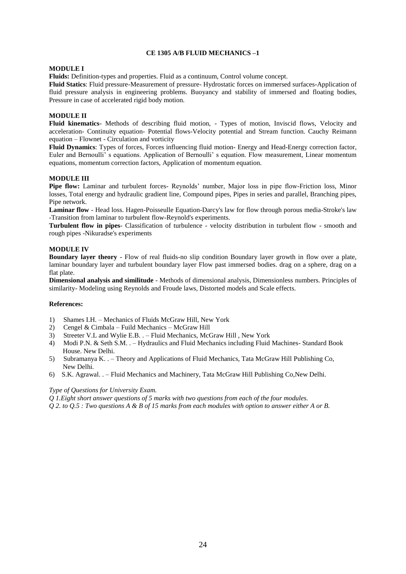# **CE 1305 A/B FLUID MECHANICS –1**

#### **MODULE I**

**Fluids:** Definition-types and properties. Fluid as a continuum, Control volume concept.

**Fluid Statics**: Fluid pressure-Measurement of pressure- Hydrostatic forces on immersed surfaces-Application of fluid pressure analysis in engineering problems. Buoyancy and stability of immersed and floating bodies, Pressure in case of accelerated rigid body motion.

# **MODULE II**

**Fluid kinematics**- Methods of describing fluid motion, - Types of motion, Inviscid flows, Velocity and acceleration- Continuity equation- Potential flows-Velocity potential and Stream function. Cauchy Reimann equation – Flownet - Circulation and vorticity

**Fluid Dynamics**: Types of forces, Forces influencing fluid motion- Energy and Head-Energy correction factor, Euler and Bernoulli' s equations. Application of Bernoulli' s equation. Flow measurement, Linear momentum equations, momentum correction factors, Application of momentum equation.

#### **MODULE III**

**Pipe flow:** Laminar and turbulent forces- Reynolds' number, Major loss in pipe flow-Friction loss, Minor losses, Total energy and hydraulic gradient line, Compound pipes, Pipes in series and parallel, Branching pipes, Pipe network.

**Laminar flow** - Head loss. Hagen-Poisseulle Equation-Darcy's law for flow through porous media-Stroke's law -Transition from laminar to turbulent flow-Reynold's experiments.

**Turbulent flow in pipes**- Classification of turbulence - velocity distribution in turbulent flow - smooth and rough pipes -Nikuradse's experiments

#### **MODULE IV**

**Boundary layer theory** - Flow of real fluids-no slip condition Boundary layer growth in flow over a plate, laminar boundary layer and turbulent boundary layer Flow past immersed bodies. drag on a sphere, drag on a flat plate.

**Dimensional analysis and similitude** - Methods of dimensional analysis, Dimensionless numbers. Principles of similarity- Modeling using Reynolds and Froude laws, Distorted models and Scale effects.

# **References:**

- 1) Shames I.H. Mechanics of Fluids McGraw Hill, New York
- 2) Cengel & Cimbala Fuild Mechanics McGraw Hill
- 3) Streeter V.L and Wylie E.B. . Fluid Mechanics, McGraw Hill , New York
- 4) Modi P.N. & Seth S.M. . Hydraulics and Fluid Mechanics including Fluid Machines- Standard Book House. New Delhi.
- 5) Subramanya K. . Theory and Applications of Fluid Mechanics, Tata McGraw Hill Publishing Co, New Delhi.
- 6) S.K. Agrawal. . Fluid Mechanics and Machinery, Tata McGraw Hill Publishing Co,New Delhi.

#### *Type of Questions for University Exam.*

*Q 1.Eight short answer questions of 5 marks with two questions from each of the four modules.*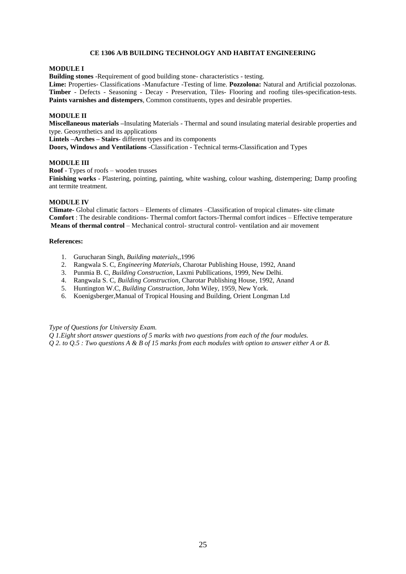### **CE 1306 A/B BUILDING TECHNOLOGY AND HABITAT ENGINEERING**

#### **MODULE I**

**Building stones** -Requirement of good building stone- characteristics - testing.

**Lime:** Properties- Classifications -Manufacture -Testing of lime. **Pozzolona:** Natural and Artificial pozzolonas. **Timber** - Defects - Seasoning - Decay - Preservation, Tiles- Flooring and roofing tiles-specification-tests. **Paints varnishes and distempers**, Common constituents, types and desirable properties.

# **MODULE II**

**Miscellaneous materials –**Insulating Materials - Thermal and sound insulating material desirable properties and type. Geosynthetics and its applications

**Lintels –Arches – Stairs**- different types and its components

**Doors, Windows and Ventilations** -Classification - Technical terms-Classification and Types

#### **MODULE III**

**Roof** - Types of roofs – wooden trusses

**Finishing works** - Plastering, pointing, painting, white washing, colour washing, distempering; Damp proofing ant termite treatment.

#### **MODULE IV**

**Climate-** Global climatic factors – Elements of climates –Classification of tropical climates- site climate **Comfort** : The desirable conditions- Thermal comfort factors-Thermal comfort indices – Effective temperature **Means of thermal control** – Mechanical control- structural control- ventilation and air movement

#### **References:**

- 1. Gurucharan Singh, *Building materials,*,1996
- 2. Rangwala S. C, *Engineering Materials*, Charotar Publishing House, 1992, Anand
- 3. Punmia B. C, *Building Construction*, Laxmi Publlications, 1999, New Delhi.
- 4. Rangwala S. C, *Building Construction*, Charotar Publishing House, 1992, Anand
- 5. Huntington W.C, *Building Construction*, John Wiley, 1959, New York.
- 6. Koenigsberger,Manual of Tropical Housing and Building, Orient Longman Ltd

### *Type of Questions for University Exam.*

*Q 1.Eight short answer questions of 5 marks with two questions from each of the four modules. Q 2. to Q.5 : Two questions A & B of 15 marks from each modules with option to answer either A or B.*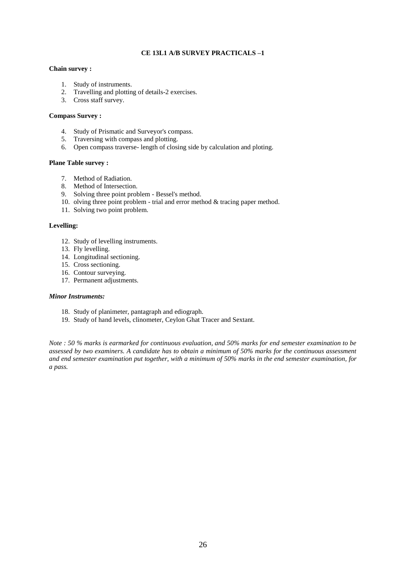# **CE 13L1 A/B SURVEY PRACTICALS –1**

#### **Chain survey :**

- 1. Study of instruments.
- 2. Travelling and plotting of details-2 exercises.
- 3. Cross staff survey.

# **Compass Survey :**

- 4. Study of Prismatic and Surveyor's compass.
- 5. Traversing with compass and plotting.
- 6. Open compass traverse- length of closing side by calculation and ploting.

# **Plane Table survey :**

- 7. Method of Radiation.
- 8. Method of Intersection.
- 9. Solving three point problem Bessel's method.
- 10. olving three point problem trial and error method & tracing paper method.
- 11. Solving two point problem.

#### **Levelling:**

- 12. Study of levelling instruments.
- 13. Fly levelling.
- 14. Longitudinal sectioning.
- 15. Cross sectioning.
- 16. Contour surveying.
- 17. Permanent adjustments.

# *Minor Instruments:*

- 18. Study of planimeter, pantagraph and ediograph.
- 19. Study of hand levels, clinometer, Ceylon Ghat Tracer and Sextant.

*Note : 50 % marks is earmarked for continuous evaluation, and 50% marks for end semester examination to be assessed by two examiners. A candidate has to obtain a minimum of 50% marks for the continuous assessment and end semester examination put together, with a minimum of 50% marks in the end semester examination, for a pass.*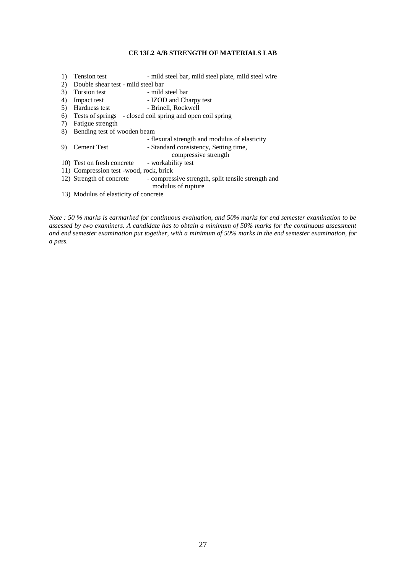# **CE 13L2 A/B STRENGTH OF MATERIALS LAB**

- 1) Tension test mild steel bar, mild steel plate, mild steel wire
- 2) Double shear test mild steel bar<br>3) Torsion test mild steel bar
- 3) Torsion test
- 4) Impact test IZOD and Charpy test<br>5) Hardness test Brinell, Rockwell
- 5) Hardness test
- 6) Tests of springs closed coil spring and open coil spring
- 7) Fatigue strength
- 8) Bending test of wooden beam
	- flexural strength and modulus of elasticity
- 9) Cement Test Standard consistency, Setting time, compressive strength 10) Test on fresh concrete - workability test
- 11) Compression test -wood, rock, brick
- 12) Strength of concrete compressive strength, split tensile strength and modulus of rupture
- 13) Modulus of elasticity of concrete

*Note : 50 % marks is earmarked for continuous evaluation, and 50% marks for end semester examination to be assessed by two examiners. A candidate has to obtain a minimum of 50% marks for the continuous assessment and end semester examination put together, with a minimum of 50% marks in the end semester examination, for a pass.*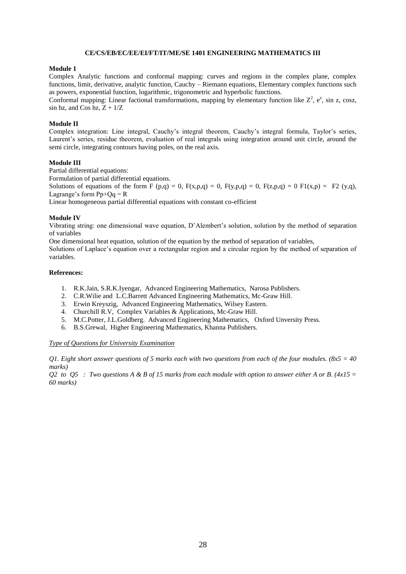#### **CE/CS/EB/EC/EE/EI/FT/IT/ME/SE 1401 ENGINEERING MATHEMATICS III**

#### **Module 1**

Complex Analytic functions and conformal mapping: curves and regions in the complex plane, complex functions, limit, derivative, analytic function, Cauchy – Riemann equations, Elementary complex functions such as powers, exponential function, logarithmic, trigonometric and hyperbolic functions.

Conformal mapping: Linear factional transformations, mapping by elementary function like  $Z^2$ ,  $e^z$ , sin z, cosz, sin hz, and Cos hz,  $Z + 1/Z$ 

#### **Module II**

Complex integration: Line integral, Cauchy's integral theorem, Cauchy's integral formula, Taylor's series, Laurent's series, residue theorem, evaluation of real integrals using integration around unit circle, around the semi circle, integrating contours having poles, on the real axis.

#### **Module III**

Partial differential equations:

Formulation of partial differential equations.

Solutions of equations of the form F  $(p,q) = 0$ ,  $F(x,p,q) = 0$ ,  $F(y,p,q) = 0$ ,  $F(z,p,q) = 0$   $F1(x,p) = F2(y,q)$ , Lagrange's form  $Pp+Qq = R$ 

Linear homogeneous partial differential equations with constant co-efficient

#### **Module IV**

Vibrating string: one dimensional wave equation, D'Alembert's solution, solution by the method of separation of variables

One dimensional heat equation, solution of the equation by the method of separation of variables,

Solutions of Laplace's equation over a rectangular region and a circular region by the method of separation of variables.

# **References:**

- 1. R.K.Jain, S.R.K.Iyengar, Advanced Engineering Mathematics, Narosa Publishers.
- 2. C.R.Wilie and L.C.Barrett Advanced Engineering Mathematics, Mc-Graw Hill.
- 3. Erwin Kreyszig, Advanced Engineering Mathematics, Wilsey Eastern.
- 4. Churchill R.V, Complex Variables & Applications, Mc-Graw Hill.
- 5. M.C.Potter, J.L.Goldberg. Advanced Engineering Mathematics, Oxford Unversity Press.
- 6. B.S.Grewal, Higher Engineering Mathematics, Khanna Publishers.

#### *Type of Questions for University Examination*

*Q1. Eight short answer questions of 5 marks each with two questions from each of the four modules. (8x5 = 40 marks)*

*Q2 to Q5 : Two questions A & B of 15 marks from each module with option to answer either A or B. (4x15 = 60 marks)*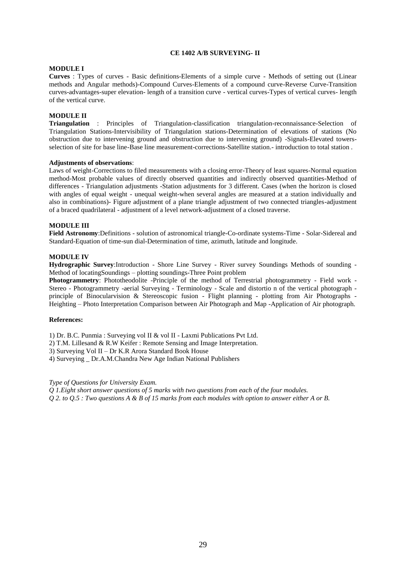#### **CE 1402 A/B SURVEYING- II**

#### **MODULE I**

**Curves** : Types of curves - Basic definitions-Elements of a simple curve - Methods of setting out (Linear methods and Angular methods)-Compound Curves-Elements of a compound curve-Reverse Curve-Transition curves-advantages-super elevation- length of a transition curve - vertical curves-Types of vertical curves- length of the vertical curve.

# **MODULE II**

**Triangulation** : Principles of Triangulation-classification triangulation-reconnaissance-Selection of Triangulation Stations-Intervisibility of Triangulation stations-Determination of elevations of stations (No obstruction due to intervening ground and obstruction due to intervening ground) -Signals-Elevated towersselection of site for base line-Base line measurement-corrections-Satellite station.- introduction to total station .

#### **Adjustments of observations**:

Laws of weight-Corrections to filed measurements with a closing error-Theory of least squares-Normal equation method-Most probable values of directly observed quantities and indirectly observed quantities-Method of differences - Triangulation adjustments -Station adjustments for 3 different. Cases (when the horizon is closed with angles of equal weight - unequal weight-when several angles are measured at a station individually and also in combinations)- Figure adjustment of a plane triangle adjustment of two connected triangles-adjustment of a braced quadrilateral - adjustment of a level network-adjustment of a closed traverse.

#### **MODULE III**

**Field Astronomy**:Definitions - solution of astronomical triangle-Co-ordinate systems-Time - Solar-Sidereal and Standard-Equation of time-sun dial-Determination of time, azimuth, latitude and longitude.

#### **MODULE IV**

**Hydrographic Survey**:Introduction - Shore Line Survey - River survey Soundings Methods of sounding - Method of locatingSoundings – plotting soundings-Three Point problem

**Photogrammetry**: Phototheodolite -Principle of the method of Terrestrial photogrammetry - Field work - Stereo - Photogrammetry -aerial Surveying - Terminology - Scale and distortio n of the vertical photograph principle of Binocularvision & Stereoscopic fusion - Flight planning - plotting from Air Photographs - Heighting – Photo Interpretation Comparison between Air Photograph and Map -Application of Air photograph.

#### **References:**

1) Dr. B.C. Punmia : Surveying vol II & vol II - Laxmi Publications Pvt Ltd.

- 2) T.M. Lillesand & R.W Keifer : Remote Sensing and Image Interpretation.
- 3) Surveying Vol II Dr K.R Arora Standard Book House
- 4) Surveying \_ Dr.A.M.Chandra New Age Indian National Publishers

*Type of Questions for University Exam.*

*Q 1.Eight short answer questions of 5 marks with two questions from each of the four modules.*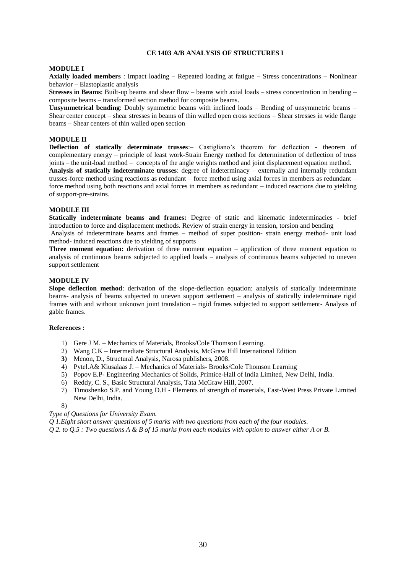#### **CE 1403 A/B ANALYSIS OF STRUCTURES I**

#### **MODULE I**

**Axially loaded members** : Impact loading – Repeated loading at fatigue – Stress concentrations – Nonlinear behavior – Elastoplastic analysis

**Stresses in Beams**: Built-up beams and shear flow – beams with axial loads – stress concentration in bending – composite beams – transformed section method for composite beams.

**Unsymmetrical bending**: Doubly symmetric beams with inclined loads – Bending of unsymmetric beams – Shear center concept – shear stresses in beams of thin walled open cross sections – Shear stresses in wide flange beams – Shear centers of thin walled open section

#### **MODULE II**

**Deflection of statically determinate trusses**:– Castigliano's theorem for deflection - theorem of complementary energy – principle of least work-Strain Energy method for determination of deflection of truss joints – the unit-load method – concepts of the angle weights method and joint displacement equation method.

**Analysis of statically indeterminate trusses**: degree of indeterminacy – externally and internally redundant trusses-force method using reactions as redundant – force method using axial forces in members as redundant – force method using both reactions and axial forces in members as redundant – induced reactions due to yielding of support-pre-strains.

#### **MODULE III**

**Statically indeterminate beams and frames:** Degree of static and kinematic indeterminacies - brief introduction to force and displacement methods. Review of strain energy in tension, torsion and bending

Analysis of indeterminate beams and frames – method of super position- strain energy method- unit load method- induced reactions due to yielding of supports

**Three moment equation:** derivation of three moment equation – application of three moment equation to analysis of continuous beams subjected to applied loads – analysis of continuous beams subjected to uneven support settlement

# **MODULE IV**

**Slope deflection method**: derivation of the slope-deflection equation: analysis of statically indeterminate beams- analysis of beams subjected to uneven support settlement – analysis of statically indeterminate rigid frames with and without unknown joint translation – rigid frames subjected to support settlement- Analysis of gable frames.

### **References :**

- 1) Gere J M. Mechanics of Materials, Brooks/Cole Thomson Learning.
- 2) Wang C.K Intermediate Structural Analysis, McGraw Hill International Edition
- **3)** Menon, D., Structural Analysis, Narosa publishers, 2008.
- 4) Pytel.A& Kiusalaas J. Mechanics of Materials- Brooks/Cole Thomson Learning
- 5) Popov E.P- Engineering Mechanics of Solids, Printice-Hall of India Limited, New Delhi, India.
- 6) Reddy, C. S., Basic Structural Analysis, Tata McGraw Hill, 2007.
- 7) Timoshenko S.P. and Young D.H Elements of strength of materials, East-West Press Private Limited New Delhi, India.

8)

# *Type of Questions for University Exam.*

*Q 1.Eight short answer questions of 5 marks with two questions from each of the four modules.*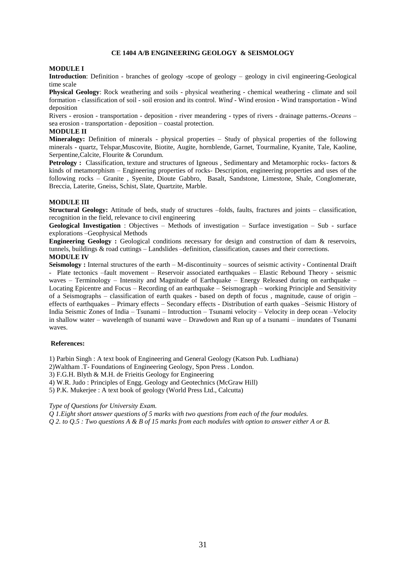#### **CE 1404 A/B ENGINEERING GEOLOGY & SEISMOLOGY**

#### **MODULE I**

**Introduction**: Definition - branches of geology -scope of geology – geology in civil engineering-Geological time scale

**Physical Geology**: Rock weathering and soils - physical weathering - chemical weathering - climate and soil formation - classification of soil - soil erosion and its control. *Wind* - Wind erosion - Wind transportation - Wind deposition

Rivers - erosion - transportation - deposition - river meandering - types of rivers - drainage patterns.-*Oceans* – sea erosion - transportation - deposition – coastal protection.

#### **MODULE II**

**Mineralogy:** Definition of minerals - physical properties – Study of physical properties of the following minerals - quartz, Telspar,Muscovite, Biotite, Augite, hornblende, Garnet, Tourmaline, Kyanite, Tale, Kaoline, Serpentine,Calcite, Flourite & Corundum.

**Petrology :** Classification, texture and structures of Igneous, Sedimentary and Metamorphic rocks- factors & kinds of metamorphism – Engineering properties of rocks- Description, engineering properties and uses of the following rocks – Granite , Syenite, Dioute Gabbro, Basalt, Sandstone, Limestone, Shale, Conglomerate, Breccia, Laterite, Gneiss, Schist, Slate, Quartzite, Marble.

#### **MODULE III**

**Structural Geology:** Attitude of beds, study of structures –folds, faults, fractures and joints – classification, recognition in the field, relevance to civil engineering

**Geological Investigation** : Objectives – Methods of investigation – Surface investigation – Sub - surface explorations –Geophysical Methods

**Engineering Geology :** Geological conditions necessary for design and construction of dam & reservoirs, tunnels, buildings & road cuttings – Landslides –definition, classification, causes and their corrections.

# **MODULE IV**

**Seismology :** Internal structures of the earth – M-discontinuity – sources of seismic activity - Continental Draift - Plate tectonics –fault movement – Reservoir associated earthquakes – Elastic Rebound Theory - seismic waves – Terminology – Intensity and Magnitude of Earthquake – Energy Released during on earthquake – Locating Epicentre and Focus – Recording of an earthquake – Seismograph – working Principle and Sensitivity of a Seismographs – classification of earth quakes - based on depth of focus , magnitude, cause of origin – effects of earthquakes – Primary effects – Secondary effects - Distribution of earth quakes –Seismic History of India Seismic Zones of India – Tsunami – Introduction – Tsunami velocity – Velocity in deep ocean –Velocity in shallow water – wavelength of tsunami wave – Drawdown and Run up of a tsunami – inundates of Tsunami waves.

#### **References:**

1) Parbin Singh : A text book of Engineering and General Geology (Katson Pub. Ludhiana)

2)Waltham .T- Foundations of Engineering Geology, Spon Press . London.

3) F.G.H. Blyth & M.H. de Frieitis Geology for Engineering

4) W.R. Judo : Principles of Engg. Geology and Geotechnics (McGraw Hill)

5) P.K. Mukerjee : A text book of geology (World Press Ltd., Calcutta)

*Type of Questions for University Exam.*

*Q 1.Eight short answer questions of 5 marks with two questions from each of the four modules.*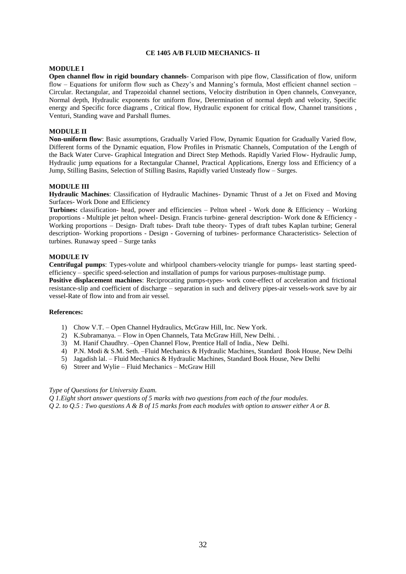### **CE 1405 A/B FLUID MECHANICS- II**

#### **MODULE I**

**Open channel flow in rigid boundary channels**- Comparison with pipe flow, Classification of flow, uniform flow – Equations for uniform flow such as Chezy's and Manning's formula, Most efficient channel section – Circular. Rectangular, and Trapezoidal channel sections, Velocity distribution in Open channels, Conveyance, Normal depth, Hydraulic exponents for uniform flow, Determination of normal depth and velocity, Specific energy and Specific force diagrams , Critical flow, Hydraulic exponent for critical flow, Channel transitions , Venturi, Standing wave and Parshall flumes.

# **MODULE II**

**Non-uniform flow**: Basic assumptions, Gradually Varied Flow, Dynamic Equation for Gradually Varied flow, Different forms of the Dynamic equation, Flow Profiles in Prismatic Channels, Computation of the Length of the Back Water Curve- Graphical Integration and Direct Step Methods. Rapidly Varied Flow- Hydraulic Jump, Hydraulic jump equations for a Rectangular Channel, Practical Applications, Energy loss and Efficiency of a Jump, Stilling Basins, Selection of Stilling Basins, Rapidly varied Unsteady flow – Surges.

#### **MODULE III**

**Hydraulic Machines**: Classification of Hydraulic Machines- Dynamic Thrust of a Jet on Fixed and Moving Surfaces- Work Done and Efficiency

**Turbines:** classification- head, power and efficiencies – Pelton wheel - Work done & Efficiency – Working proportions - Multiple jet pelton wheel- Design. Francis turbine- general description- Work done & Efficiency - Working proportions – Design- Draft tubes- Draft tube theory- Types of draft tubes Kaplan turbine; General description- Working proportions - Design - Governing of turbines- performance Characteristics- Selection of turbines. Runaway speed – Surge tanks

# **MODULE IV**

**Centrifugal pumps**: Types-volute and whirlpool chambers-velocity triangle for pumps- least starting speedefficiency – specific speed-selection and installation of pumps for various purposes-multistage pump.

**Positive displacement machines**: Reciprocating pumps-types- work cone-effect of acceleration and frictional resistance-slip and coefficient of discharge – separation in such and delivery pipes-air vessels-work save by air vessel-Rate of flow into and from air vessel.

#### **References:**

- 1) Chow V.T. Open Channel Hydraulics, McGraw Hill, Inc. New York.
- 2) K.Subramanya. Flow in Open Channels, Tata McGraw Hill, New Delhi. .
- 3) M. Hanif Chaudhry. –Open Channel Flow, Prentice Hall of India., New Delhi.
- 4) P.N. Modi & S.M. Seth. –Fluid Mechanics & Hydraulic Machines, Standard Book House, New Delhi
- 5) Jagadish lal. Fluid Mechanics & Hydraulic Machines, Standard Book House, New Delhi
- 6) Streer and Wylie Fluid Mechanics McGraw Hill

#### *Type of Questions for University Exam.*

*Q 1.Eight short answer questions of 5 marks with two questions from each of the four modules. Q 2. to Q.5 : Two questions A & B of 15 marks from each modules with option to answer either A or B.*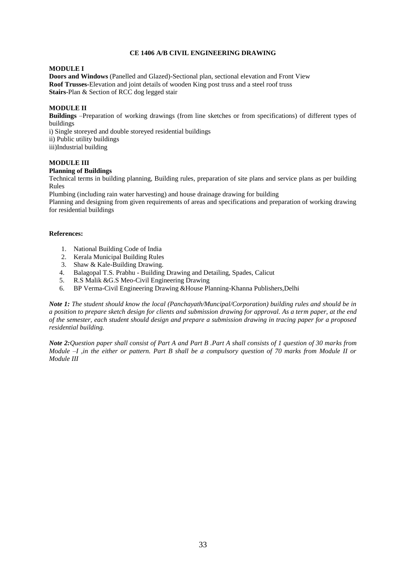# **CE 1406 A/B CIVIL ENGINEERING DRAWING**

#### **MODULE I**

**Doors and Windows** (Panelled and Glazed)-Sectional plan, sectional elevation and Front View **Roof Trusses-**Elevation and joint details of wooden King post truss and a steel roof truss **Stairs**-Plan & Section of RCC dog legged stair

# **MODULE II**

**Buildings** –Preparation of working drawings (from line sketches or from specifications) of different types of buildings

i) Single storeyed and double storeyed residential buildings ii) Public utility buildings iii)Industrial building

# **MODULE III**

#### **Planning of Buildings**

Technical terms in building planning, Building rules, preparation of site plans and service plans as per building Rules

Plumbing (including rain water harvesting) and house drainage drawing for building

Planning and designing from given requirements of areas and specifications and preparation of working drawing for residential buildings

#### **References:**

- 1. National Building Code of India
- 2. Kerala Municipal Building Rules
- 3. Shaw & Kale-Building Drawing.
- 4. Balagopal T.S. Prabhu Building Drawing and Detailing, Spades, Calicut
- 5. R.S Malik &G.S Meo-Civil Engineering Drawing
- 6. BP Verma-Civil Engineering Drawing &House Planning-Khanna Publishers,Delhi

*Note 1: The student should know the local (Panchayath/Muncipal/Corporation) building rules and should be in a position to prepare sketch design for clients and submission drawing for approval. As a term paper, at the end of the semester, each student should design and prepare a submission drawing in tracing paper for a proposed residential building.* 

*Note 2:Question paper shall consist of Part A and Part B .Part A shall consists of 1 question of 30 marks from Module –I ,in the either or pattern. Part B shall be a compulsory question of 70 marks from Module II or Module III*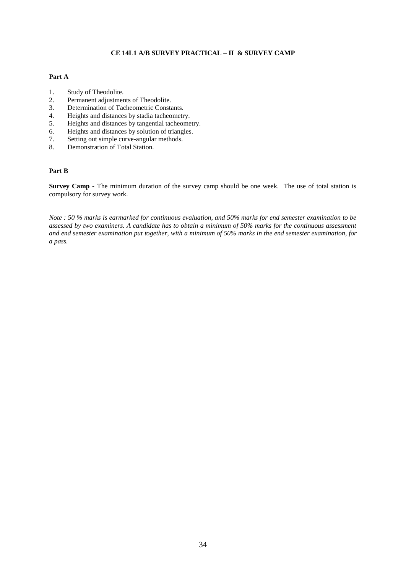# **CE 14L1 A/B SURVEY PRACTICAL – II & SURVEY CAMP**

### **Part A**

- 1. Study of Theodolite.
- 2. Permanent adjustments of Theodolite.<br>3. Determination of Tacheometric Consta
- Determination of Tacheometric Constants.
- 4. Heights and distances by stadia tacheometry.
- 5. Heights and distances by tangential tacheometry.<br>6. Heights and distances by solution of triangles.
- Heights and distances by solution of triangles.
- 7. Setting out simple curve-angular methods.
- 8. Demonstration of Total Station.

# **Part B**

**Survey Camp -** The minimum duration of the survey camp should be one week. The use of total station is compulsory for survey work.

*Note : 50 % marks is earmarked for continuous evaluation, and 50% marks for end semester examination to be assessed by two examiners. A candidate has to obtain a minimum of 50% marks for the continuous assessment and end semester examination put together, with a minimum of 50% marks in the end semester examination, for a pass.*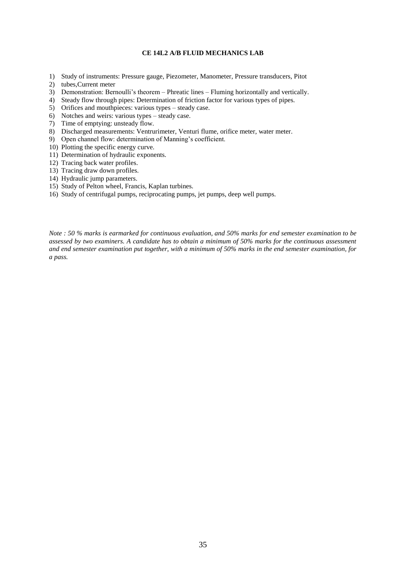# **CE 14L2 A/B FLUID MECHANICS LAB**

- 1) Study of instruments: Pressure gauge, Piezometer, Manometer, Pressure transducers, Pitot
- 2) tubes,Current meter
- 3) Demonstration: Bernoulli's theorem Phreatic lines Fluming horizontally and vertically.
- 4) Steady flow through pipes: Determination of friction factor for various types of pipes.
- 5) Orifices and mouthpieces: various types steady case.
- 6) Notches and weirs: various types steady case.
- 7) Time of emptying: unsteady flow.
- 8) Discharged measurements: Ventrurimeter, Venturi flume, orifice meter, water meter.
- 9) Open channel flow: determination of Manning's coefficient.
- 10) Plotting the specific energy curve.
- 11) Determination of hydraulic exponents.
- 12) Tracing back water profiles.
- 13) Tracing draw down profiles.
- 14) Hydraulic jump parameters.
- 15) Study of Pelton wheel, Francis, Kaplan turbines.
- 16) Study of centrifugal pumps, reciprocating pumps, jet pumps, deep well pumps.

*Note : 50 % marks is earmarked for continuous evaluation, and 50% marks for end semester examination to be assessed by two examiners. A candidate has to obtain a minimum of 50% marks for the continuous assessment and end semester examination put together, with a minimum of 50% marks in the end semester examination, for a pass.*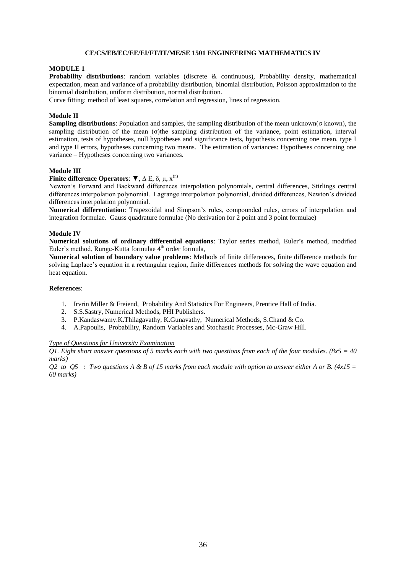#### **CE/CS/EB/EC/EE/EI/FT/IT/ME/SE 1501 ENGINEERING MATHEMATICS IV**

#### **MODULE 1**

**Probability distributions**: random variables (discrete & continuous), Probability density, mathematical expectation, mean and variance of a probability distribution, binomial distribution, Poisson approximation to the binomial distribution, uniform distribution, normal distribution.

Curve fitting: method of least squares, correlation and regression, lines of regression.

# **Module II**

**Sampling distributions**: Population and samples, the sampling distribution of the mean unknown(σ known), the sampling distribution of the mean (σ)the sampling distribution of the variance, point estimation, interval estimation, tests of hypotheses, null hypotheses and significance tests, hypothesis concerning one mean, type I and type II errors, hypotheses concerning two means. The estimation of variances: Hypotheses concerning one variance – Hypotheses concerning two variances.

#### **Module III**

### **Finite difference Operators:**  $\blacktriangledown$ ,  $\Delta$  E,  $\delta$ ,  $\mu$ ,  $x^{(n)}$

Newton's Forward and Backward differences interpolation polynomials, central differences, Stirlings central differences interpolation polynomial. Lagrange interpolation polynomial, divided differences, Newton's divided differences interpolation polynomial.

**Numerical differentiation**: Trapezoidal and Simpson's rules, compounded rules, errors of interpolation and integration formulae. Gauss quadrature formulae (No derivation for 2 point and 3 point formulae)

#### **Module IV**

**Numerical solutions of ordinary differential equations**: Taylor series method, Euler's method, modified Euler's method, Runge-Kutta formulae  $4<sup>th</sup>$  order formula,

**Numerical solution of boundary value problems**: Methods of finite differences, finite difference methods for solving Laplace's equation in a rectangular region, finite differences methods for solving the wave equation and heat equation.

# **References**:

- 1. Irvrin Miller & Freiend, Probability And Statistics For Engineers, Prentice Hall of India.
- 2. S.S.Sastry, Numerical Methods, PHI Publishers.
- 3. P.Kandaswamy.K.Thilagavathy, K.Gunavathy, Numerical Methods, S.Chand & Co.
- 4. A.Papoulis, Probability, Random Variables and Stochastic Processes, Mc-Graw Hill.

#### *Type of Questions for University Examination*

*Q1. Eight short answer questions of 5 marks each with two questions from each of the four modules. (8x5 = 40 marks)*

*Q2 to Q5 : Two questions A & B of 15 marks from each module with option to answer either A or B. (4x15 = 60 marks)*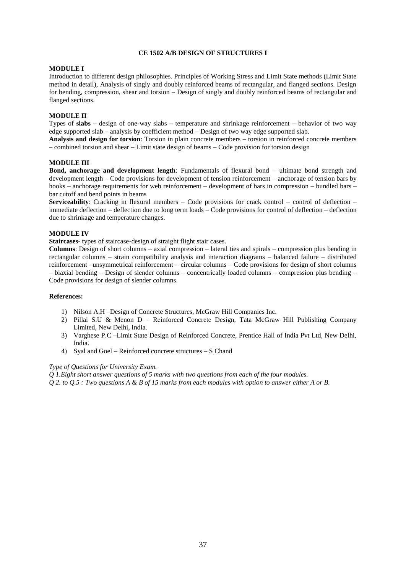# **CE 1502 A/B DESIGN OF STRUCTURES I**

# **MODULE I**

Introduction to different design philosophies. Principles of Working Stress and Limit State methods (Limit State method in detail), Analysis of singly and doubly reinforced beams of rectangular, and flanged sections. Design for bending, compression, shear and torsion – Design of singly and doubly reinforced beams of rectangular and flanged sections.

# **MODULE II**

Types of **slabs** – design of one-way slabs – temperature and shrinkage reinforcement – behavior of two way edge supported slab – analysis by coefficient method – Design of two way edge supported slab.

**Analysis and design for torsion**: Torsion in plain concrete members – torsion in reinforced concrete members – combined torsion and shear – Limit state design of beams – Code provision for torsion design

#### **MODULE III**

**Bond, anchorage and development length**: Fundamentals of flexural bond – ultimate bond strength and development length – Code provisions for development of tension reinforcement – anchorage of tension bars by hooks – anchorage requirements for web reinforcement – development of bars in compression – bundled bars – bar cutoff and bend points in beams

**Serviceability**: Cracking in flexural members – Code provisions for crack control – control of deflection – immediate deflection – deflection due to long term loads – Code provisions for control of deflection – deflection due to shrinkage and temperature changes.

#### **MODULE IV**

**Staircases**- types of staircase-design of straight flight stair cases.

**Columns**: Design of short columns – axial compression – lateral ties and spirals – compression plus bending in rectangular columns – strain compatibility analysis and interaction diagrams – balanced failure – distributed reinforcement –unsymmetrical reinforcement – circular columns – Code provisions for design of short columns – biaxial bending – Design of slender columns – concentrically loaded columns – compression plus bending – Code provisions for design of slender columns.

#### **References:**

- 1) Nilson A.H –Design of Concrete Structures, McGraw Hill Companies Inc.
- 2) Pillai S.U & Menon D Reinforced Concrete Design, Tata McGraw Hill Publishing Company Limited, New Delhi, India.
- 3) Varghese P.C –Limit State Design of Reinforced Concrete, Prentice Hall of India Pvt Ltd, New Delhi, India.
- 4) Syal and Goel Reinforced concrete structures S Chand

#### *Type of Questions for University Exam.*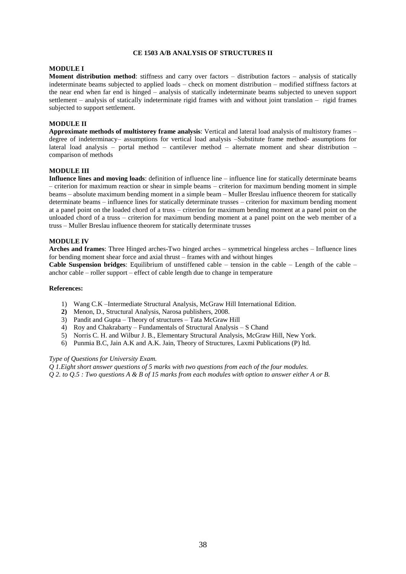# **CE 1503 A/B ANALYSIS OF STRUCTURES II**

## **MODULE I**

**Moment distribution method**: stiffness and carry over factors – distribution factors – analysis of statically indeterminate beams subjected to applied loads – check on moment distribution – modified stiffness factors at the near end when far end is hinged – analysis of statically indeterminate beams subjected to uneven support settlement – analysis of statically indeterminate rigid frames with and without joint translation – rigid frames subjected to support settlement.

#### **MODULE II**

**Approximate methods of multistorey frame analysis**: Vertical and lateral load analysis of multistory frames – degree of indeterminacy– assumptions for vertical load analysis –Substitute frame method- assumptions for lateral load analysis – portal method – cantilever method – alternate moment and shear distribution – comparison of methods

# **MODULE III**

**Influence lines and moving loads**: definition of influence line – influence line for statically determinate beams – criterion for maximum reaction or shear in simple beams – criterion for maximum bending moment in simple beams – absolute maximum bending moment in a simple beam – Muller Breslau influence theorem for statically determinate beams – influence lines for statically determinate trusses – criterion for maximum bending moment at a panel point on the loaded chord of a truss – criterion for maximum bending moment at a panel point on the unloaded chord of a truss – criterion for maximum bending moment at a panel point on the web member of a truss – Muller Breslau influence theorem for statically determinate trusses

#### **MODULE IV**

**Arches and frames**: Three Hinged arches-Two hinged arches – symmetrical hingeless arches – Influence lines for bending moment shear force and axial thrust – frames with and without hinges

**Cable Suspension bridges**: Equilibrium of unstiffened cable – tension in the cable – Length of the cable – anchor cable – roller support – effect of cable length due to change in temperature

#### **References:**

- 1) Wang C.K –Intermediate Structural Analysis, McGraw Hill International Edition.
- **2)** Menon, D., Structural Analysis, Narosa publishers, 2008.
- 3) Pandit and Gupta Theory of structures Tata McGraw Hill
- 4) Roy and Chakrabarty Fundamentals of Structural Analysis S Chand
- 5) Norris C. H. and Wilbur J. B., Elementary Structural Analysis, McGraw Hill, New York.
- 6) Punmia B.C, Jain A.K and A.K. Jain, Theory of Structures, Laxmi Publications (P) ltd.

#### *Type of Questions for University Exam.*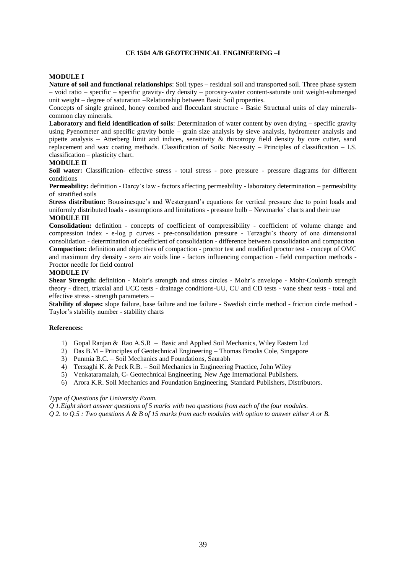# **CE 1504 A/B GEOTECHNICAL ENGINEERING –I**

# **MODULE I**

**Nature of soil and functional relationships**: Soil types – residual soil and transported soil. Three phase system – void ratio – specific – specific gravity- dry density – porosity-water content-saturate unit weight-submerged unit weight – degree of saturation –Relationship between Basic Soil properties.

Concepts of single grained, honey combed and flocculant structure - Basic Structural units of clay mineralscommon clay minerals.

**Laboratory and field identification of soils**: Determination of water content by oven drying – specific gravity using Pyenometer and specific gravity bottle – grain size analysis by sieve analysis, hydrometer analysis and pipette analysis – Atterberg limit and indices, sensitivity  $\&$  thixotropy field density by core cutter, sand replacement and wax coating methods. Classification of Soils: Necessity – Principles of classification – I.S. classification – plasticity chart.

#### **MODULE II**

**Soil water:** Classification- effective stress - total stress - pore pressure - pressure diagrams for different conditions

**Permeability:** definition - Darcy's law - factors affecting permeability - laboratory determination – permeability of stratified soils

**Stress distribution:** Boussinesque's and Westergaard's equations for vertical pressure due to point loads and uniformly distributed loads - assumptions and limitations - pressure bulb – Newmarks` charts and their use **MODULE III**

**Consolidation:** definition - concepts of coefficient of compressibility - coefficient of volume change and compression index - e-log p curves - pre-consolidation pressure - Terzaghi's theory of one dimensional consolidation - determination of coefficient of consolidation - difference between consolidation and compaction **Compaction:** definition and objectives of compaction - proctor test and modified proctor test - concept of OMC and maximum dry density - zero air voids line - factors influencing compaction - field compaction methods - Proctor needle for field control

#### **MODULE IV**

**Shear Strength:** definition - Mohr's strength and stress circles - Mohr's envelope - Mohr-Coulomb strength theory - direct, triaxial and UCC tests - drainage conditions-UU, CU and CD tests - vane shear tests - total and effective stress - strength parameters –

**Stability of slopes:** slope failure, base failure and toe failure - Swedish circle method - friction circle method - Taylor's stability number - stability charts

# **References:**

- 1) Gopal Ranjan & Rao A.S.R Basic and Applied Soil Mechanics, Wiley Eastern Ltd
- 2) Das B.M Principles of Geotechnical Engineering Thomas Brooks Cole, Singapore
- 3) Punmia B.C. Soil Mechanics and Foundations, Saurabh
- 4) Terzaghi K. & Peck R.B. Soil Mechanics in Engineering Practice, John Wiley
- 5) Venkataramaiah, C- Geotechnical Engineering, New Age International Publishers.
- 6) Arora K.R. Soil Mechanics and Foundation Engineering, Standard Publishers, Distributors.

# *Type of Questions for University Exam.*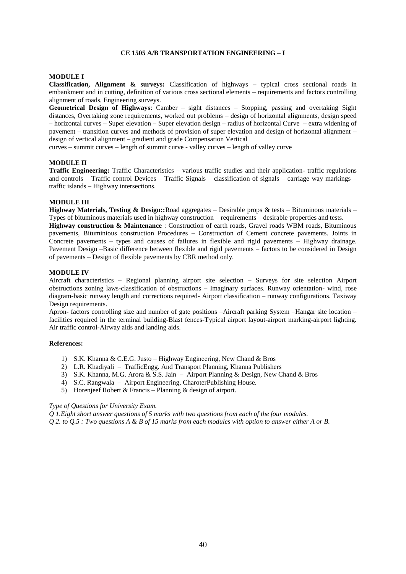#### **CE 1505 A/B TRANSPORTATION ENGINEERING – I**

# **MODULE I**

**Classification, Alignment & surveys:** Classification of highways – typical cross sectional roads in embankment and in cutting, definition of various cross sectional elements – requirements and factors controlling alignment of roads, Engineering surveys.

**Geometrical Design of Highways**: Camber – sight distances – Stopping, passing and overtaking Sight distances, Overtaking zone requirements, worked out problems – design of horizontal alignments, design speed – horizontal curves – Super elevation – Super elevation design – radius of horizontal Curve – extra widening of pavement – transition curves and methods of provision of super elevation and design of horizontal alignment – design of vertical alignment – gradient and grade Compensation Vertical

curves – summit curves – length of summit curve - valley curves – length of valley curve

# **MODULE II**

**Traffic Engineering:** Traffic Characteristics – various traffic studies and their application- traffic regulations and controls – Traffic control Devices – Traffic Signals – classification of signals – carriage way markings – traffic islands – Highway intersections.

#### **MODULE III**

**Highway Materials, Testing & Design::**Road aggregates – Desirable props & tests – Bituminous materials – Types of bituminous materials used in highway construction – requirements – desirable properties and tests.

**Highway construction & Maintenance** : Construction of earth roads, Gravel roads WBM roads, Bituminous pavements, Bituminious construction Procedures – Construction of Cement concrete pavements. Joints in Concrete pavements – types and causes of failures in flexible and rigid pavements – Highway drainage. Pavement Design –Basic difference between flexible and rigid pavements – factors to be considered in Design of pavements – Design of flexible pavements by CBR method only.

#### **MODULE IV**

Aircraft characteristics – Regional planning airport site selection – Surveys for site selection Airport obstructions zoning laws-classification of obstructions – Imaginary surfaces. Runway orientation- wind, rose diagram-basic runway length and corrections required- Airport classification – runway configurations. Taxiway Design requirements.

Apron- factors controlling size and number of gate positions –Aircraft parking System –Hangar site location – facilities required in the terminal building-Blast fences-Typical airport layout-airport marking-airport lighting. Air traffic control-Airway aids and landing aids.

#### **References:**

- 1) S.K. Khanna & C.E.G. Justo Highway Engineering, New Chand & Bros
- 2) L.R. Khadiyali TrafficEngg. And Transport Planning, Khanna Publishers
- 3) S.K. Khanna, M.G. Arora & S.S. Jain Airport Planning & Design, New Chand & Bros
- 4) S.C. Rangwala Airport Engineering, CharoterPublishing House.
- 5) Horenjeef Robert & Francis Planning & design of airport.

#### *Type of Questions for University Exam.*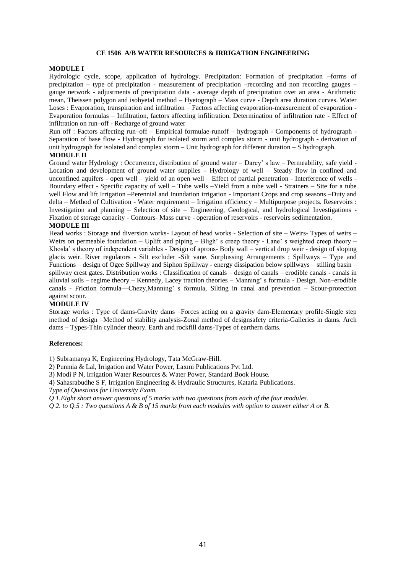#### **CE 1506 A/B WATER RESOURCES & IRRIGATION ENGINEERING**

# **MODULE I**

Hydrologic cycle, scope, application of hydrology. Precipitation: Formation of precipitation –forms of precipitation – type of precipitation - measurement of precipitation –recording and non recording gauges – gauge network - adjustments of precipitation data - average depth of precipitation over an area - Arithmetic mean, Theissen polygon and isohyetal method – Hyetograph – Mass curve - Depth area duration curves. Water Loses : Evaporation, transpiration and infiltration – Factors affecting evaporation-measurement of evaporation - Evaporation formulas – Infiltration, factors affecting infilitration. Determination of infiltration rate - Effect of infiltration on run–off - Recharge of ground water

Run off : Factors affecting run–off – Empirical formulae-runoff – hydrograph - Components of hydrograph - Separation of base flow - Hydrograph for isolated storm and complex storm - unit hydrograph - derivation of unit hydrograph for isolated and complex storm – Unit hydrograph for different duration – S hydrograph. **MODULE II**

Ground water Hydrology : Occurrence, distribution of ground water – Darcy' s law – Permeability, safe yield - Location and development of ground water supplies - Hydrology of well – Steady flow in confined and unconfined aquifers - open well – yield of an open well – Effect of partial penetration - Interference of wells - Boundary effect - Specific capacity of well – Tube wells –Yield from a tube well - Strainers – Site for a tube well Flow and lift Irrigation –Perennial and Inundation irrigation - Important Crops and crop seasons –Duty and delta – Method of Cultivation - Water requirement – Irrigation efficiency – Multipurpose projects. Reservoirs : Investigation and planning – Selection of site – Engineering, Geological, and hydrological Investigations - Fixation of storage capacity - Contours- Mass curve - operation of reservoirs - reservoirs sedimentation.

#### **MODULE III**

Head works : Storage and diversion works- Layout of head works - Selection of site – Weirs- Types of weirs – Weirs on permeable foundation – Uplift and piping – Bligh' s creep theory - Lane' s weighted creep theory – Khosla' s theory of independent variables - Design of aprons- Body wall – vertical drop weir - design of sloping glacis weir. River regulators - Silt excluder -Silt vane. Surplussing Arrangements : Spillways – Type and Functions – design of Ogee Spillway and Siphon Spillway - energy dissipation below spillways – stilling basin – spillway crest gates. Distribution works : Classification of canals – design of canals – erodible canals - canals in alluvial soils – regime theory – Kennedy, Lacey traction theories – Manning' s formula - Design. Non–erodible canals - Friction formula—Chezy,Manning' s formula, Silting in canal and prevention – Scour-protection against scour.

#### **MODULE IV**

Storage works : Type of dams-Gravity dams –Forces acting on a gravity dam-Elementary profile-Single step method of design –Method of stability analysis-Zonal method of designsafety criteria-Galleries in dams. Arch dams – Types-Thin cylinder theory. Earth and rockfill dams-Types of earthern dams.

#### **References:**

1) Subramanya K, Engineering Hydrology, Tata McGraw-Hill.

- 2) Punmia & Lal, Irrigation and Water Power, Laxmi Publications Pvt Ltd.
- 3) Modi P N, Irrigation Water Resources & Water Power, Standard Book House.

4) Sahasrabudhe S F, Irrigation Engineering & Hydraulic Structures, Kataria Publications.

*Type of Questions for University Exam.*

*Q 1.Eight short answer questions of 5 marks with two questions from each of the four modules.*

*Q 2. to Q.5 : Two questions A & B of 15 marks from each modules with option to answer either A or B.*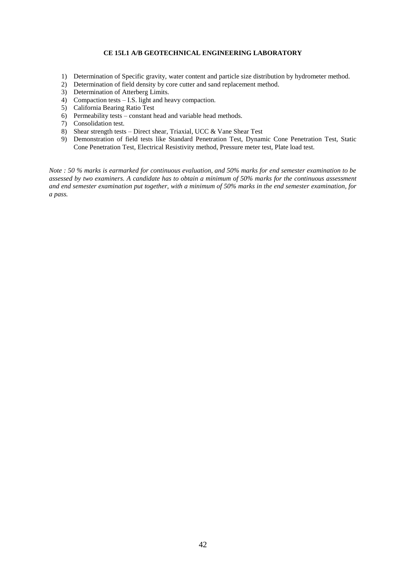# **CE 15L1 A/B GEOTECHNICAL ENGINEERING LABORATORY**

- 1) Determination of Specific gravity, water content and particle size distribution by hydrometer method.
- 2) Determination of field density by core cutter and sand replacement method.
- 3) Determination of Atterberg Limits.
- 4) Compaction tests I.S. light and heavy compaction.
- 5) California Bearing Ratio Test
- 6) Permeability tests constant head and variable head methods.
- 7) Consolidation test.
- 8) Shear strength tests Direct shear, Triaxial, UCC & Vane Shear Test
- 9) Demonstration of field tests like Standard Penetration Test, Dynamic Cone Penetration Test, Static Cone Penetration Test, Electrical Resistivity method, Pressure meter test, Plate load test.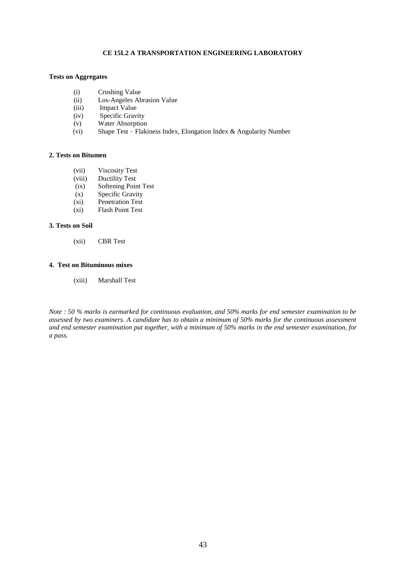# **CE 15L2 A TRANSPORTATION ENGINEERING LABORATORY**

# **Tests on Aggregates**

- (i) Crushing Value
- (ii) Los-Angeles Abrasion Value<br>
(iii) Impact Value
- Impact Value
- (iv) Specific Gravity
- (v) Water Absorption<br>(vi) Shape Test Flaki
- Shape Test Flakiness Index, Elongation Index & Angularity Number

# **2. Tests on Bitumen**

- (vii) Viscosity Test<br>(viii) Ductility Test
- Ductility Test
- (ix) Softening Point Test
- (x) Specific Gravity
- (xi) Penetration Test
- (xi) Flash Point Test

# **3. Tests on Soil**

(xii) CBR Test

# **4. Test on Bituminous mixes**

(xiii) Marshall Test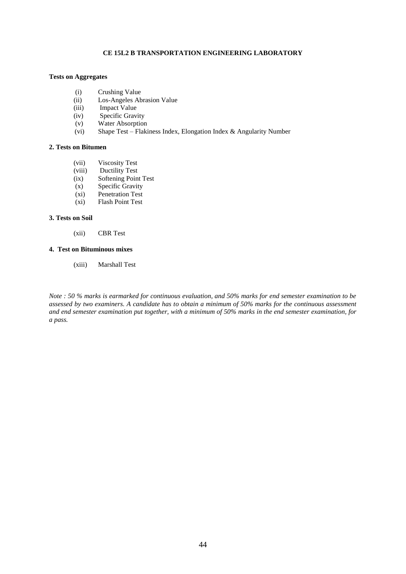# **CE 15L2 B TRANSPORTATION ENGINEERING LABORATORY**

# **Tests on Aggregates**

- (i) Crushing Value
- (ii) Los-Angeles Abrasion Value<br>
(iii) Impact Value
- Impact Value
- (iv) Specific Gravity
- (v) Water Absorption<br>(vi) Shape Test Flaki
- Shape Test Flakiness Index, Elongation Index & Angularity Number

# **2. Tests on Bitumen**

- (vii) Viscosity Test
- (viii) Ductility Test<br>(ix) Softening Poin
- Softening Point Test
- (x) Specific Gravity
- (xi) Penetration Test
- (xi) Flash Point Test

# **3. Tests on Soil**

(xii) CBR Test

#### **4. Test on Bituminous mixes**

(xiii) Marshall Test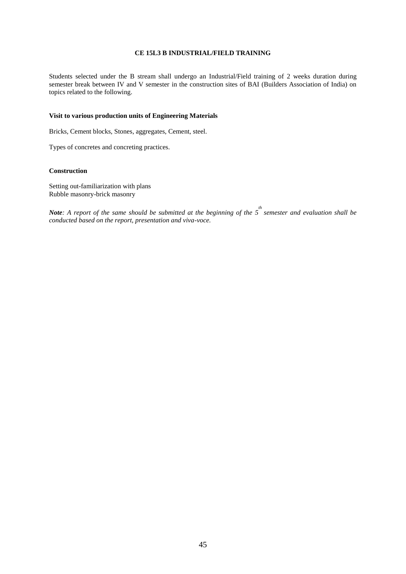# **CE 15L3 B INDUSTRIAL/FIELD TRAINING**

Students selected under the B stream shall undergo an Industrial/Field training of 2 weeks duration during semester break between IV and V semester in the construction sites of BAI (Builders Association of India) on topics related to the following.

# **Visit to various production units of Engineering Materials**

Bricks, Cement blocks, Stones, aggregates, Cement, steel.

Types of concretes and concreting practices.

# **Construction**

Setting out-familiarization with plans Rubble masonry-brick masonry

*Note*: A report of the same should be submitted at the beginning of the 5<sup>th</sup> semester and evaluation shall be *conducted based on the report, presentation and viva-voce.*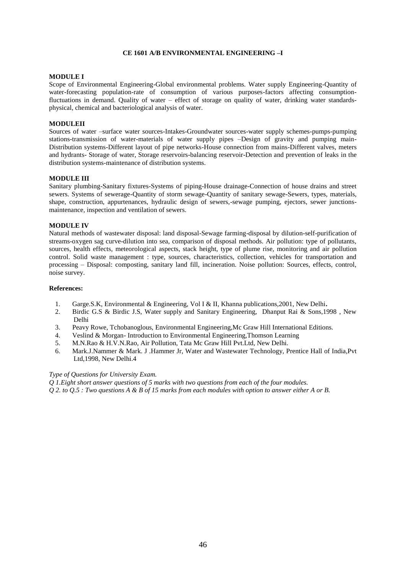# **CE 1601 A/B ENVIRONMENTAL ENGINEERING –I**

# **MODULE I**

Scope of Environmental Engineering-Global environmental problems. Water supply Engineering-Quantity of water-forecasting population-rate of consumption of various purposes-factors affecting consumptionfluctuations in demand. Quality of water – effect of storage on quality of water, drinking water standardsphysical, chemical and bacteriological analysis of water.

# **MODULEII**

Sources of water –surface water sources-Intakes-Groundwater sources-water supply schemes-pumps-pumping stations-transmission of water-materials of water supply pipes –Design of gravity and pumping main-Distribution systems-Different layout of pipe networks-House connection from mains-Different valves, meters and hydrants- Storage of water, Storage reservoirs-balancing reservoir-Detection and prevention of leaks in the distribution systems-maintenance of distribution systems.

#### **MODULE III**

Sanitary plumbing-Sanitary fixtures-Systems of piping-House drainage-Connection of house drains and street sewers. Systems of sewerage-Quantity of storm sewage-Quantity of sanitary sewage-Sewers, types, materials, shape, construction, appurtenances, hydraulic design of sewers,-sewage pumping, ejectors, sewer junctionsmaintenance, inspection and ventilation of sewers.

#### **MODULE IV**

Natural methods of wastewater disposal: land disposal-Sewage farming-disposal by dilution-self-purification of streams-oxygen sag curve-dilution into sea, comparison of disposal methods. Air pollution: type of pollutants, sources, health effects, meteorological aspects, stack height, type of plume rise, monitoring and air pollution control. Solid waste management : type, sources, characteristics, collection, vehicles for transportation and processing – Disposal: composting, sanitary land fill, incineration. Noise pollution: Sources, effects, control, noise survey.

## **References:**

- 1. Garge.S.K, Environmental & Engineering, Vol I & II, Khanna publications,2001, New Delhi**.**
- 2. Birdic G.S & Birdic J.S, Water supply and Sanitary Engineering, Dhanput Rai & Sons,1998 , New Delhi
- 3. Peavy Rowe, Tchobanoglous, Environmental Engineering,Mc Graw Hill International Editions.
- 4. Veslind & Morgan- Introduction to Environmental Engineering,Thomson Learning
- 5. M.N.Rao & H.V.N.Rao, Air Pollution, Tata Mc Graw Hill Pvt.Ltd, New Delhi.
- 6. Mark.J.Nammer & Mark. J .Hammer Jr, Water and Wastewater Technology, Prentice Hall of India,Pvt Ltd,1998, New Delhi.4

# *Type of Questions for University Exam.*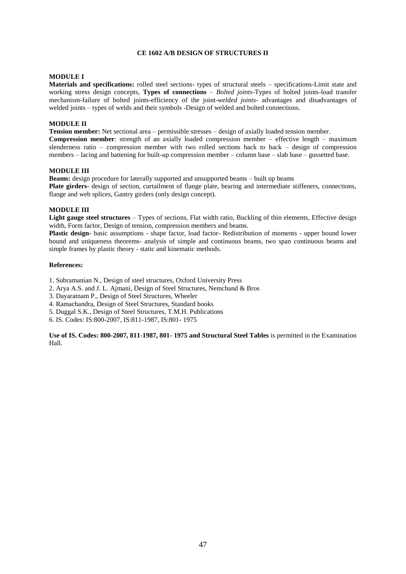# **CE 1602 A/B DESIGN OF STRUCTURES II**

#### **MODULE I**

**Materials and specifications:** rolled steel sections- types of structural steels – specifications-Limit state and working stress design concepts, **Types of connections** – *Bolted joints*-Types of bolted joints-load transfer mechanism-failure of bolted joints-efficiency of the joint-*welded joints*- advantages and disadvantages of welded joints – types of welds and their symbols -Design of welded and bolted connections.

#### **MODULE II**

**Tension member:** Net sectional area – permissible stresses – design of axially loaded tension member. **Compression member**: strength of an axially loaded compression member – effective length – maximum slenderness ratio – compression member with two rolled sections back to back – design of compression members – lacing and battening for built-up compression member – column base – slab base – gussetted base.

#### **MODULE III**

**Beams:** design procedure for laterally supported and unsupported beams – built up beams **Plate girders**- design of section, curtailment of flange plate, bearing and intermediate stiffeners, connections, flange and web splices, Gantry girders (only design concept).

#### **MODULE III**

**Light gauge steel structures** – Types of sections, Flat width ratio, Buckling of thin elements, Effective design width, Form factor, Design of tension, compression members and beams.

**Plastic design**- basic assumptions - shape factor, load factor- Redistribution of moments - upper bound lower bound and uniqueness theorems- analysis of simple and continuous beams, two span continuous beams and simple frames by plastic theory - static and kinematic methods.

#### **References:**

1. Subramanian N., Design of steel structures, Oxford University Press

- 2. Arya A.S. and J. L. Ajmani, Design of Steel Structures, Nemchand & Bros
- 3. Dayaratnam P., Design of Steel Structures, Wheeler
- 4. Ramachandra, Design of Steel Structures, Standard books
- 5. Duggal S.K., Design of Steel Structures, T.M.H. Publications
- 6. IS. Codes: IS:800-2007, IS:811-1987, IS:801- 1975

**Use of IS. Codes: 800-2007, 811-1987, 801- 1975 and Structural Steel Tables** is permitted in the Examination Hall.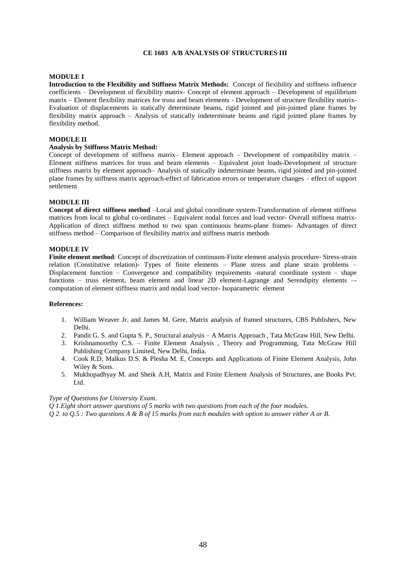# **CE 1603 A/B ANALYSIS OF STRUCTURES III**

# **MODULE I**

**Introduction to the Flexibility and Stiffness Matrix Methods:** Concept of flexibility and stiffness influence coefficients – Development of flexibility matrix- Concept of element approach – Development of equilibrium matrix – Element flexibility matrices for truss and beam elements - Development of structure flexibility matrix-Evaluation of displacements in statically determinate beams, rigid jointed and pin-jointed plane frames by flexibility matrix approach – Analysis of statically indeterminate beams and rigid jointed plane frames by flexibility method.

#### **MODULE II**

#### **Analysis by Stiffness Matrix Method:**

Concept of development of stiffness matrix– Element approach – Development of compatibility matrix – Element stiffness matrices for truss and beam elements – Equivalent joint loads-Development of structure stiffness matrix by element approach– Analysis of statically indeterminate beams, rigid jointed and pin-jointed plane frames by stiffness matrix approach-effect of fabrication errors or temperature changes – effect of support settlement

# **MODULE III**

**Concept of direct stiffness method** –Local and global coordinate system-Transformation of element stiffness matrices from local to global co-ordinates – Equivalent nodal forces and load vector- Overall stiffness matrix-Application of direct stiffness method to two span continuous beams-plane frames- Advantages of direct stiffness method – Comparison of flexibility matrix and stiffness matrix methods

#### **MODULE IV**

**Finite element method**: Concept of discretization of continuum-Finite element analysis procedure- Stress-strain relation (Constitutive relation)- Types of finite elements – Plane stress and plane strain problems – Displacement function – Convergence and compatibility requirements -natural coordinate system – shape functions – truss element, beam element and linear 2D element-Lagrange and Serendipity elements –computation of element stiffness matrix and nodal load vector- Isoparametric element

#### **References:**

- 1. William Weaver Jr. and James M. Gere, Matrix analysis of framed structures, CBS Publishers, New Delhi.
- 2. Pandit G. S. and Gupta S. P., Structural analysis A Matrix Approach , Tata McGraw Hill, New Delhi.
- 3. Krishnamoorthy C.S. Finite Element Analysis , Theory and Programming, Tata McGraw Hill Publishing Company Limited, New Delhi, India.
- 4. Cook R.D, Malkus D.S. & Plesha M. E, Concepts and Applications of Finite Element Analysis, John Wiley & Sons.
- 5. Mukhopadhyay M. and Sheik A.H, Matrix and Finite Element Analysis of Structures, ane Books Pvt. Ltd.

# *Type of Questions for University Exam.*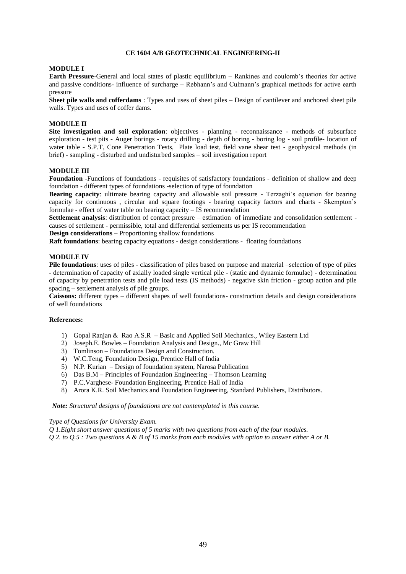# **CE 1604 A/B GEOTECHNICAL ENGINEERING-II**

#### **MODULE I**

**Earth Pressure**-General and local states of plastic equilibrium – Rankines and coulomb's theories for active and passive conditions- influence of surcharge – Rebhann's and Culmann's graphical methods for active earth pressure

**Sheet pile walls and cofferdams** : Types and uses of sheet piles – Design of cantilever and anchored sheet pile walls. Types and uses of coffer dams.

#### **MODULE II**

**Site investigation and soil exploration**: objectives - planning - reconnaissance - methods of subsurface exploration - test pits - Auger borings - rotary drilling - depth of boring - boring log - soil profile- location of water table - S.P.T, Cone Penetration Tests, Plate load test, field vane shear test - geophysical methods (in brief) - sampling - disturbed and undisturbed samples – soil investigation report

#### **MODULE III**

**Foundation -**Functions of foundations - requisites of satisfactory foundations - definition of shallow and deep foundation - different types of foundations -selection of type of foundation

**Bearing capacity**: ultimate bearing capacity and allowable soil pressure - Terzaghi's equation for bearing capacity for continuous , circular and square footings - bearing capacity factors and charts - Skempton's formulae - effect of water table on bearing capacity – IS recommendation

**Settlement analysis**: distribution of contact pressure – estimation of immediate and consolidation settlement causes of settlement - permissible, total and differential settlements us per IS recommendation

**Design considerations** – Proportioning shallow foundations

**Raft foundations**: bearing capacity equations - design considerations - floating foundations

# **MODULE IV**

**Pile foundations**: uses of piles - classification of piles based on purpose and material –selection of type of piles - determination of capacity of axially loaded single vertical pile - (static and dynamic formulae) - determination of capacity by penetration tests and pile load tests (IS methods) - negative skin friction - group action and pile spacing – settlement analysis of pile groups.

**Caissons:** different types – different shapes of well foundations- construction details and design considerations of well foundations

#### **References:**

- 1) Gopal Ranjan & Rao A.S.R Basic and Applied Soil Mechanics., Wiley Eastern Ltd
- 2) Joseph.E. Bowles Foundation Analysis and Design., Mc Graw Hill
- 3) Tomlinson Foundations Design and Construction.
- 4) W.C.Teng, Foundation Design, Prentice Hall of India
- 5) N.P. Kurian Design of foundation system, Narosa Publication
- 6) Das B.M Principles of Foundation Engineering Thomson Learning
- 7) P.C.Varghese- Foundation Engineering, Prentice Hall of India
- 8) Arora K.R. Soil Mechanics and Foundation Engineering, Standard Publishers, Distributors.

*Note: Structural designs of foundations are not contemplated in this course.*

### *Type of Questions for University Exam.*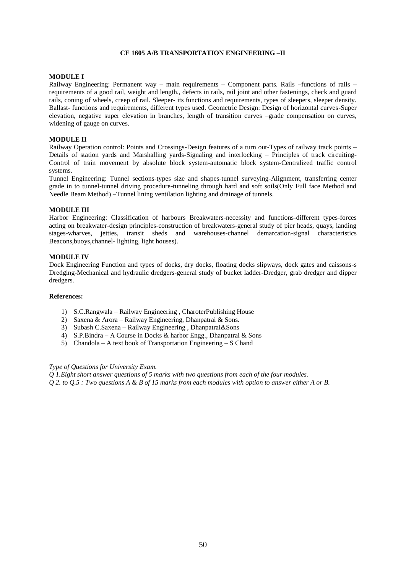# **CE 1605 A/B TRANSPORTATION ENGINEERING –II**

# **MODULE I**

Railway Engineering: Permanent way – main requirements – Component parts. Rails –functions of rails – requirements of a good rail, weight and length., defects in rails, rail joint and other fastenings, check and guard rails, coning of wheels, creep of rail. Sleeper- its functions and requirements, types of sleepers, sleeper density. Ballast- functions and requirements, different types used. Geometric Design: Design of horizontal curves-Super elevation, negative super elevation in branches, length of transition curves –grade compensation on curves, widening of gauge on curves.

#### **MODULE II**

Railway Operation control: Points and Crossings-Design features of a turn out-Types of railway track points – Details of station yards and Marshalling yards-Signaling and interlocking – Principles of track circuiting-Control of train movement by absolute block system-automatic block system-Centralized traffic control systems.

Tunnel Engineering: Tunnel sections-types size and shapes-tunnel surveying-Alignment, transferring center grade in to tunnel-tunnel driving procedure-tunneling through hard and soft soils(Only Full face Method and Needle Beam Method) –Tunnel lining ventilation lighting and drainage of tunnels.

# **MODULE III**

Harbor Engineering: Classification of harbours Breakwaters-necessity and functions-different types-forces acting on breakwater-design principles-construction of breakwaters-general study of pier heads, quays, landing stages-wharves, jetties, transit sheds and warehouses-channel demarcation-signal characteristics Beacons,buoys,channel- lighting, light houses).

#### **MODULE IV**

Dock Engineering Function and types of docks, dry docks, floating docks slipways, dock gates and caissons-s Dredging-Mechanical and hydraulic dredgers-general study of bucket ladder-Dredger, grab dredger and dipper dredgers.

#### **References:**

- 1) S.C.Rangwala Railway Engineering , CharoterPublishing House
- 2) Saxena & Arora Railway Engineering, Dhanpatrai & Sons.
- 3) Subash C.Saxena Railway Engineering , Dhanpatrai&Sons
- 4) S.P.Bindra A Course in Docks & harbor Engg., Dhanpatrai & Sons
- 5) Chandola A text book of Transportation Engineering S Chand

#### *Type of Questions for University Exam.*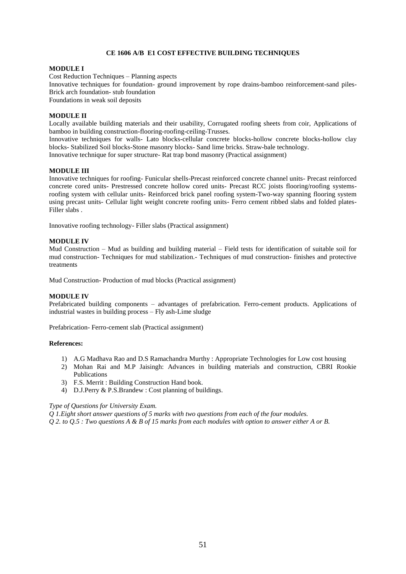# **CE 1606 A/B E1 COST EFFECTIVE BUILDING TECHNIQUES**

#### **MODULE I**

Cost Reduction Techniques – Planning aspects Innovative techniques for foundation- ground improvement by rope drains-bamboo reinforcement-sand piles-Brick arch foundation- stub foundation

Foundations in weak soil deposits

# **MODULE II**

Locally available building materials and their usability, Corrugated roofing sheets from coir, Applications of bamboo in building construction-flooring-roofing-ceiling-Trusses.

Innovative techniques for walls- Lato blocks-cellular concrete blocks-hollow concrete blocks-hollow clay blocks- Stabilized Soil blocks-Stone masonry blocks- Sand lime bricks. Straw-bale technology. Innovative technique for super structure- Rat trap bond masonry (Practical assignment)

**MODULE III**

Innovative techniques for roofing- Funicular shells-Precast reinforced concrete channel units- Precast reinforced concrete cored units- Prestressed concrete hollow cored units- Precast RCC joists flooring/roofing systemsroofing system with cellular units- Reinforced brick panel roofing system-Two-way spanning flooring system using precast units- Cellular light weight concrete roofing units- Ferro cement ribbed slabs and folded plates-Filler slabs .

Innovative roofing technology- Filler slabs (Practical assignment)

# **MODULE IV**

Mud Construction – Mud as building and building material – Field tests for identification of suitable soil for mud construction- Techniques for mud stabilization.- Techniques of mud construction- finishes and protective treatments

Mud Construction- Production of mud blocks (Practical assignment)

#### **MODULE IV**

Prefabricated building components – advantages of prefabrication. Ferro-cement products. Applications of industrial wastes in building process – Fly ash-Lime sludge

Prefabrication- Ferro-cement slab (Practical assignment)

### **References:**

- 1) A.G Madhava Rao and D.S Ramachandra Murthy : Appropriate Technologies for Low cost housing
- 2) Mohan Rai and M.P Jaisingh: Advances in building materials and construction, CBRI Rookie Publications
- 3) F.S. Merrit : Building Construction Hand book.
- 4) D.J.Perry & P.S.Brandew : Cost planning of buildings.

#### *Type of Questions for University Exam.*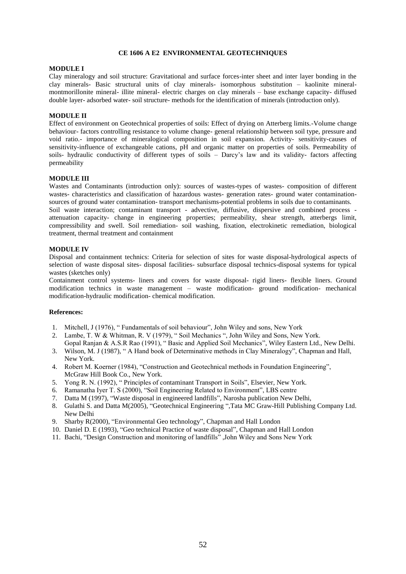#### **CE 1606 A E2 ENVIRONMENTAL GEOTECHNIQUES**

#### **MODULE I**

Clay mineralogy and soil structure: Gravitational and surface forces-inter sheet and inter layer bonding in the clay minerals- Basic structural units of clay minerals- isomorphous substitution – kaolinite mineralmontmorillonite mineral- illite mineral- electric charges on clay minerals – base exchange capacity- diffused double layer- adsorbed water- soil structure- methods for the identification of minerals (introduction only).

# **MODULE II**

Effect of environment on Geotechnical properties of soils: Effect of drying on Atterberg limits.-Volume change behaviour- factors controlling resistance to volume change- general relationship between soil type, pressure and void ratio.- importance of mineralogical composition in soil expansion. Activity- sensitivity-causes of sensitivity-influence of exchangeable cations, pH and organic matter on properties of soils. Permeability of soils- hydraulic conductivity of different types of soils – Darcy's law and its validity- factors affecting permeability

# **MODULE III**

Wastes and Contaminants (introduction only): sources of wastes-types of wastes- composition of different wastes- characteristics and classification of hazardous wastes- generation rates- ground water contaminationsources of ground water contamination- transport mechanisms-potential problems in soils due to contaminants.

Soil waste interaction; contaminant transport - advective, diffusive, dispersive and combined process attenuation capacity- change in engineering properties; permeability, shear strength, atterbergs limit, compressibility and swell. Soil remediation- soil washing, fixation, electrokinetic remediation, biological treatment, thermal treatment and containment

#### **MODULE IV**

Disposal and containment technics: Criteria for selection of sites for waste disposal-hydrological aspects of selection of waste disposal sites- disposal facilities- subsurface disposal technics-disposal systems for typical wastes (sketches only)

Containment control systems- liners and covers for waste disposal- rigid liners- flexible liners. Ground modification technics in waste management – waste modification- ground modification- mechanical modification-hydraulic modification- chemical modification.

- 1. Mitchell, J (1976), " Fundamentals of soil behaviour", John Wiley and sons, New York
- 2. Lambe, T. W & Whitman, R. V (1979), " Soil Mechanics ", John Wiley and Sons, New York. Gopal Ranjan & A.S.R Rao (1991), " Basic and Applied Soil Mechanics", Wiley Eastern Ltd., New Delhi.
- 3. Wilson, M. J (1987), " A Hand book of Determinative methods in Clay Mineralogy", Chapman and Hall, New York.
- 4. Robert M. Koerner (1984), "Construction and Geotechnical methods in Foundation Engineering", McGraw Hill Book Co., New York.
- 5. Yong R. N. (1992), " Principles of contaminant Transport in Soils", Elsevier, New York.
- 6. Ramanatha Iyer T. S (2000), "Soil Engineering Related to Environment", LBS centre
- 7. Datta M (1997), "Waste disposal in engineered landfills", Narosha publication New Delhi,
- 8. Gulathi S. and Datta M(2005), "Geotechnical Engineering ",Tata MC Graw-Hill Publishing Company Ltd. New Delhi
- 9. Sharby R(2000), "Environmental Geo technology", Chapman and Hall London
- 10. Daniel D. E (1993), "Geo technical Practice of waste disposal", Chapman and Hall London
- 11. Bachi, "Design Construction and monitoring of landfills" ,John Wiley and Sons New York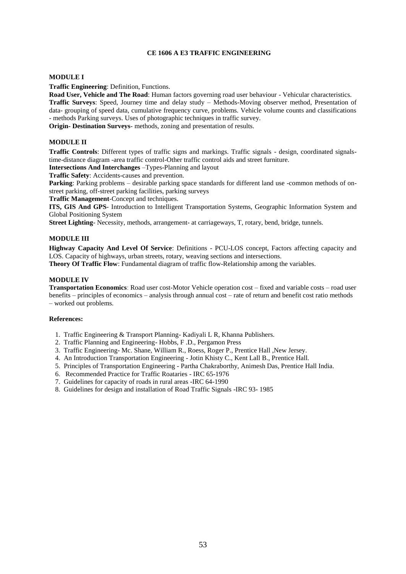# **CE 1606 A E3 TRAFFIC ENGINEERING**

#### **MODULE I**

**Traffic Engineering**: Definition, Functions.

**Road User, Vehicle and The Road**: Human factors governing road user behaviour - Vehicular characteristics. **Traffic Surveys**: Speed, Journey time and delay study – Methods-Moving observer method, Presentation of data- grouping of speed data, cumulative frequency curve, problems. Vehicle volume counts and classifications - methods Parking surveys. Uses of photographic techniques in traffic survey.

**Origin- Destination Surveys**- methods, zoning and presentation of results.

# **MODULE II**

**Traffic Controls**: Different types of traffic signs and markings. Traffic signals - design, coordinated signalstime-distance diagram -area traffic control-Other traffic control aids and street furniture.

**Intersections And Interchanges** –Types-Planning and layout

**Traffic Safety**: Accidents-causes and prevention.

**Parking**: Parking problems – desirable parking space standards for different land use -common methods of onstreet parking, off-street parking facilities, parking surveys

**Traffic Management**-Concept and techniques.

**ITS, GIS And GPS**- Introduction to Intelligent Transportation Systems, Geographic Information System and Global Positioning System

**Street Lighting**- Necessity, methods, arrangement- at carriageways, T, rotary, bend, bridge, tunnels.

# **MODULE III**

**Highway Capacity And Level Of Service**: Definitions - PCU-LOS concept, Factors affecting capacity and LOS. Capacity of highways, urban streets, rotary, weaving sections and intersections.

**Theory Of Traffic Flow**: Fundamental diagram of traffic flow-Relationship among the variables.

#### **MODULE IV**

**Transportation Economics**: Road user cost-Motor Vehicle operation cost – fixed and variable costs – road user benefits – principles of economics – analysis through annual cost – rate of return and benefit cost ratio methods – worked out problems.

- 1. Traffic Engineering & Transport Planning- Kadiyali L R, Khanna Publishers.
- 2. Traffic Planning and Engineering- Hobbs, F .D., Pergamon Press
- 3. Traffic Engineering- Mc. Shane, William R., Roess, Roger P., Prentice Hall ,New Jersey.
- 4. An Introduction Transportation Engineering Jotin Khisty C., Kent Lall B., Prentice Hall.
- 5. Principles of Transportation Engineering Partha Chakraborthy, Animesh Das, Prentice Hall India.
- 6. Recommended Practice for Traffic Roataries IRC 65-1976
- 7. Guidelines for capacity of roads in rural areas -IRC 64-1990
- 8. Guidelines for design and installation of Road Traffic Signals -IRC 93- 1985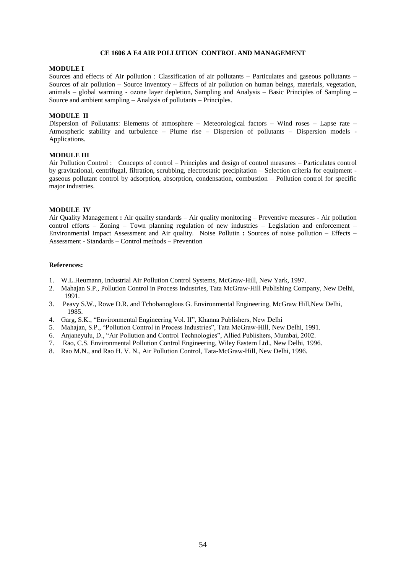#### **CE 1606 A E4 AIR POLLUTION CONTROL AND MANAGEMENT**

#### **MODULE I**

Sources and effects of Air pollution : Classification of air pollutants – Particulates and gaseous pollutants – Sources of air pollution – Source inventory – Effects of air pollution on human beings, materials, vegetation, animals – global warming - ozone layer depletion, Sampling and Analysis – Basic Principles of Sampling – Source and ambient sampling – Analysis of pollutants – Principles.

# **MODULE II**

Dispersion of Pollutants: Elements of atmosphere – Meteorological factors – Wind roses – Lapse rate – Atmospheric stability and turbulence – Plume rise – Dispersion of pollutants – Dispersion models - Applications.

#### **MODULE III**

Air Pollution Control : Concepts of control – Principles and design of control measures – Particulates control by gravitational, centrifugal, filtration, scrubbing, electrostatic precipitation – Selection criteria for equipment gaseous pollutant control by adsorption, absorption, condensation, combustion – Pollution control for specific major industries.

#### **MODULE IV**

Air Quality Management **:** Air quality standards – Air quality monitoring – Preventive measures - Air pollution control efforts – Zoning – Town planning regulation of new industries – Legislation and enforcement – Environmental Impact Assessment and Air quality. Noise Pollutin **:** Sources of noise pollution – Effects – Assessment - Standards – Control methods – Prevention

- 1. W.L.Heumann, Industrial Air Pollution Control Systems, McGraw-Hill, New Yark, 1997.
- 2. Mahajan S.P., Pollution Control in Process Industries, Tata McGraw-Hill Publishing Company, New Delhi, 1991.
- 3. Peavy S.W., Rowe D.R. and Tchobanoglous G. Environmental Engineering, McGraw Hill,New Delhi, 1985.
- 4. Garg, S.K., "Environmental Engineering Vol. II", Khanna Publishers, New Delhi
- 5. Mahajan, S.P., "Pollution Control in Process Industries", Tata McGraw-Hill, New Delhi, 1991.
- 6. Anjaneyulu, D., "Air Pollution and Control Technologies", Allied Publishers, Mumbai, 2002.
- 7. Rao, C.S. Environmental Pollution Control Engineering, Wiley Eastern Ltd., New Delhi, 1996.
- 8. Rao M.N., and Rao H. V. N., Air Pollution Control, Tata-McGraw-Hill, New Delhi, 1996.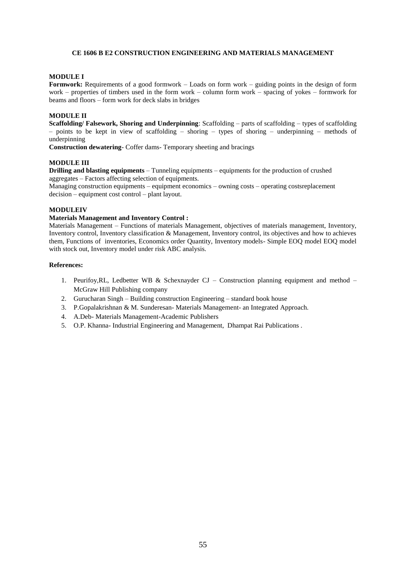# **CE 1606 B E2 CONSTRUCTION ENGINEERING AND MATERIALS MANAGEMENT**

#### **MODULE I**

**Formwork:** Requirements of a good formwork – Loads on form work – guiding points in the design of form work – properties of timbers used in the form work – column form work – spacing of yokes – formwork for beams and floors – form work for deck slabs in bridges

# **MODULE II**

**Scaffolding/ Falsework, Shoring and Underpinning**: Scaffolding – parts of scaffolding – types of scaffolding – points to be kept in view of scaffolding – shoring – types of shoring – underpinning – methods of underpinning

**Construction dewatering**- Coffer dams- Temporary sheeting and bracings

# **MODULE III**

**Drilling and blasting equipments** – Tunneling equipments – equipments for the production of crushed aggregates – Factors affecting selection of equipments.

Managing construction equipments – equipment economics – owning costs – operating costsreplacement decision – equipment cost control – plant layout.

#### **MODULEIV**

#### **Materials Management and Inventory Control :**

Materials Management – Functions of materials Management, objectives of materials management, Inventory, Inventory control, Inventory classification & Management, Inventory control, its objectives and how to achieves them, Functions of inventories, Economics order Quantity, Inventory models- Simple EOQ model EOQ model with stock out, Inventory model under risk ABC analysis.

- 1. Peurifoy,RL, Ledbetter WB & Schexnayder CJ Construction planning equipment and method McGraw Hill Publishing company
- 2. Gurucharan Singh Building construction Engineering standard book house
- 3. P.Gopalakrishnan & M. Sunderesan- Materials Management- an Integrated Approach.
- 4. A.Deb- Materials Management-Academic Publishers
- 5. O.P. Khanna- Industrial Engineering and Management, Dhampat Rai Publications .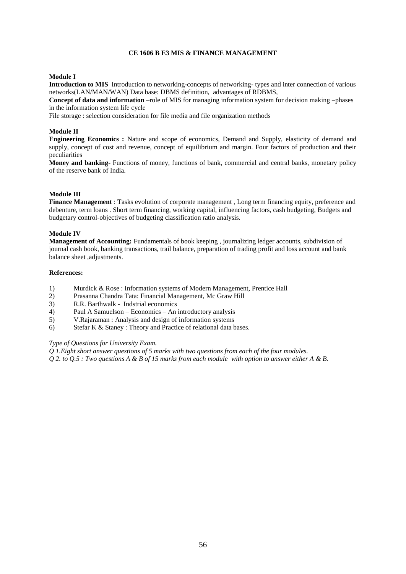# **CE 1606 B E3 MIS & FINANCE MANAGEMENT**

#### **Module I**

**Introduction to MIS** Introduction to networking-concepts of networking- types and inter connection of various networks(LAN/MAN/WAN) Data base: DBMS definition, advantages of RDBMS,

**Concept of data and information** –role of MIS for managing information system for decision making –phases in the information system life cycle

File storage : selection consideration for file media and file organization methods

#### **Module II**

**Engineering Economics :** Nature and scope of economics, Demand and Supply, elasticity of demand and supply, concept of cost and revenue, concept of equilibrium and margin. Four factors of production and their peculiarities

**Money and banking**- Functions of money, functions of bank, commercial and central banks, monetary policy of the reserve bank of India.

# **Module III**

**Finance Management** : Tasks evolution of corporate management , Long term financing equity, preference and debenture, term loans . Short term financing, working capital, influencing factors, cash budgeting, Budgets and budgetary control-objectives of budgeting classification ratio analysis.

#### **Module IV**

**Management of Accounting:** Fundamentals of book keeping , journalizing ledger accounts, subdivision of journal cash book, banking transactions, trail balance, preparation of trading profit and loss account and bank balance sheet ,adjustments.

#### **References:**

- 1) Murdick & Rose : Information systems of Modern Management, Prentice Hall
- 2) Prasanna Chandra Tata: Financial Management, Mc Graw Hill
- 3) R.R. Barthwalk Indstrial economics
- 4) Paul A Samuelson Economics An introductory analysis
- 5) V.Rajaraman : Analysis and design of information systems
- 6) Stefar K & Staney : Theory and Practice of relational data bases.

### *Type of Questions for University Exam.*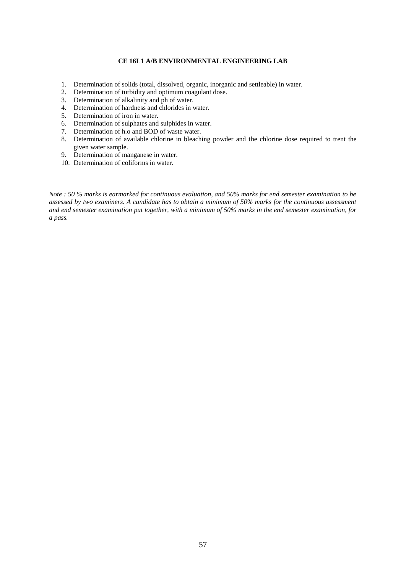# **CE 16L1 A/B ENVIRONMENTAL ENGINEERING LAB**

- 1. Determination of solids (total, dissolved, organic, inorganic and settleable) in water.
- 2. Determination of turbidity and optimum coagulant dose.
- 3. Determination of alkalinity and ph of water.
- 4. Determination of hardness and chlorides in water.
- 5. Determination of iron in water.
- 6. Determination of sulphates and sulphides in water.
- 7. Determination of h.o and BOD of waste water.
- 8. Determination of available chlorine in bleaching powder and the chlorine dose required to trent the given water sample.
- 9. Determination of manganese in water.
- 10. Determination of coliforms in water.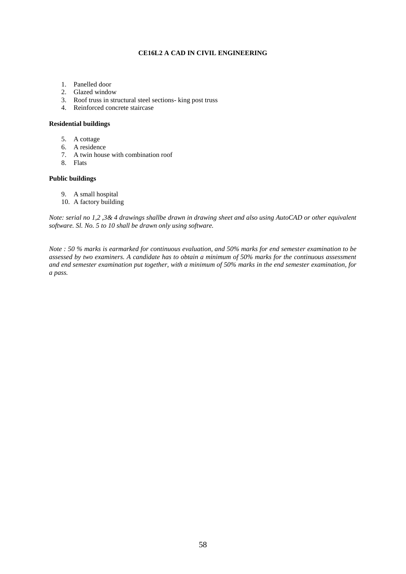# **CE16L2 A CAD IN CIVIL ENGINEERING**

- 1. Panelled door
- 2. Glazed window
- 3. Roof truss in structural steel sections- king post truss
- 4. Reinforced concrete staircase

# **Residential buildings**

- 5. A cottage
- 6. A residence
- 7. A twin house with combination roof
- 8. Flats

# **Public buildings**

- 9. A small hospital
- 10. A factory building

*Note: serial no 1,2 ,3& 4 drawings shallbe drawn in drawing sheet and also using AutoCAD or other equivalent software. Sl. No. 5 to 10 shall be drawn only using software.*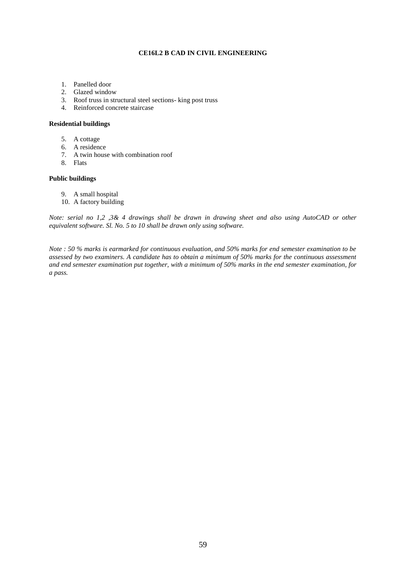# **CE16L2 B CAD IN CIVIL ENGINEERING**

- 1. Panelled door
- 2. Glazed window
- 3. Roof truss in structural steel sections- king post truss
- 4. Reinforced concrete staircase

# **Residential buildings**

- 5. A cottage
- 6. A residence
- 7. A twin house with combination roof
- 8. Flats

# **Public buildings**

- 9. A small hospital
- 10. A factory building

*Note: serial no 1,2 ,3& 4 drawings shall be drawn in drawing sheet and also using AutoCAD or other equivalent software. Sl. No. 5 to 10 shall be drawn only using software.*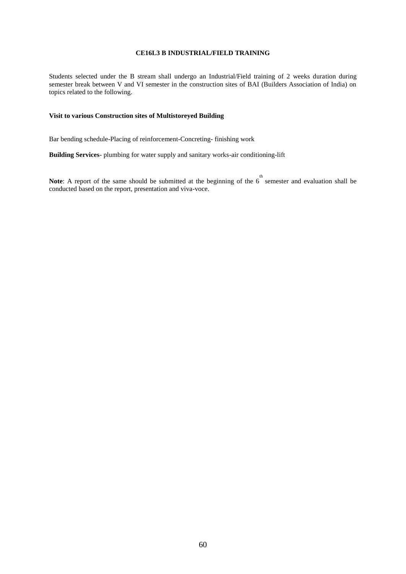# **CE16L3 B INDUSTRIAL/FIELD TRAINING**

Students selected under the B stream shall undergo an Industrial/Field training of 2 weeks duration during semester break between V and VI semester in the construction sites of BAI (Builders Association of India) on topics related to the following.

# **Visit to various Construction sites of Multistoreyed Building**

Bar bending schedule-Placing of reinforcement-Concreting- finishing work

**Building Services**- plumbing for water supply and sanitary works-air conditioning-lift

**Note**: A report of the same should be submitted at the beginning of the  $6<sup>th</sup>$  semester and evaluation shall be conducted based on the report, presentation and viva-voce.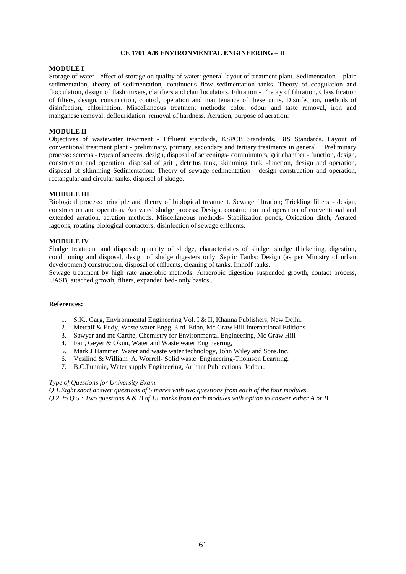#### **CE 1701 A/B ENVIRONMENTAL ENGINEERING – II**

#### **MODULE I**

Storage of water - effect of storage on quality of water: general layout of treatment plant. Sedimentation – plain sedimentation, theory of sedimentation, continuous flow sedimentation tanks. Theory of coagulation and flocculation, design of flash mixers, clarifiers and clarifloculators. Filtration - Theory of filtration, Classification of filters, design, construction, control, operation and maintenance of these units. Disinfection, methods of disinfection, chlorination. Miscellaneous treatment methods: color, odour and taste removal, iron and manganese removal, deflouridation, removal of hardness. Aeration, purpose of aeration.

# **MODULE II**

Objectives of wastewater treatment - Effluent standards, KSPCB Standards, BIS Standards. Layout of conventional treatment plant - preliminary, primary, secondary and tertiary treatments in general. Preliminary process: screens - types of screens, design, disposal of screenings- comminutors, grit chamber - function, design, construction and operation, disposal of grit , detritus tank, skimming tank -function, design and operation, disposal of skimming Sedimentation: Theory of sewage sedimentation - design construction and operation, rectangular and circular tanks, disposal of sludge.

#### **MODULE III**

Biological process: principle and theory of biological treatment. Sewage filtration; Trickling filters - design, construction and operation. Activated sludge process: Design, construction and operation of conventional and extended aeration, aeration methods. Miscellaneous methods- Stabilization ponds, Oxidation ditch, Aerated lagoons, rotating biological contactors; disinfection of sewage effluents.

#### **MODULE IV**

Sludge treatment and disposal: quantity of sludge, characteristics of sludge, sludge thickening, digestion, conditioning and disposal, design of sludge digesters only. Septic Tanks: Design (as per Ministry of urban development) construction, disposal of effluents, cleaning of tanks, Imhoff tanks.

Sewage treatment by high rate anaerobic methods: Anaerobic digestion suspended growth, contact process, UASB, attached growth, filters, expanded bed- only basics .

#### **References:**

- 1. S.K.. Garg, Environmental Engineering Vol. I & II, Khanna Publishers, New Delhi.
- 2. Metcalf & Eddy, Waste water Engg. 3 rd Edbn, Mc Graw Hill International Editions.
- 3. Sawyer and mc Carthe, Chemistry for Environmental Engineering, Mc Graw Hill
- 4. Fair, Geyer & Okun, Water and Waste water Engineering,
- 5. Mark J Hammer, Water and waste water technology, John Wiley and Sons,Inc.
- 6. Vesilind & William A. Worrell- Solid waste Engineering-Thomson Learning.
- 7. B.C.Punmia, Water supply Engineering, Arihant Publications, Jodpur.

#### *Type of Questions for University Exam.*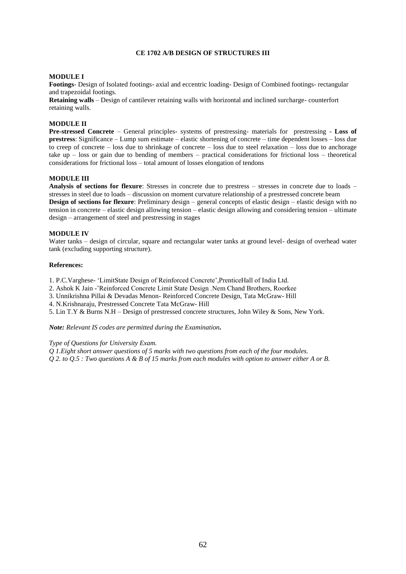# **CE 1702 A/B DESIGN OF STRUCTURES III**

# **MODULE I**

**Footings**- Design of Isolated footings- axial and eccentric loading- Design of Combined footings- rectangular and trapezoidal footings.

**Retaining walls** – Design of cantilever retaining walls with horizontal and inclined surcharge- counterfort retaining walls.

# **MODULE II**

**Pre-stressed Concrete** – General principles- systems of prestressing- materials for prestressing - **Loss of prestress**: Significance – Lump sum estimate – elastic shortening of concrete – time dependent losses – loss due to creep of concrete – loss due to shrinkage of concrete – loss due to steel relaxation – loss due to anchorage take up – loss or gain due to bending of members – practical considerations for frictional loss – theoretical considerations for frictional loss – total amount of losses elongation of tendons

#### **MODULE III**

**Analysis of sections for flexure**: Stresses in concrete due to prestress – stresses in concrete due to loads – stresses in steel due to loads – discussion on moment curvature relationship of a prestressed concrete beam **Design of sections for flexure**: Preliminary design – general concepts of elastic design – elastic design with no tension in concrete – elastic design allowing tension – elastic design allowing and considering tension – ultimate design – arrangement of steel and prestressing in stages

#### **MODULE IV**

Water tanks – design of circular, square and rectangular water tanks at ground level- design of overhead water tank (excluding supporting structure).

#### **References:**

1. P.C.Varghese- 'LimitState Design of Reinforced Concrete',PrenticeHall of India Ltd.

2. Ashok K Jain -'Reinforced Concrete Limit State Design .Nem Chand Brothers, Roorkee

3. Unnikrishna Pillai & Devadas Menon- Reinforced Concrete Design, Tata McGraw- Hill

4. N.Krishnaraju, Prestressed Concrete Tata McGraw- Hill

5. Lin T.Y & Burns N.H – Design of prestressed concrete structures, John Wiley & Sons, New York.

*Note: Relevant IS codes are permitted during the Examination.* 

*Type of Questions for University Exam.*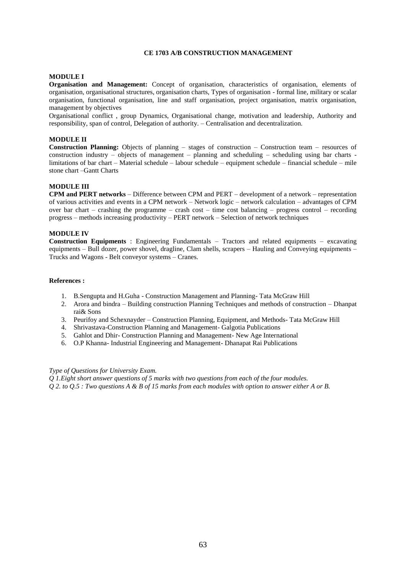# **CE 1703 A/B CONSTRUCTION MANAGEMENT**

# **MODULE I**

**Organisation and Management:** Concept of organisation, characteristics of organisation, elements of organisation, organisational structures, organisation charts, Types of organisation - formal line, military or scalar organisation, functional organisation, line and staff organisation, project organisation, matrix organisation, management by objectives

Organisational conflict , group Dynamics, Organisational change, motivation and leadership, Authority and responsibility, span of control, Delegation of authority. – Centralisation and decentralization.

#### **MODULE II**

**Construction Planning:** Objects of planning – stages of construction – Construction team – resources of construction industry – objects of management – planning and scheduling – scheduling using bar charts limitations of bar chart – Material schedule – labour schedule – equipment schedule – financial schedule – mile stone chart –Gantt Charts

#### **MODULE III**

**CPM and PERT networks** – Difference between CPM and PERT – development of a network – representation of various activities and events in a CPM network – Network logic – network calculation – advantages of CPM over bar chart – crashing the programme – crash cost – time cost balancing – progress control – recording progress – methods increasing productivity – PERT network – Selection of network techniques

#### **MODULE IV**

**Construction Equipments** : Engineering Fundamentals – Tractors and related equipments – excavating equipments – Bull dozer, power shovel, dragline, Clam shells, scrapers – Hauling and Conveying equipments – Trucks and Wagons - Belt conveyor systems – Cranes.

# **References :**

- 1. B.Sengupta and H.Guha Construction Management and Planning- Tata McGraw Hill
- 2. Arora and bindra Building construction Planning Techniques and methods of construction Dhanpat rai& Sons
- 3. Peurifoy and Schexnayder Construction Planning, Equipment, and Methods- Tata McGraw Hill
- 4. Shrivastava-Construction Planning and Management- Galgotia Publications
- 5. Gahlot and Dhir- Construction Planning and Management- New Age International
- 6. O.P Khanna- Industrial Engineering and Management- Dhanapat Rai Publications

# *Type of Questions for University Exam.*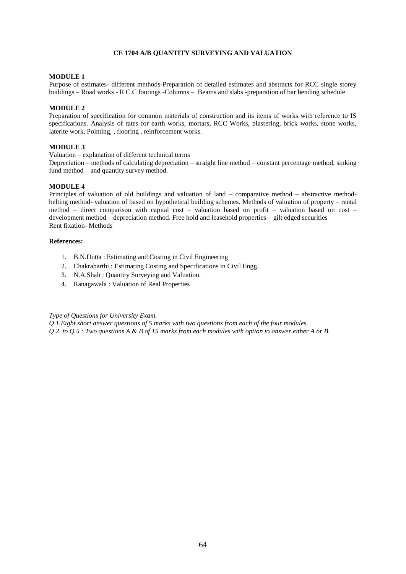# **CE 1704 A/B QUANTITY SURVEYING AND VALUATION**

# **MODULE 1**

Purpose of estimates- different methods-Preparation of detailed estimates and abstracts for RCC single storey buildings – Road works - R C.C footings -Columns – Beams and slabs -preparation of bar bending schedule

# **MODULE 2**

Preparation of specification for common materials of construction and its items of works with reference to IS specifications. Analysis of rates for earth works, mortars, RCC Works, plastering, brick works, stone works, laterite work, Pointing, , flooring , reinforcement works.

# **MODULE 3**

Valuation – explanation of different technical terms

Depreciation – methods of calculating depreciation – straight line method – constant percentage method, sinking fund method – and quantity survey method.

# **MODULE 4**

Principles of valuation of old buildings and valuation of land – comparative method – abstractive methodbelting method- valuation of based on hypothetical building schemes. Methods of valuation of property – rental method – direct comparison with capital cost – valuation based on profit – valuation based on cost – development method – depreciation method. Free hold and leasehold properties – gilt edged securities Rent fixation- Methods

# **References:**

- 1. B.N.Dutta : Estimating and Costing in Civil Engineering
- 2. Chakrabarthi : Estimating Costing and Specifications in Civil Engg.
- 3. N.A.Shah : Quantity Surveying and Valuation.
- 4. Ranagawala : Valuation of Real Properties

# *Type of Questions for University Exam.*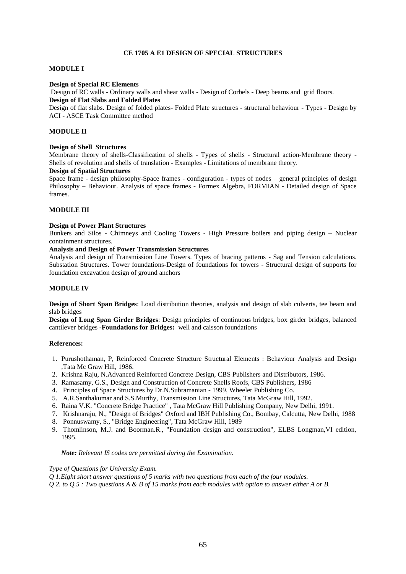# **CE 1705 A E1 DESIGN OF SPECIAL STRUCTURES**

#### **MODULE I**

#### **Design of Special RC Elements**

Design of RC walls - Ordinary walls and shear walls - Design of Corbels - Deep beams and grid floors. **Design of Flat Slabs and Folded Plates**

Design of flat slabs. Design of folded plates- Folded Plate structures - structural behaviour - Types - Design by ACI - ASCE Task Committee method

#### **MODULE II**

#### **Design of Shell Structures**

Membrane theory of shells-Classification of shells - Types of shells - Structural action-Membrane theory - Shells of revolution and shells of translation - Examples - Limitations of membrane theory.

#### **Design of Spatial Structures**

Space frame - design philosophy-Space frames - configuration - types of nodes – general principles of design Philosophy – Behaviour. Analysis of space frames - Formex Algebra, FORMIAN - Detailed design of Space frames.

# **MODULE III**

#### **Design of Power Plant Structures**

Bunkers and Silos - Chimneys and Cooling Towers - High Pressure boilers and piping design – Nuclear containment structures.

## **Analysis and Design of Power Transmission Structures**

Analysis and design of Transmission Line Towers. Types of bracing patterns - Sag and Tension calculations. Substation Structures. Tower foundations-Design of foundations for towers - Structural design of supports for foundation excavation design of ground anchors

#### **MODULE IV**

**Design of Short Span Bridges**: Load distribution theories, analysis and design of slab culverts, tee beam and slab bridges

**Design of Long Span Girder Bridges**: Design principles of continuous bridges, box girder bridges, balanced cantilever bridges **-Foundations for Bridges:** well and caisson foundations

#### **References:**

- 1. Purushothaman, P, Reinforced Concrete Structure Structural Elements : Behaviour Analysis and Design ,Tata Mc Graw Hill, 1986.
- 2. Krishna Raju, N.Advanced Reinforced Concrete Design, CBS Publishers and Distributors, 1986.
- 3. Ramasamy, G.S., Design and Construction of Concrete Shells Roofs, CBS Publishers, 1986
- 4. Principles of Space Structures by Dr.N.Subramanian 1999, Wheeler Publishing Co.
- 5. A.R.Santhakumar and S.S.Murthy, Transmission Line Structures, Tata McGraw Hill, 1992.
- 6. Raina V.K. "Concrete Bridge Practice" , Tata McGraw Hill Publishing Company, New Delhi, 1991.
- 7. Krishnaraju, N., "Design of Bridges" Oxford and IBH Publishing Co., Bombay, Calcutta, New Delhi, 1988
- 8. Ponnuswamy, S., "Bridge Engineering", Tata McGraw Hill, 1989
- 9. Thomlinson, M.J. and Boorman.R., "Foundation design and construction", ELBS Longman,VI edition, 1995.

#### *Note: Relevant IS codes are permitted during the Examination.*

#### *Type of Questions for University Exam.*

*Q 1.Eight short answer questions of 5 marks with two questions from each of the four modules.*

*Q 2. to Q.5 : Two questions A & B of 15 marks from each modules with option to answer either A or B.*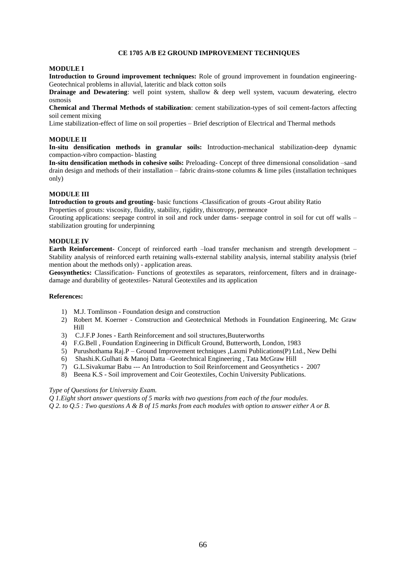# **CE 1705 A/B E2 GROUND IMPROVEMENT TECHNIQUES**

#### **MODULE I**

**Introduction to Ground improvement techniques:** Role of ground improvement in foundation engineering-Geotechnical problems in alluvial, lateritic and black cotton soils

**Drainage and Dewatering**: well point system, shallow & deep well system, vacuum dewatering, electro osmosis

**Chemical and Thermal Methods of stabilization**: cement stabilization-types of soil cement-factors affecting soil cement mixing

Lime stabilization-effect of lime on soil properties – Brief description of Electrical and Thermal methods

#### **MODULE II**

**In-situ densification methods in granular soils:** Introduction-mechanical stabilization-deep dynamic compaction-vibro compaction- blasting

**In-situ densification methods in cohesive soils:** Preloading- Concept of three dimensional consolidation –sand drain design and methods of their installation – fabric drains-stone columns & lime piles (installation techniques only)

# **MODULE III**

**Introduction to grouts and grouting**- basic functions -Classification of grouts -Grout ability Ratio

Properties of grouts: viscosity, fluidity, stability, rigidity, thixotropy, permeance

Grouting applications: seepage control in soil and rock under dams- seepage control in soil for cut off walls – stabilization grouting for underpinning

# **MODULE IV**

**Earth Reinforcement**- Concept of reinforced earth –load transfer mechanism and strength development – Stability analysis of reinforced earth retaining walls-external stability analysis, internal stability analysis (brief mention about the methods only) - application areas.

**Geosynthetics:** Classification- Functions of geotextiles as separators, reinforcement, filters and in drainagedamage and durability of geotextiles- Natural Geotextiles and its application

#### **References:**

- 1) M.J. Tomlinson Foundation design and construction
- 2) Robert M. Koerner Construction and Geotechnical Methods in Foundation Engineering, Mc Graw Hill
- 3) C.J.F.P Jones Earth Reinforcement and soil structures,Buuterworths
- 4) F.G.Bell , Foundation Engineering in Difficult Ground, Butterworth, London, 1983
- 5) Purushothama Raj.P Ground Improvement techniques ,Laxmi Publications(P) Ltd., New Delhi
- 6) Shashi.K.Gulhati & Manoj Datta –Geotechnical Engineering , Tata McGraw Hill
- 7) G.L.Sivakumar Babu --- An Introduction to Soil Reinforcement and Geosynthetics 2007
- 8) Beena K.S Soil improvement and Coir Geotextiles, Cochin University Publications.

#### *Type of Questions for University Exam.*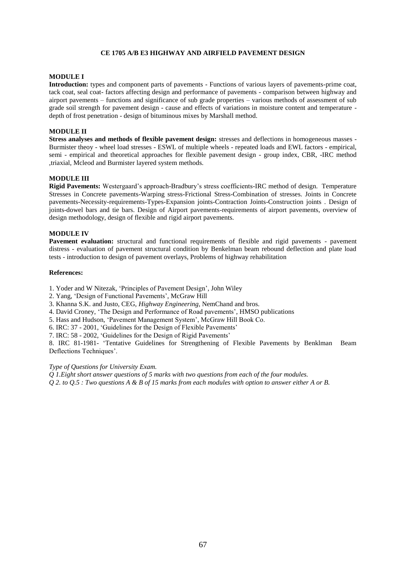# **CE 1705 A/B E3 HIGHWAY AND AIRFIELD PAVEMENT DESIGN**

# **MODULE I**

**Introduction:** types and component parts of pavements - Functions of various layers of pavements-prime coat, tack coat, seal coat- factors affecting design and performance of pavements - comparison between highway and airport pavements – functions and significance of sub grade properties – various methods of assessment of sub grade soil strength for pavement design - cause and effects of variations in moisture content and temperature depth of frost penetration - design of bituminous mixes by Marshall method.

# **MODULE II**

**Stress analyses and methods of flexible pavement design:** stresses and deflections in homogeneous masses - Burmister theoy - wheel load stresses - ESWL of multiple wheels - repeated loads and EWL factors - empirical, semi - empirical and theoretical approaches for flexible pavement design - group index, CBR, -IRC method ,triaxial, Mcleod and Burmister layered system methods.

## **MODULE III**

**Rigid Pavements:** Westergaard's approach-Bradbury's stress coefficients-IRC method of design. Temperature Stresses in Concrete pavements-Warping stress-Frictional Stress-Combination of stresses. Joints in Concrete pavements-Necessity-requirements-Types-Expansion joints-Contraction Joints-Construction joints . Design of joints-dowel bars and tie bars. Design of Airport pavements-requirements of airport pavements, overview of design methodology, design of flexible and rigid airport pavements.

#### **MODULE IV**

**Pavement evaluation:** structural and functional requirements of flexible and rigid pavements - pavement distress - evaluation of pavement structural condition by Benkelman beam rebound deflection and plate load tests - introduction to design of pavement overlays, Problems of highway rehabilitation

#### **References:**

1. Yoder and W Nitezak, 'Principles of Pavement Design', John Wiley

2. Yang, 'Design of Functional Pavements', McGraw Hill

3. Khanna S.K. and Justo, CEG, *Highway Engineering*, NemChand and bros.

4. David Croney, 'The Design and Performance of Road pavements', HMSO publications

5. Hass and Hudson, 'Pavement Management System', McGraw Hill Book Co.

6. IRC: 37 - 2001, 'Guidelines for the Design of Flexible Pavements'

7. IRC: 58 - 2002, 'Guidelines for the Design of Rigid Pavements'

8. IRC 81-1981- 'Tentative Guidelines for Strengthening of Flexible Pavements by Benklman Beam Deflections Techniques'.

*Type of Questions for University Exam.*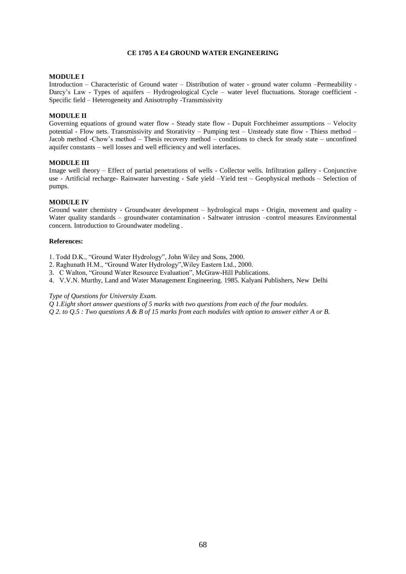# **CE 1705 A E4 GROUND WATER ENGINEERING**

#### **MODULE I**

Introduction – Characteristic of Ground water – Distribution of water - ground water column –Permeability - Darcy's Law - Types of aquifers - Hydrogeological Cycle - water level fluctuations. Storage coefficient -Specific field – Heterogeneity and Anisotrophy -Transmissivity

# **MODULE II**

Governing equations of ground water flow - Steady state flow - Dupuit Forchheimer assumptions – Velocity potential - Flow nets. Transmissivity and Storativity – Pumping test – Unsteady state flow - Thiess method – Jacob method -Chow's method – Thesis recovery method – conditions to check for steady state – unconfined aquifer constants – well losses and well efficiency and well interfaces.

#### **MODULE III**

Image well theory – Effect of partial penetrations of wells - Collector wells. Infiltration gallery - Conjunctive use - Artificial recharge- Rainwater harvesting - Safe yield –Yield test – Geophysical methods – Selection of pumps.

#### **MODULE IV**

Ground water chemistry - Groundwater development – hydrological maps - Origin, movement and quality - Water quality standards – groundwater contamination - Saltwater intrusion –control measures Environmental concern. Introduction to Groundwater modeling .

#### **References:**

1. Todd D.K., "Ground Water Hydrology", John Wiley and Sons, 2000.

- 2. Raghunath H.M., "Ground Water Hydrology",Wiley Eastern Ltd., 2000.
- 3. C Walton, "Ground Water Resource Evaluation", McGraw-Hill Publications.
- 4. V.V.N. Murthy, Land and Water Management Engineering. 1985. Kalyani Publishers, New Delhi

# *Type of Questions for University Exam.*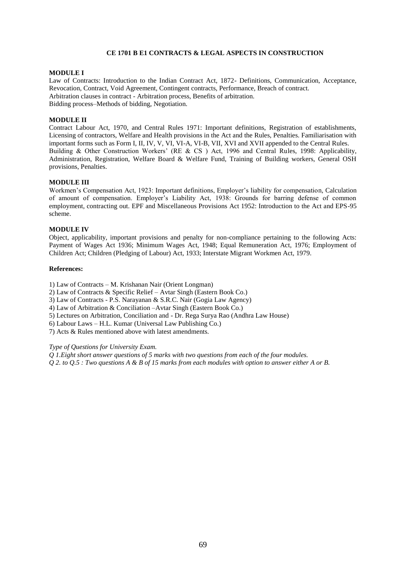## **CE 1701 B E1 CONTRACTS & LEGAL ASPECTS IN CONSTRUCTION**

#### **MODULE I**

Law of Contracts: Introduction to the Indian Contract Act, 1872- Definitions, Communication, Acceptance, Revocation, Contract, Void Agreement, Contingent contracts, Performance, Breach of contract. Arbitration clauses in contract - Arbitration process, Benefits of arbitration. Bidding process–Methods of bidding, Negotiation.

# **MODULE II**

Contract Labour Act, 1970, and Central Rules 1971: Important definitions, Registration of establishments, Licensing of contractors, Welfare and Health provisions in the Act and the Rules, Penalties. Familiarisation with important forms such as Form I, II, IV, V, VI, VI-A, VI-B, VII, XVI and XVII appended to the Central Rules. Building & Other Construction Workers' (RE & CS ) Act, 1996 and Central Rules, 1998: Applicability, Administration, Registration, Welfare Board & Welfare Fund, Training of Building workers, General OSH provisions, Penalties.

# **MODULE III**

Workmen's Compensation Act, 1923: Important definitions, Employer's liability for compensation, Calculation of amount of compensation. Employer's Liability Act, 1938: Grounds for barring defense of common employment, contracting out. EPF and Miscellaneous Provisions Act 1952: Introduction to the Act and EPS-95 scheme.

#### **MODULE IV**

Object, applicability, important provisions and penalty for non-compliance pertaining to the following Acts: Payment of Wages Act 1936; Minimum Wages Act, 1948; Equal Remuneration Act, 1976; Employment of Children Act; Children (Pledging of Labour) Act, 1933; Interstate Migrant Workmen Act, 1979.

#### **References:**

1) Law of Contracts – M. Krishanan Nair (Orient Longman)

2) Law of Contracts & Specific Relief – Avtar Singh (Eastern Book Co.)

3) Law of Contracts - P.S. Narayanan & S.R.C. Nair (Gogia Law Agency)

4) Law of Arbitration & Conciliation –Avtar Singh (Eastern Book Co.)

5) Lectures on Arbitration, Conciliation and - Dr. Rega Surya Rao (Andhra Law House)

6) Labour Laws – H.L. Kumar (Universal Law Publishing Co.)

7) Acts & Rules mentioned above with latest amendments.

## *Type of Questions for University Exam.*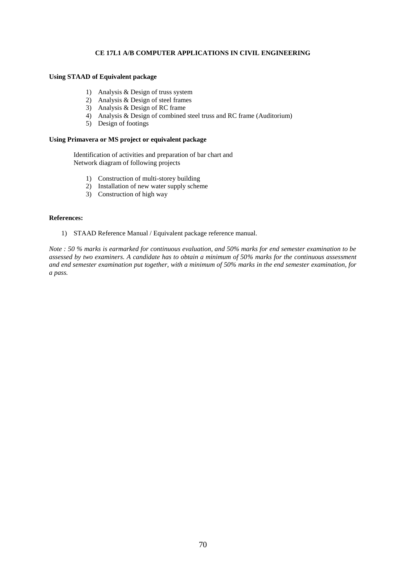# **CE 17L1 A/B COMPUTER APPLICATIONS IN CIVIL ENGINEERING**

# **Using STAAD of Equivalent package**

- 1) Analysis & Design of truss system
- 2) Analysis & Design of steel frames
- 3) Analysis & Design of RC frame
- 4) Analysis & Design of combined steel truss and RC frame (Auditorium)
- 5) Design of footings

## **Using Primavera or MS project or equivalent package**

Identification of activities and preparation of bar chart and Network diagram of following projects

- 1) Construction of multi-storey building
- 2) Installation of new water supply scheme
- 3) Construction of high way

#### **References:**

1) STAAD Reference Manual / Equivalent package reference manual.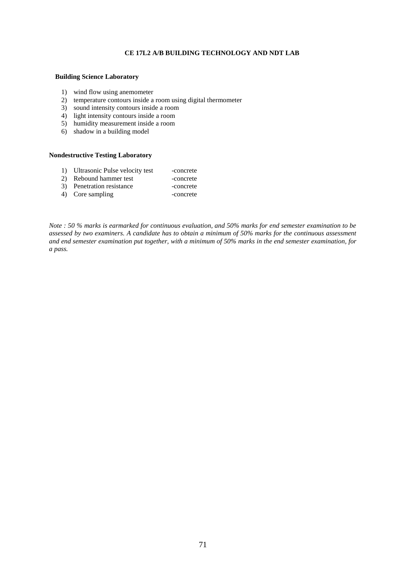# **CE 17L2 A/B BUILDING TECHNOLOGY AND NDT LAB**

#### **Building Science Laboratory**

- 1) wind flow using anemometer
- 2) temperature contours inside a room using digital thermometer
- 3) sound intensity contours inside a room
- 4) light intensity contours inside a room
- 5) humidity measurement inside a room
- 6) shadow in a building model

#### **Nondestructive Testing Laboratory**

- 1) Ultrasonic Pulse velocity test -concrete
- 2) Rebound hammer test -concrete
- 3) Penetration resistance -concrete
- 4) Core sampling -concrete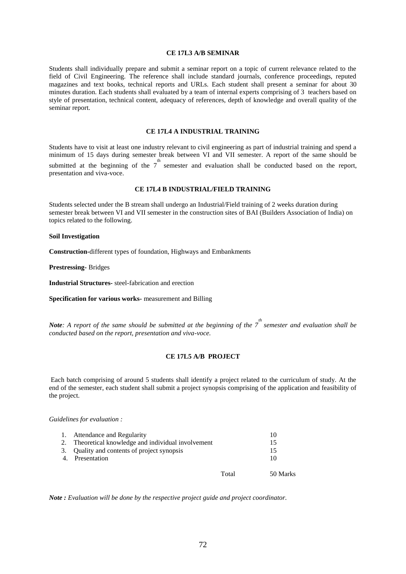## **CE 17L3 A/B SEMINAR**

Students shall individually prepare and submit a seminar report on a topic of current relevance related to the field of Civil Engineering. The reference shall include standard journals, conference proceedings, reputed magazines and text books, technical reports and URLs. Each student shall present a seminar for about 30 minutes duration. Each students shall evaluated by a team of internal experts comprising of 3 teachers based on style of presentation, technical content, adequacy of references, depth of knowledge and overall quality of the seminar report.

#### **CE 17L4 A INDUSTRIAL TRAINING**

Students have to visit at least one industry relevant to civil engineering as part of industrial training and spend a minimum of 15 days during semester break between VI and VII semester. A report of the same should be submitted at the beginning of the  $7<sup>th</sup>$  semester and evaluation shall be conducted based on the report, presentation and viva-voce.

# **CE 17L4 B INDUSTRIAL/FIELD TRAINING**

Students selected under the B stream shall undergo an Industrial/Field training of 2 weeks duration during semester break between VI and VII semester in the construction sites of BAI (Builders Association of India) on topics related to the following.

#### **Soil Investigation**

**Construction-**different types of foundation, Highways and Embankments

**Prestressing-** Bridges

**Industrial Structures-** steel-fabrication and erection

**Specification for various works-** measurement and Billing

*Note*: A report of the same should be submitted at the beginning of the 7<sup>th</sup> semester and evaluation shall be *conducted based on the report, presentation and viva-voce.*

#### **CE 17L5 A/B PROJECT**

Each batch comprising of around 5 students shall identify a project related to the curriculum of study. At the end of the semester, each student shall submit a project synopsis comprising of the application and feasibility of the project.

#### *Guidelines for evaluation :*

|             | Attendance and Regularity                           |       |          |
|-------------|-----------------------------------------------------|-------|----------|
|             | 2. Theoretical knowledge and individual involvement |       | 15       |
|             | 3. Quality and contents of project synopsis         |       | 15       |
| $\mathbf 4$ | Presentation                                        |       | 10       |
|             |                                                     | Total | 50 Marks |

*Note : Evaluation will be done by the respective project guide and project coordinator.*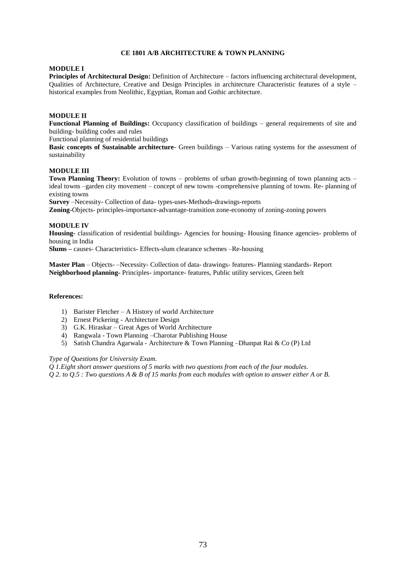# **CE 1801 A/B ARCHITECTURE & TOWN PLANNING**

## **MODULE I**

**Principles of Architectural Design:** Definition of Architecture – factors influencing architectural development, Qualities of Architecture, Creative and Design Principles in architecture Characteristic features of a style – historical examples from Neolithic, Egyptian, Roman and Gothic architecture.

# **MODULE II**

**Functional Planning of Buildings:** Occupancy classification of buildings – general requirements of site and building- building codes and rules

Functional planning of residential buildings

**Basic concepts of Sustainable architecture**- Green buildings – Various rating systems for the assessment of sustainability

#### **MODULE III**

**Town Planning Theory:** Evolution of towns – problems of urban growth-beginning of town planning acts – ideal towns –garden city movement – concept of new towns -comprehensive planning of towns. Re- planning of existing towns

**Survey** –Necessity- Collection of data- types-uses-Methods-drawings-reports

**Zoning**-Objects- principles-importance-advantage-transition zone-economy of zoning-zoning powers

### **MODULE IV**

**Housing-** classification of residential buildings- Agencies for housing- Housing finance agencies- problems of housing in India

**Slums –** causes- Characteristics- Effects-slum clearance schemes –Re-housing

**Master Plan** – Objects- –Necessity- Collection of data- drawings- features- Planning standards- Report **Neighborhood planning-** Principles- importance- features, Public utility services, Green belt

#### **References:**

- 1) Barister Fletcher A History of world Architecture
- 2) Ernest Pickering Architecture Design
- 3) G.K. Hiraskar Great Ages of World Architecture
- 4) Rangwala Town Planning –Charotar Publishing House
- 5) Satish Chandra Agarwala Architecture & Town Planning –Dhanpat Rai & Co (P) Ltd

#### *Type of Questions for University Exam.*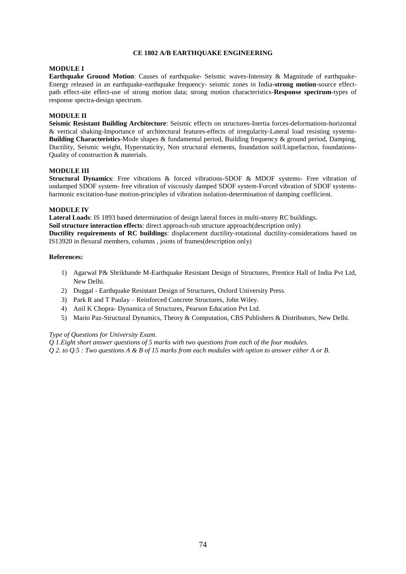## **CE 1802 A/B EARTHQUAKE ENGINEERING**

### **MODULE I**

**Earthquake Ground Motion**: Causes of earthquake- Seismic waves-Intensity & Magnitude of earthquake-Energy released in an earthquake-earthquake frequency- seismic zones in India-**strong motion**-source effectpath effect-site effect-use of strong motion data; strong motion characteristics-**Response spectrum**-types of response spectra-design spectrum.

# **MODULE II**

**Seismic Resistant Building Architecture**: Seismic effects on structures-Inertia forces-deformations-horizontal & vertical shaking-Importance of architectural features-effects of irregularity-Lateral load resisting systems-**Building Characteristics**-Mode shapes & fundamental period, Building frequency & ground period, Damping, Ductility, Seismic weight, Hyperstaticity, Non structural elements, foundation soil/Liquefaction, foundations-Quality of construction & materials.

### **MODULE III**

**Structural Dynamics**: Free vibrations & forced vibrations-SDOF & MDOF systems- Free vibration of undamped SDOF system- free vibration of viscously damped SDOF system-Forced vibration of SDOF systemsharmonic excitation-base motion-principles of vibration isolation-determination of damping coefficient.

### **MODULE IV**

**Lateral Loads**: IS 1893 based determination of design lateral forces in multi-storey RC buildings. **Soil structure interaction effects**: direct approach-sub structure approach(description only) **Ductility requirements of RC buildings**: displacement ductility-rotational ductility-considerations based on IS13920 in flexural members, columns , joints of frames(description only)

### **References:**

- 1) Agarwal P& Shrikhande M-Earthquake Resistant Design of Structures, Prentice Hall of India Pvt Ltd, New Delhi.
- 2) Duggal Earthquake Resistant Design of Structures, Oxford University Press.
- 3) Park R and T Paulay Reinforced Concrete Structures, John Wiley.
- 4) Anil K Chopra- Dynamica of Structures, Pearson Education Pvt Ltd.
- 5) Mario Paz-Structural Dynamics, Theory & Computation, CBS Publishers & Distributors, New Delhi.

# *Type of Questions for University Exam.*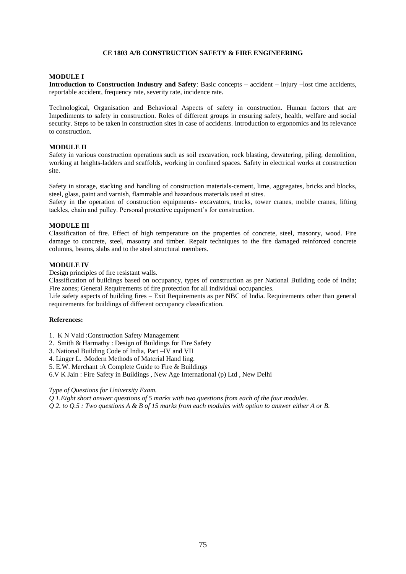# **CE 1803 A/B CONSTRUCTION SAFETY & FIRE ENGINEERING**

# **MODULE I**

**Introduction to Construction Industry and Safety**: Basic concepts – accident – injury –lost time accidents, reportable accident, frequency rate, severity rate, incidence rate.

Technological, Organisation and Behavioral Aspects of safety in construction. Human factors that are Impediments to safety in construction. Roles of different groups in ensuring safety, health, welfare and social security. Steps to be taken in construction sites in case of accidents. Introduction to ergonomics and its relevance to construction.

# **MODULE II**

Safety in various construction operations such as soil excavation, rock blasting, dewatering, piling, demolition, working at heights-ladders and scaffolds, working in confined spaces. Safety in electrical works at construction site.

Safety in storage, stacking and handling of construction materials-cement, lime, aggregates, bricks and blocks, steel, glass, paint and varnish, flammable and hazardous materials used at sites.

Safety in the operation of construction equipments- excavators, trucks, tower cranes, mobile cranes, lifting tackles, chain and pulley. Personal protective equipment's for construction.

# **MODULE III**

Classification of fire. Effect of high temperature on the properties of concrete, steel, masonry, wood. Fire damage to concrete, steel, masonry and timber. Repair techniques to the fire damaged reinforced concrete columns, beams, slabs and to the steel structural members.

# **MODULE IV**

Design principles of fire resistant walls.

Classification of buildings based on occupancy, types of construction as per National Building code of India; Fire zones; General Requirements of fire protection for all individual occupancies.

Life safety aspects of building fires – Exit Requirements as per NBC of India. Requirements other than general requirements for buildings of different occupancy classification.

# **References:**

1. K N Vaid :Construction Safety Management

- 2. Smith & Harmathy : Design of Buildings for Fire Safety
- 3. National Building Code of India, Part –IV and VII
- 4. Linger L. :Modern Methods of Material Hand ling.

5. E.W. Merchant :A Complete Guide to Fire & Buildings

6.V K Jain : Fire Safety in Buildings , New Age International (p) Ltd , New Delhi

*Type of Questions for University Exam.*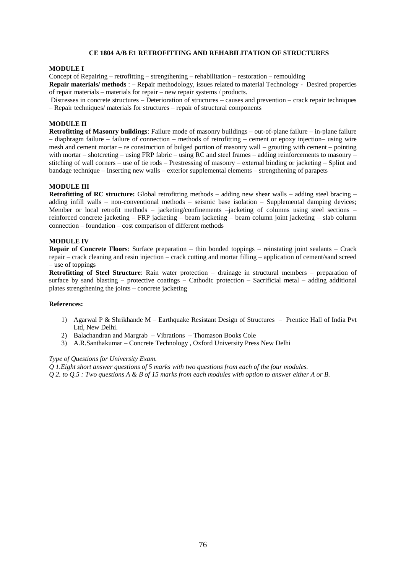# **CE 1804 A/B E1 RETROFITTING AND REHABILITATION OF STRUCTURES**

#### **MODULE I**

Concept of Repairing – retrofitting – strengthening – rehabilitation – restoration – remoulding

**Repair materials/ methods** : – Repair methodology, issues related to material Technology - Desired properties of repair materials – materials for repair – new repair systems / products.

Distresses in concrete structures – Deterioration of structures – causes and prevention – crack repair techniques – Repair techniques/ materials for structures – repair of structural components

## **MODULE II**

**Retrofitting of Masonry buildings**: Failure mode of masonry buildings – out-of-plane failure – in-plane failure – diaphragm failure – failure of connection – methods of retrofitting – cement or epoxy injection– using wire mesh and cement mortar – re construction of bulged portion of masonry wall – grouting with cement – pointing with mortar – shotcreting – using FRP fabric – using RC and steel frames – adding reinforcements to masonry – stitching of wall corners – use of tie rods – Prestressing of masonry – external binding or jacketing – Splint and bandage technique – Inserting new walls – exterior supplemental elements – strengthening of parapets

### **MODULE III**

**Retrofitting of RC structure:** Global retrofitting methods – adding new shear walls – adding steel bracing – adding infill walls – non-conventional methods – seismic base isolation – Supplemental damping devices; Member or local retrofit methods – jacketing/confinements –jacketing of columns using steel sections – reinforced concrete jacketing – FRP jacketing – beam jacketing – beam column joint jacketing – slab column connection – foundation – cost comparison of different methods

### **MODULE IV**

**Repair of Concrete Floors**: Surface preparation – thin bonded toppings – reinstating joint sealants – Crack repair – crack cleaning and resin injection – crack cutting and mortar filling – application of cement/sand screed – use of toppings

**Retrofitting of Steel Structure**: Rain water protection – drainage in structural members – preparation of surface by sand blasting – protective coatings – Cathodic protection – Sacrificial metal – adding additional plates strengthening the joints – concrete jacketing

#### **References:**

- 1) Agarwal P & Shrikhande M Earthquake Resistant Design of Structures Prentice Hall of India Pvt Ltd, New Delhi.
- 2) Balachandran and Margrab Vibrations Thomason Books Cole
- 3) A.R.Santhakumar Concrete Technology , Oxford University Press New Delhi

#### *Type of Questions for University Exam.*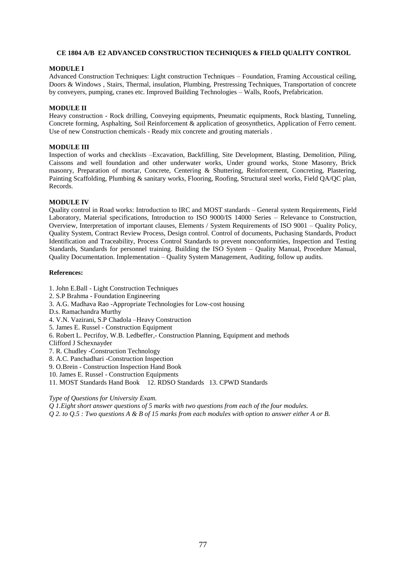## **CE 1804 A/B E2 ADVANCED CONSTRUCTION TECHNIQUES & FIELD QUALITY CONTROL**

### **MODULE I**

Advanced Construction Techniques: Light construction Techniques – Foundation, Framing Accoustical ceiling, Doors & Windows , Stairs, Thermal, insulation, Plumbing, Prestressing Techniques, Transportation of concrete by conveyers, pumping, cranes etc. Improved Building Technologies – Walls, Roofs, Prefabrication.

### **MODULE II**

Heavy construction - Rock drilling, Conveying equipments, Pneumatic equipments, Rock blasting, Tunneling, Concrete forming, Asphalting, Soil Reinforcement & application of geosynthetics, Application of Ferro cement. Use of new Construction chemicals - Ready mix concrete and grouting materials .

### **MODULE III**

Inspection of works and checklists –Excavation, Backfilling, Site Development, Blasting, Demolition, Piling, Caissons and well foundation and other underwater works, Under ground works, Stone Masonry, Brick masonry, Preparation of mortar, Concrete, Centering & Shuttering, Reinforcement, Concreting, Plastering, Painting Scaffolding, Plumbing & sanitary works, Flooring, Roofing, Structural steel works, Field QA/QC plan, Records.

## **MODULE IV**

Quality control in Road works: Introduction to IRC and MOST standards – General system Requirements, Field Laboratory, Material specifications, Introduction to ISO 9000/IS 14000 Series – Relevance to Construction, Overview, Interpretation of important clauses, Elements / System Requirements of ISO 9001 – Quality Policy, Quality System, Contract Review Process, Design control. Control of documents, Puchasing Standards, Product Identification and Traceability, Process Control Standards to prevent nonconformities, Inspection and Testing Standards, Standards for personnel training. Building the ISO System – Quality Manual, Procedure Manual, Quality Documentation. Implementation – Quality System Management, Auditing, follow up audits.

#### **References:**

- 1. John E.Ball Light Construction Techniques
- 2. S.P Brahma Foundation Engineering
- 3. A.G. Madhava Rao -Appropriate Technologies for Low-cost housing
- D.s. Ramachandra Murthy
- 4. V.N. Vazirani, S.P Chadola –Heavy Construction
- 5. James E. Russel Construction Equipment
- 6. Robert L. Pecrifoy, W.B. Ledbeffer,- Construction Planning, Equipment and methods
- Clifford J Schexnayder
- 7. R. Chudley -Construction Technology
- 8. A.C. Panchadhari -Construction Inspection
- 9. O.Brein Construction Inspection Hand Book
- 10. James E. Russel Construction Equipments
- 11. MOST Standards Hand Book 12. RDSO Standards 13. CPWD Standards

*Type of Questions for University Exam.*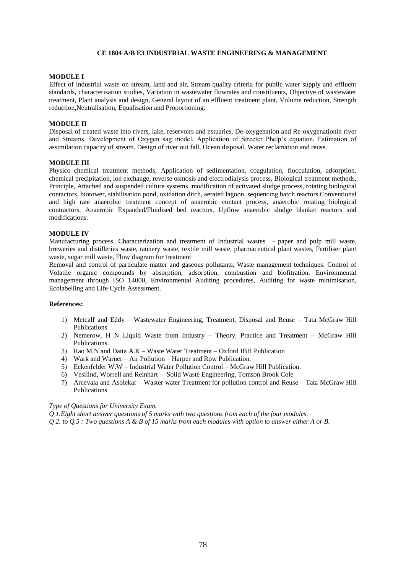# **CE 1804 A/B E3 INDUSTRIAL WASTE ENGINEERING & MANAGEMENT**

### **MODULE I**

Effect of industrial waste on stream, land and air, Stream quality criteria for public water supply and effluent standards, characterisation studies, Variation in wastewater flowrates and constituents, Objective of wastewater treatment, Plant analysis and design, General layout of an effluent treatment plant, Volume reduction, Strength reduction,Neutralisation, Equalisation and Proportioning.

### **MODULE II**

Disposal of treated waste into rivers, lake, reservoirs and estuaries, De-oxygenation and Re-oxygenationin river and Streams, Development of Oxygen sag model, Application of Streeter Phelp's equation, Estimation of assimilation capacity of stream. Design of river out fall, Ocean disposal, Water reclamation and reuse.

## **MODULE III**

Physico–chemical treatment methods, Application of sedimentation. coagulation, flocculation, adsorption, chemical precipitation, ion exchange, reverse osmosis and electrodialysis process, Biological treatment methods, Principle, Attached and suspended culture systems, modification of activated sludge process, rotating biological contactors, biotower, stabilisation pond, oxidation ditch, aerated lagoon, sequencing batch reactors Conventional and high rate anaerobic treatment concept of anaerobic contact process, anaerobic rotating biological contractors, Anaerobic Expanded/Fluidised bed reactors, Upflow anaerobic sludge blanket reactors and modifications.

#### **MODULE IV**

Manufacturing process, Characterization and treatment of Industrial wastes - paper and pulp mill waste, breweries and distilleries waste, tannery waste, textile mill waste, pharmaceutical plant wastes, Fertiliser plant waste, sugar mill waste, Flow diagram for treatment

Removal and control of particulate matter and gaseous pollutants, Waste management techniques. Control of Volatile organic compounds by absorption, adsorption, combustion and biofitration. Environmental management through ISO 14000, Environmental Auditing procedures, Auditing for waste minimisation, Ecolabelling and Life Cycle Assessment.

#### **References:**

- 1) Metcalf and Eddy Wastewater Engineering, Treatment, Disposal and Reuse Tata McGraw Hill Publications
- 2) Nemerow, H N Liquid Waste from Industry Theory, Practice and Treatment McGraw Hill Publications.
- 3) Rao M.N and Datta A.K Waste Water Treatment Oxford IBH Publication
- 4) Wark and Warner Air Pollution Harper and Row Publication.
- 5) Eckenfelder W.W Industrial Water Pollution Control McGraw Hill Publication.
- 6) Vesilind, Worrell and Reinhart Solid Waste Engineering, Tomson Brook Cole
- 7) Arcevala and Asolekar Waster water Treatment for pollution control and Reuse Tata McGraw Hill Publications.

### *Type of Questions for University Exam.*

*Q 1.Eight short answer questions of 5 marks with two questions from each of the four modules.*

*Q 2. to Q.5 : Two questions A & B of 15 marks from each modules with option to answer either A or B.*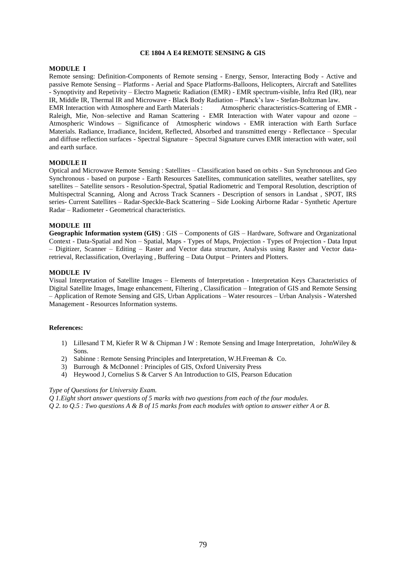#### **CE 1804 A E4 REMOTE SENSING & GIS**

### **MODULE I**

Remote sensing: Definition-Components of Remote sensing - Energy, Sensor, Interacting Body - Active and passive Remote Sensing – Platforms - Aerial and Space Platforms-Balloons, Helicopters, Aircraft and Satellites - Synoptivity and Repetivity – Electro Magnetic Radiation (EMR) - EMR spectrum-visible, Infra Red (IR), near IR, Middle IR, Thermal IR and Microwave - Black Body Radiation – Planck's law - Stefan-Boltzman law.

EMR Interaction with Atmosphere and Earth Materials : Raleigh, Mie, Non–selective and Raman Scattering - EMR Interaction with Water vapour and ozone – Atmospheric Windows – Significance of Atmospheric windows - EMR interaction with Earth Surface Materials. Radiance, Irradiance, Incident, Reflected, Absorbed and transmitted energy - Reflectance – Specular and diffuse reflection surfaces - Spectral Signature – Spectral Signature curves EMR interaction with water, soil and earth surface.

# **MODULE II**

Optical and Microwave Remote Sensing : Satellites – Classification based on orbits - Sun Synchronous and Geo Synchronous - based on purpose - Earth Resources Satellites, communication satellites, weather satellites, spy satellites – Satellite sensors - Resolution-Spectral, Spatial Radiometric and Temporal Resolution, description of Multispectral Scanning, Along and Across Track Scanners - Description of sensors in Landsat , SPOT, IRS series- Current Satellites – Radar-Speckle-Back Scattering – Side Looking Airborne Radar - Synthetic Aperture Radar – Radiometer - Geometrical characteristics.

### **MODULE III**

**Geographic Information system (GIS)** : GIS – Components of GIS – Hardware, Software and Organizational Context - Data-Spatial and Non – Spatial, Maps - Types of Maps, Projection - Types of Projection - Data Input – Digitizer, Scanner – Editing – Raster and Vector data structure, Analysis using Raster and Vector dataretrieval, Reclassification, Overlaying , Buffering – Data Output – Printers and Plotters.

# **MODULE IV**

Visual Interpretation of Satellite Images – Elements of Interpretation - Interpretation Keys Characteristics of Digital Satellite Images, Image enhancement, Filtering , Classification – Integration of GIS and Remote Sensing – Application of Remote Sensing and GIS, Urban Applications – Water resources – Urban Analysis - Watershed Management - Resources Information systems.

## **References:**

- 1) Lillesand T M, Kiefer R W & Chipman J W : Remote Sensing and Image Interpretation, JohnWiley & Sons.
- 2) Sabinne : Remote Sensing Principles and Interpretation, W.H.Freeman & Co.
- 3) Burrough & McDonnel : Principles of GIS, Oxford University Press
- 4) Heywood J, Cornelius S & Carver S An Introduction to GIS, Pearson Education

#### *Type of Questions for University Exam.*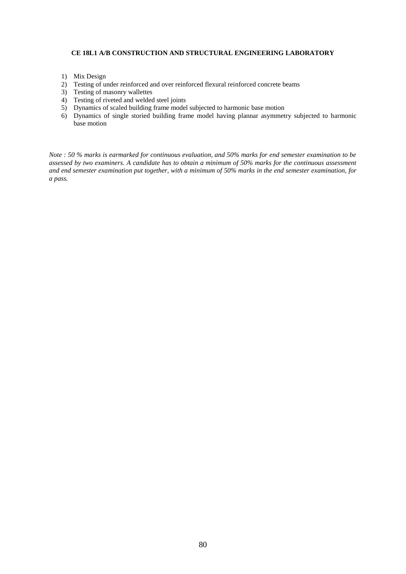# **CE 18L1 A/B CONSTRUCTION AND STRUCTURAL ENGINEERING LABORATORY**

- 1) Mix Design
- 2) Testing of under reinforced and over reinforced flexural reinforced concrete beams
- 3) Testing of masonry wallettes
- 4) Testing of riveted and welded steel joints
- 5) Dynamics of scaled building frame model subjected to harmonic base motion
- 6) Dynamics of single storied building frame model having plannar asymmetry subjected to harmonic base motion

*Note : 50 % marks is earmarked for continuous evaluation, and 50% marks for end semester examination to be assessed by two examiners. A candidate has to obtain a minimum of 50% marks for the continuous assessment and end semester examination put together, with a minimum of 50% marks in the end semester examination, for a pass.*